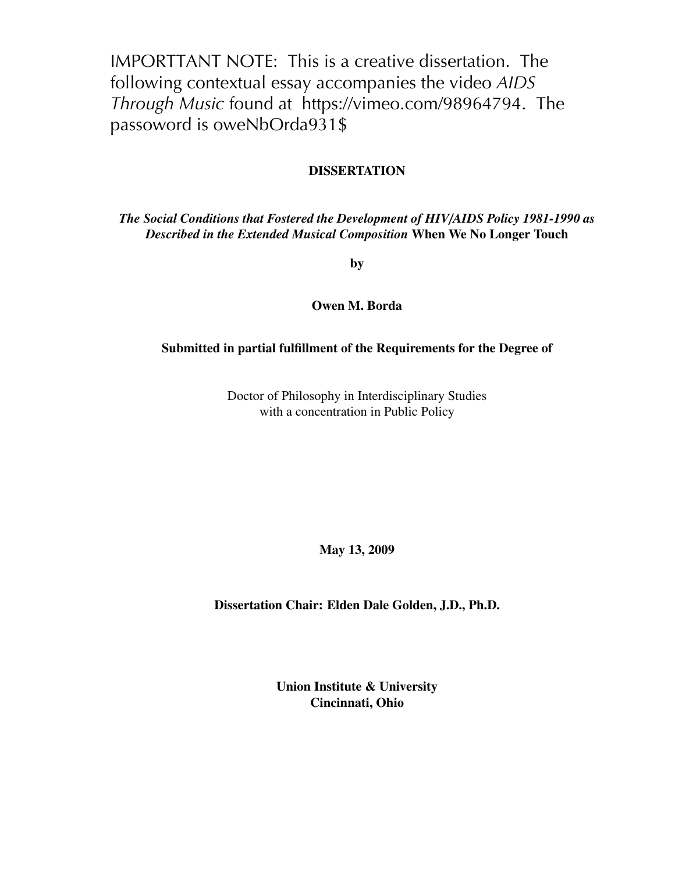IMPORTTANT NOTE: This is a creative dissertation. The following contextual essay accompanies the video *AIDS Through Music* found at https://vimeo.com/98964794. The passoword is oweNbOrda931\$

# DISSERTATION

*The Social Conditions that Fostered the Development of HIV*/*AIDS Policy 1981-1990 as Described in the Extended Musical Composition* When We No Longer Touch

by

Owen M. Borda

# Submitted in partial fulfillment of the Requirements for the Degree of

Doctor of Philosophy in Interdisciplinary Studies with a concentration in Public Policy

May 13, 2009

Dissertation Chair: Elden Dale Golden, J.D., Ph.D.

Union Institute & University Cincinnati, Ohio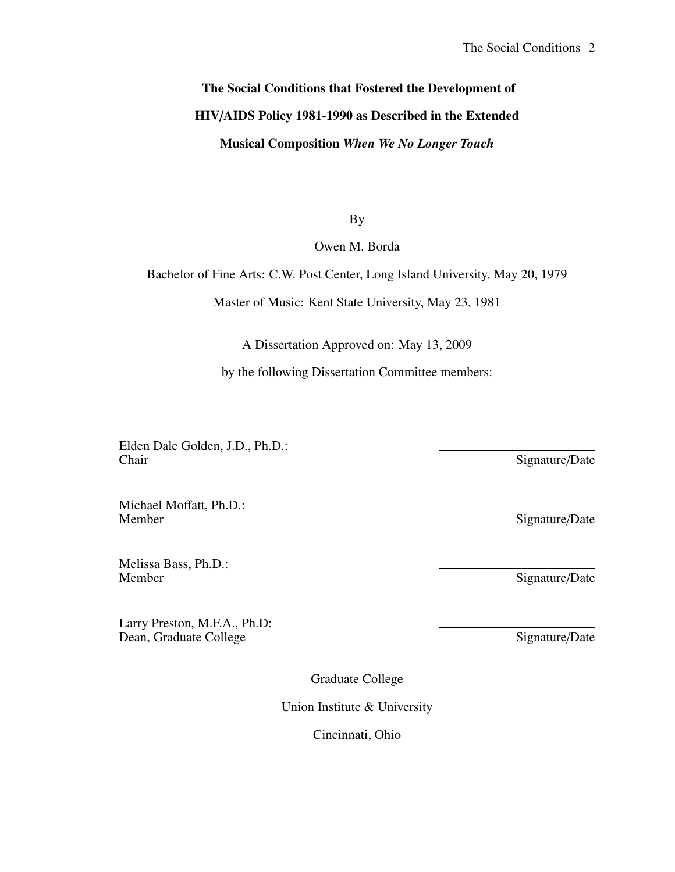# The Social Conditions that Fostered the Development of HIV/AIDS Policy 1981-1990 as Described in the Extended Musical Composition *When We No Longer Touch*

By

Owen M. Borda

Bachelor of Fine Arts: C.W. Post Center, Long Island University, May 20, 1979

Master of Music: Kent State University, May 23, 1981

A Dissertation Approved on: May 13, 2009

by the following Dissertation Committee members:

Elden Dale Golden, J.D., Ph.D.:

Michael Moffatt, Ph.D.: Member Signature/Date

Melissa Bass, Ph.D.:

Larry Preston, M.F.A., Ph.D: Dean, Graduate College Signature/Date

Graduate College

Union Institute & University

Cincinnati, Ohio

Signature/Date

Signature/Date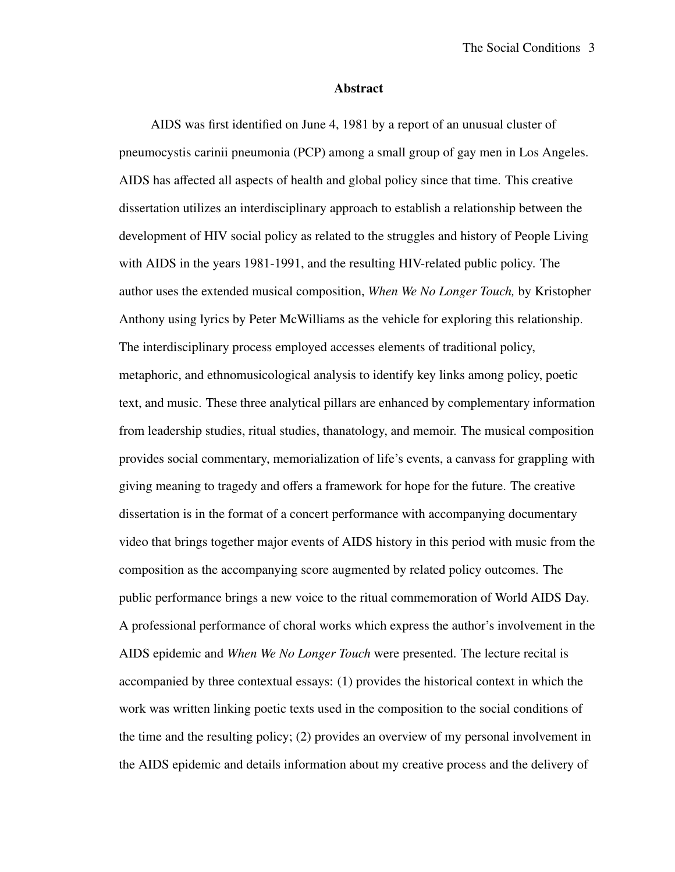#### Abstract

AIDS was first identified on June 4, 1981 by a report of an unusual cluster of pneumocystis carinii pneumonia (PCP) among a small group of gay men in Los Angeles. AIDS has affected all aspects of health and global policy since that time. This creative dissertation utilizes an interdisciplinary approach to establish a relationship between the development of HIV social policy as related to the struggles and history of People Living with AIDS in the years 1981-1991, and the resulting HIV-related public policy. The author uses the extended musical composition, *When We No Longer Touch,* by Kristopher Anthony using lyrics by Peter McWilliams as the vehicle for exploring this relationship. The interdisciplinary process employed accesses elements of traditional policy, metaphoric, and ethnomusicological analysis to identify key links among policy, poetic text, and music. These three analytical pillars are enhanced by complementary information from leadership studies, ritual studies, thanatology, and memoir. The musical composition provides social commentary, memorialization of life's events, a canvass for grappling with giving meaning to tragedy and offers a framework for hope for the future. The creative dissertation is in the format of a concert performance with accompanying documentary video that brings together major events of AIDS history in this period with music from the composition as the accompanying score augmented by related policy outcomes. The public performance brings a new voice to the ritual commemoration of World AIDS Day. A professional performance of choral works which express the author's involvement in the AIDS epidemic and *When We No Longer Touch* were presented. The lecture recital is accompanied by three contextual essays: (1) provides the historical context in which the work was written linking poetic texts used in the composition to the social conditions of the time and the resulting policy; (2) provides an overview of my personal involvement in the AIDS epidemic and details information about my creative process and the delivery of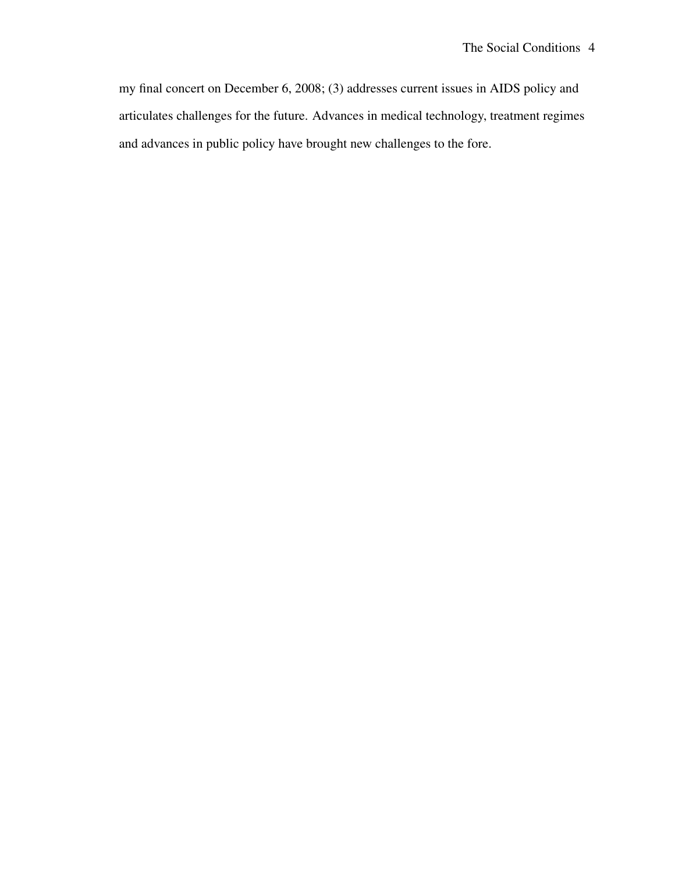my final concert on December 6, 2008; (3) addresses current issues in AIDS policy and articulates challenges for the future. Advances in medical technology, treatment regimes and advances in public policy have brought new challenges to the fore.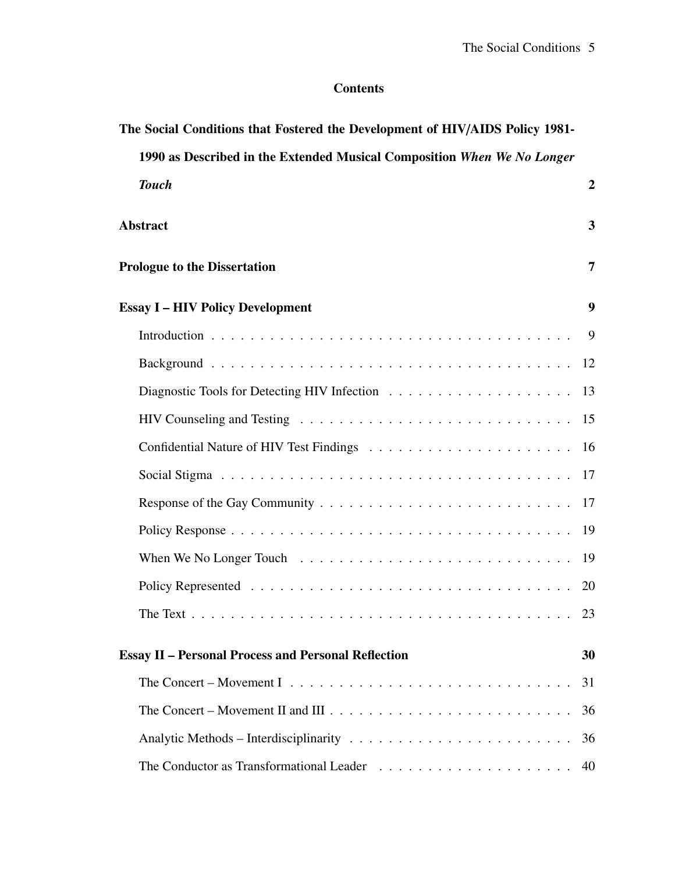# **Contents**

| The Social Conditions that Fostered the Development of HIV/AIDS Policy 1981-                 |                |
|----------------------------------------------------------------------------------------------|----------------|
| 1990 as Described in the Extended Musical Composition When We No Longer                      |                |
| <b>Touch</b>                                                                                 | $\overline{2}$ |
| <b>Abstract</b>                                                                              | 3              |
| <b>Prologue to the Dissertation</b>                                                          | $\overline{7}$ |
| <b>Essay I - HIV Policy Development</b>                                                      | 9              |
|                                                                                              |                |
|                                                                                              |                |
|                                                                                              |                |
|                                                                                              |                |
|                                                                                              |                |
|                                                                                              |                |
|                                                                                              |                |
|                                                                                              |                |
|                                                                                              |                |
|                                                                                              | 20             |
|                                                                                              | 23             |
| <b>Essay II - Personal Process and Personal Reflection</b>                                   | 30             |
| The Concert – Movement $I \dots \dots \dots \dots \dots \dots \dots \dots \dots \dots \dots$ | 31             |
|                                                                                              | 36             |
|                                                                                              | 36             |
|                                                                                              | 40             |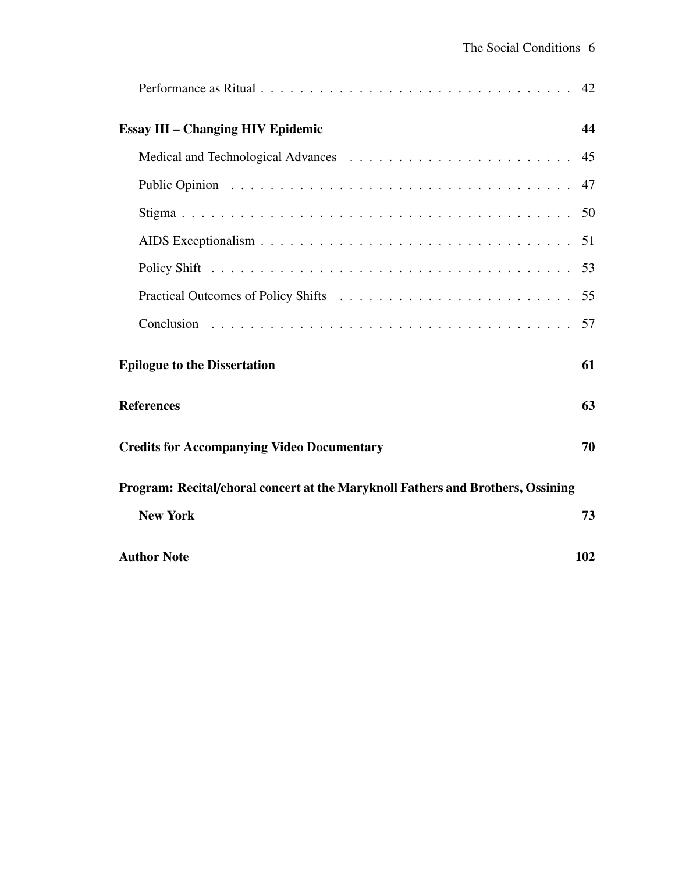|                                                                                 | 42  |
|---------------------------------------------------------------------------------|-----|
| <b>Essay III – Changing HIV Epidemic</b>                                        | 44  |
|                                                                                 | 45  |
|                                                                                 | 47  |
|                                                                                 | 50  |
|                                                                                 | 51  |
|                                                                                 | 53  |
|                                                                                 | 55  |
|                                                                                 | 57  |
| <b>Epilogue to the Dissertation</b>                                             | 61  |
| <b>References</b>                                                               | 63  |
| <b>Credits for Accompanying Video Documentary</b>                               | 70  |
| Program: Recital/choral concert at the Maryknoll Fathers and Brothers, Ossining |     |
| <b>New York</b>                                                                 | 73  |
| <b>Author Note</b>                                                              | 102 |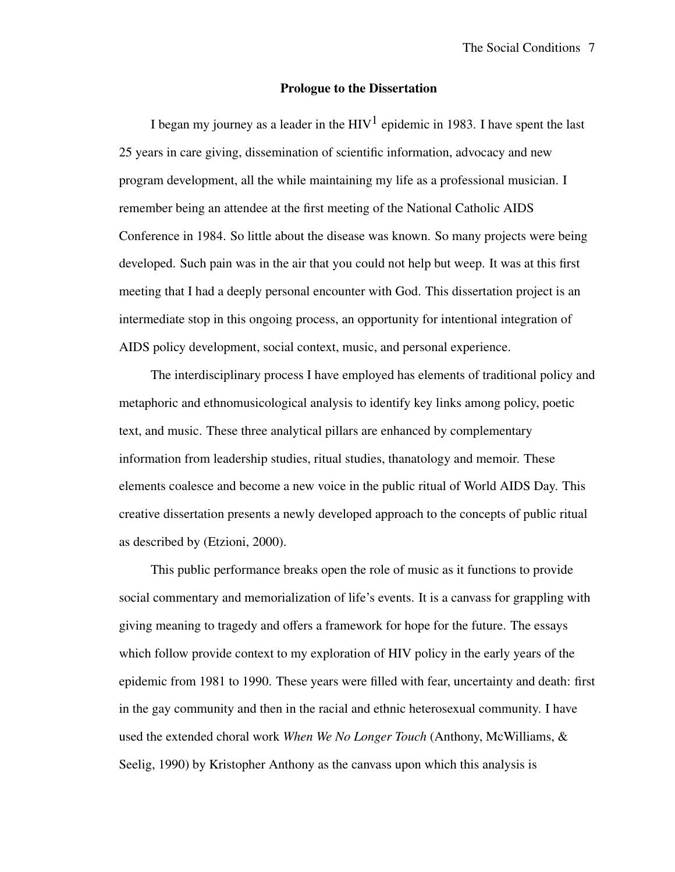#### Prologue to the Dissertation

I began my journey as a leader in the  $HIV^1$  epidemic in 1983. I have spent the last 25 years in care giving, dissemination of scientific information, advocacy and new program development, all the while maintaining my life as a professional musician. I remember being an attendee at the first meeting of the National Catholic AIDS Conference in 1984. So little about the disease was known. So many projects were being developed. Such pain was in the air that you could not help but weep. It was at this first meeting that I had a deeply personal encounter with God. This dissertation project is an intermediate stop in this ongoing process, an opportunity for intentional integration of AIDS policy development, social context, music, and personal experience.

The interdisciplinary process I have employed has elements of traditional policy and metaphoric and ethnomusicological analysis to identify key links among policy, poetic text, and music. These three analytical pillars are enhanced by complementary information from leadership studies, ritual studies, thanatology and memoir. These elements coalesce and become a new voice in the public ritual of World AIDS Day. This creative dissertation presents a newly developed approach to the concepts of public ritual as described by (Etzioni, 2000).

This public performance breaks open the role of music as it functions to provide social commentary and memorialization of life's events. It is a canvass for grappling with giving meaning to tragedy and offers a framework for hope for the future. The essays which follow provide context to my exploration of HIV policy in the early years of the epidemic from 1981 to 1990. These years were filled with fear, uncertainty and death: first in the gay community and then in the racial and ethnic heterosexual community. I have used the extended choral work *When We No Longer Touch* (Anthony, McWilliams, & Seelig, 1990) by Kristopher Anthony as the canvass upon which this analysis is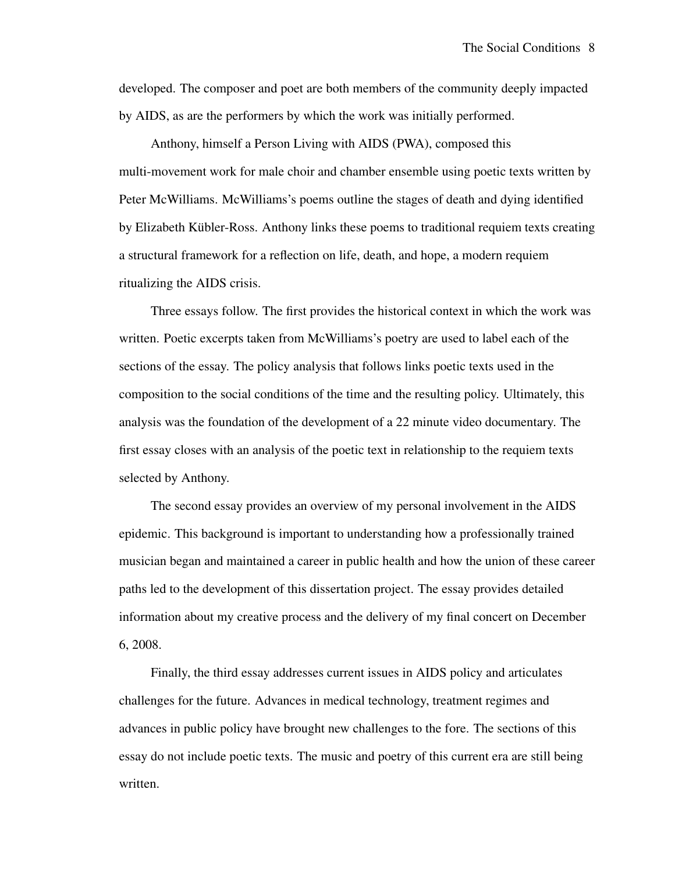developed. The composer and poet are both members of the community deeply impacted by AIDS, as are the performers by which the work was initially performed.

Anthony, himself a Person Living with AIDS (PWA), composed this multi-movement work for male choir and chamber ensemble using poetic texts written by Peter McWilliams. McWilliams's poems outline the stages of death and dying identified by Elizabeth Kübler-Ross. Anthony links these poems to traditional requiem texts creating a structural framework for a reflection on life, death, and hope, a modern requiem ritualizing the AIDS crisis.

Three essays follow. The first provides the historical context in which the work was written. Poetic excerpts taken from McWilliams's poetry are used to label each of the sections of the essay. The policy analysis that follows links poetic texts used in the composition to the social conditions of the time and the resulting policy. Ultimately, this analysis was the foundation of the development of a 22 minute video documentary. The first essay closes with an analysis of the poetic text in relationship to the requiem texts selected by Anthony.

The second essay provides an overview of my personal involvement in the AIDS epidemic. This background is important to understanding how a professionally trained musician began and maintained a career in public health and how the union of these career paths led to the development of this dissertation project. The essay provides detailed information about my creative process and the delivery of my final concert on December 6, 2008.

Finally, the third essay addresses current issues in AIDS policy and articulates challenges for the future. Advances in medical technology, treatment regimes and advances in public policy have brought new challenges to the fore. The sections of this essay do not include poetic texts. The music and poetry of this current era are still being written.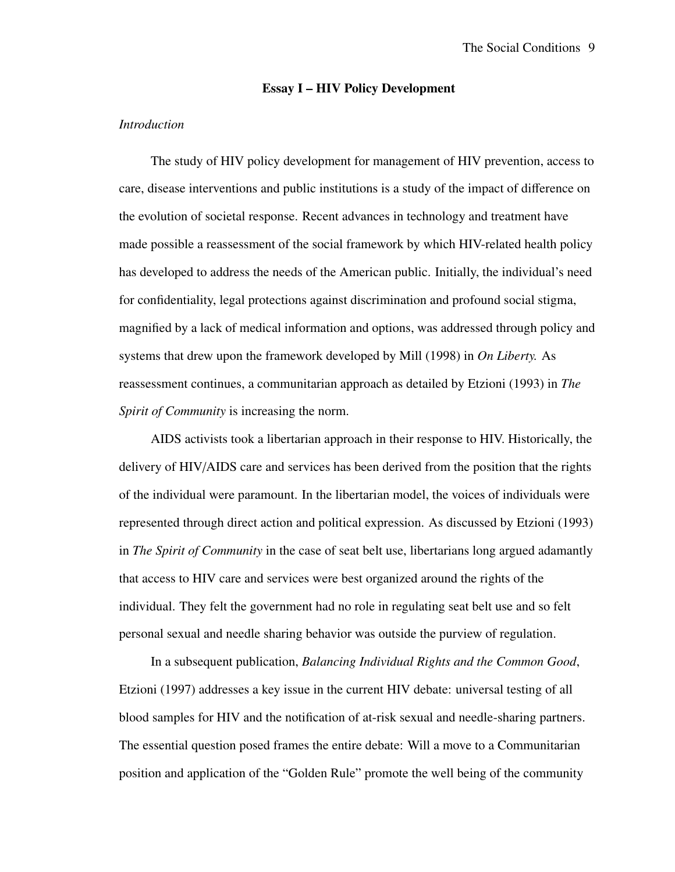#### Essay I – HIV Policy Development

#### *Introduction*

The study of HIV policy development for management of HIV prevention, access to care, disease interventions and public institutions is a study of the impact of difference on the evolution of societal response. Recent advances in technology and treatment have made possible a reassessment of the social framework by which HIV-related health policy has developed to address the needs of the American public. Initially, the individual's need for confidentiality, legal protections against discrimination and profound social stigma, magnified by a lack of medical information and options, was addressed through policy and systems that drew upon the framework developed by Mill (1998) in *On Liberty.* As reassessment continues, a communitarian approach as detailed by Etzioni (1993) in *The Spirit of Community* is increasing the norm.

AIDS activists took a libertarian approach in their response to HIV. Historically, the delivery of HIV/AIDS care and services has been derived from the position that the rights of the individual were paramount. In the libertarian model, the voices of individuals were represented through direct action and political expression. As discussed by Etzioni (1993) in *The Spirit of Community* in the case of seat belt use, libertarians long argued adamantly that access to HIV care and services were best organized around the rights of the individual. They felt the government had no role in regulating seat belt use and so felt personal sexual and needle sharing behavior was outside the purview of regulation.

In a subsequent publication, *Balancing Individual Rights and the Common Good*, Etzioni (1997) addresses a key issue in the current HIV debate: universal testing of all blood samples for HIV and the notification of at-risk sexual and needle-sharing partners. The essential question posed frames the entire debate: Will a move to a Communitarian position and application of the "Golden Rule" promote the well being of the community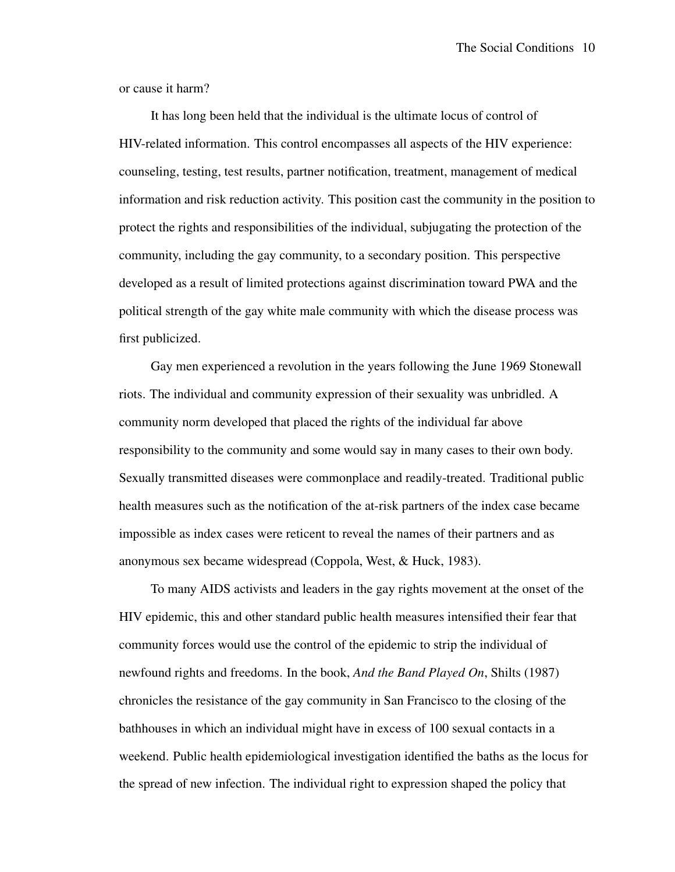or cause it harm?

It has long been held that the individual is the ultimate locus of control of HIV-related information. This control encompasses all aspects of the HIV experience: counseling, testing, test results, partner notification, treatment, management of medical information and risk reduction activity. This position cast the community in the position to protect the rights and responsibilities of the individual, subjugating the protection of the community, including the gay community, to a secondary position. This perspective developed as a result of limited protections against discrimination toward PWA and the political strength of the gay white male community with which the disease process was first publicized.

Gay men experienced a revolution in the years following the June 1969 Stonewall riots. The individual and community expression of their sexuality was unbridled. A community norm developed that placed the rights of the individual far above responsibility to the community and some would say in many cases to their own body. Sexually transmitted diseases were commonplace and readily-treated. Traditional public health measures such as the notification of the at-risk partners of the index case became impossible as index cases were reticent to reveal the names of their partners and as anonymous sex became widespread (Coppola, West, & Huck, 1983).

To many AIDS activists and leaders in the gay rights movement at the onset of the HIV epidemic, this and other standard public health measures intensified their fear that community forces would use the control of the epidemic to strip the individual of newfound rights and freedoms. In the book, *And the Band Played On*, Shilts (1987) chronicles the resistance of the gay community in San Francisco to the closing of the bathhouses in which an individual might have in excess of 100 sexual contacts in a weekend. Public health epidemiological investigation identified the baths as the locus for the spread of new infection. The individual right to expression shaped the policy that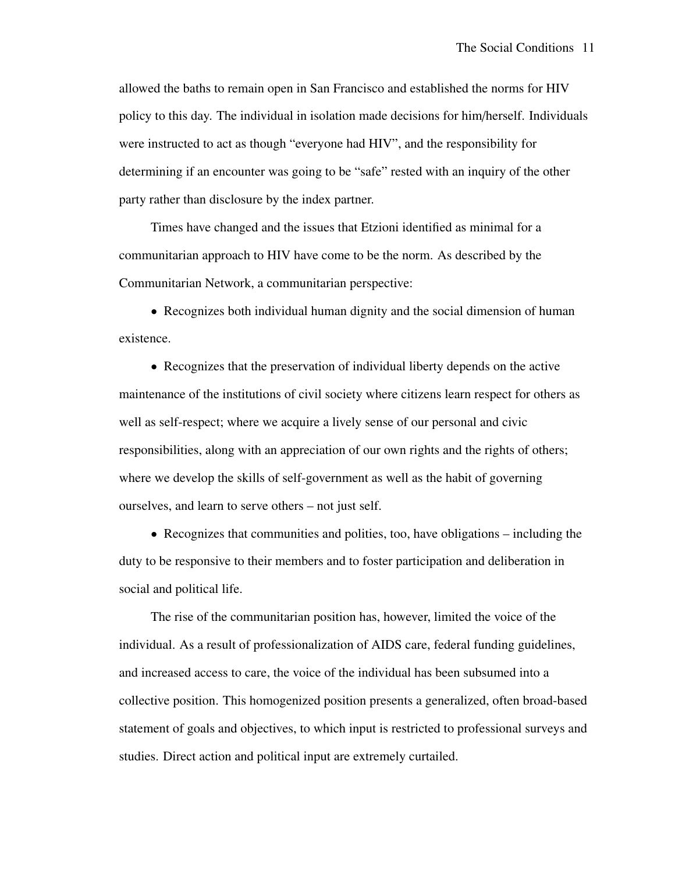allowed the baths to remain open in San Francisco and established the norms for HIV policy to this day. The individual in isolation made decisions for him/herself. Individuals were instructed to act as though "everyone had HIV", and the responsibility for determining if an encounter was going to be "safe" rested with an inquiry of the other party rather than disclosure by the index partner.

Times have changed and the issues that Etzioni identified as minimal for a communitarian approach to HIV have come to be the norm. As described by the Communitarian Network, a communitarian perspective:

• Recognizes both individual human dignity and the social dimension of human existence.

• Recognizes that the preservation of individual liberty depends on the active maintenance of the institutions of civil society where citizens learn respect for others as well as self-respect; where we acquire a lively sense of our personal and civic responsibilities, along with an appreciation of our own rights and the rights of others; where we develop the skills of self-government as well as the habit of governing ourselves, and learn to serve others – not just self.

• Recognizes that communities and polities, too, have obligations – including the duty to be responsive to their members and to foster participation and deliberation in social and political life.

The rise of the communitarian position has, however, limited the voice of the individual. As a result of professionalization of AIDS care, federal funding guidelines, and increased access to care, the voice of the individual has been subsumed into a collective position. This homogenized position presents a generalized, often broad-based statement of goals and objectives, to which input is restricted to professional surveys and studies. Direct action and political input are extremely curtailed.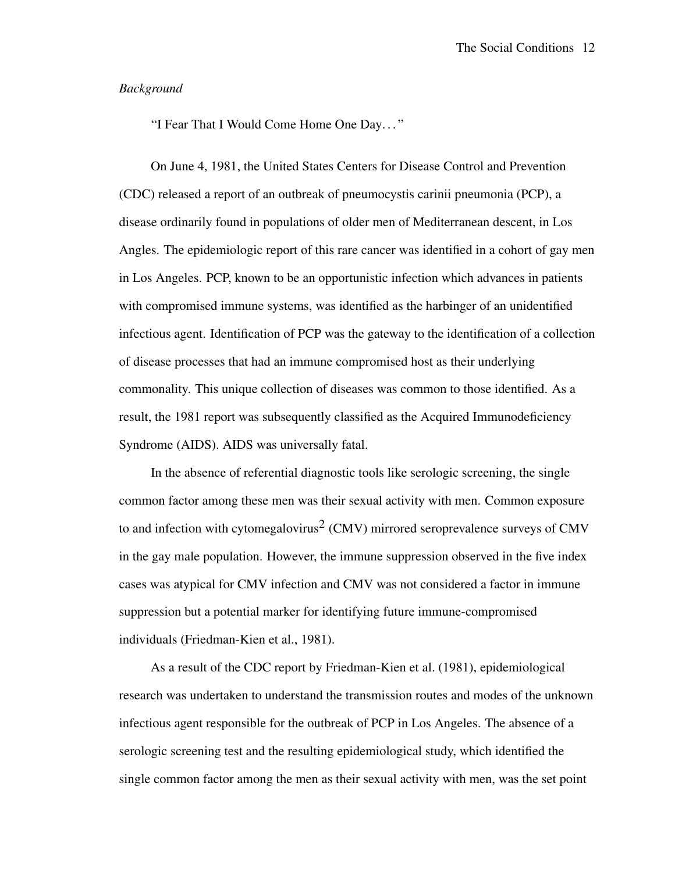## *Background*

"I Fear That I Would Come Home One Day. . . "

On June 4, 1981, the United States Centers for Disease Control and Prevention (CDC) released a report of an outbreak of pneumocystis carinii pneumonia (PCP), a disease ordinarily found in populations of older men of Mediterranean descent, in Los Angles. The epidemiologic report of this rare cancer was identified in a cohort of gay men in Los Angeles. PCP, known to be an opportunistic infection which advances in patients with compromised immune systems, was identified as the harbinger of an unidentified infectious agent. Identification of PCP was the gateway to the identification of a collection of disease processes that had an immune compromised host as their underlying commonality. This unique collection of diseases was common to those identified. As a result, the 1981 report was subsequently classified as the Acquired Immunodeficiency Syndrome (AIDS). AIDS was universally fatal.

In the absence of referential diagnostic tools like serologic screening, the single common factor among these men was their sexual activity with men. Common exposure to and infection with cytomegalovirus<sup>2</sup> (CMV) mirrored seroprevalence surveys of CMV in the gay male population. However, the immune suppression observed in the five index cases was atypical for CMV infection and CMV was not considered a factor in immune suppression but a potential marker for identifying future immune-compromised individuals (Friedman-Kien et al., 1981).

As a result of the CDC report by Friedman-Kien et al. (1981), epidemiological research was undertaken to understand the transmission routes and modes of the unknown infectious agent responsible for the outbreak of PCP in Los Angeles. The absence of a serologic screening test and the resulting epidemiological study, which identified the single common factor among the men as their sexual activity with men, was the set point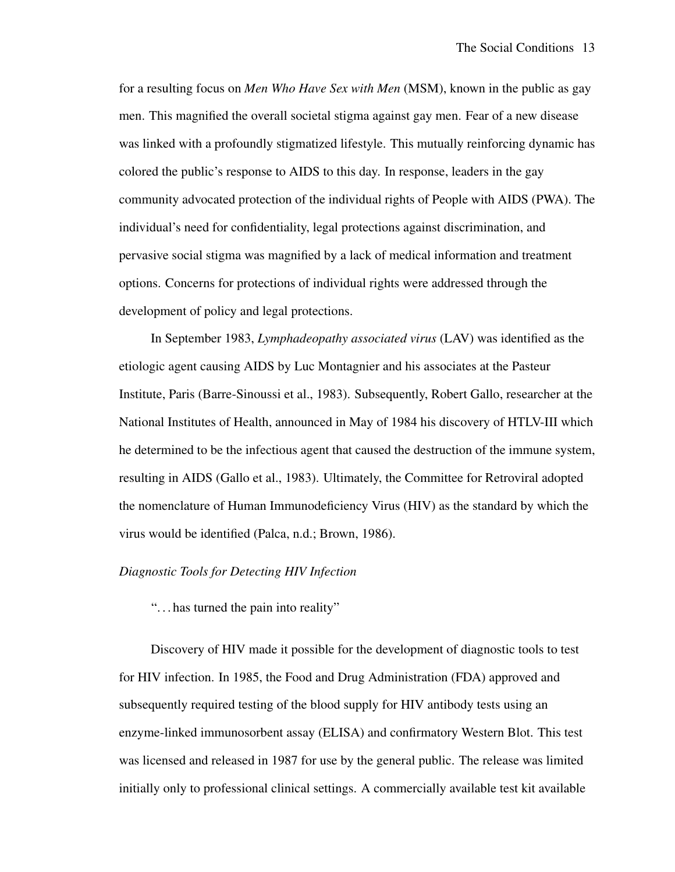for a resulting focus on *Men Who Have Sex with Men* (MSM), known in the public as gay men. This magnified the overall societal stigma against gay men. Fear of a new disease was linked with a profoundly stigmatized lifestyle. This mutually reinforcing dynamic has colored the public's response to AIDS to this day. In response, leaders in the gay community advocated protection of the individual rights of People with AIDS (PWA). The individual's need for confidentiality, legal protections against discrimination, and pervasive social stigma was magnified by a lack of medical information and treatment options. Concerns for protections of individual rights were addressed through the development of policy and legal protections.

In September 1983, *Lymphadeopathy associated virus* (LAV) was identified as the etiologic agent causing AIDS by Luc Montagnier and his associates at the Pasteur Institute, Paris (Barre-Sinoussi et al., 1983). Subsequently, Robert Gallo, researcher at the National Institutes of Health, announced in May of 1984 his discovery of HTLV-III which he determined to be the infectious agent that caused the destruction of the immune system, resulting in AIDS (Gallo et al., 1983). Ultimately, the Committee for Retroviral adopted the nomenclature of Human Immunodeficiency Virus (HIV) as the standard by which the virus would be identified (Palca, n.d.; Brown, 1986).

# *Diagnostic Tools for Detecting HIV Infection*

". . . has turned the pain into reality"

Discovery of HIV made it possible for the development of diagnostic tools to test for HIV infection. In 1985, the Food and Drug Administration (FDA) approved and subsequently required testing of the blood supply for HIV antibody tests using an enzyme-linked immunosorbent assay (ELISA) and confirmatory Western Blot. This test was licensed and released in 1987 for use by the general public. The release was limited initially only to professional clinical settings. A commercially available test kit available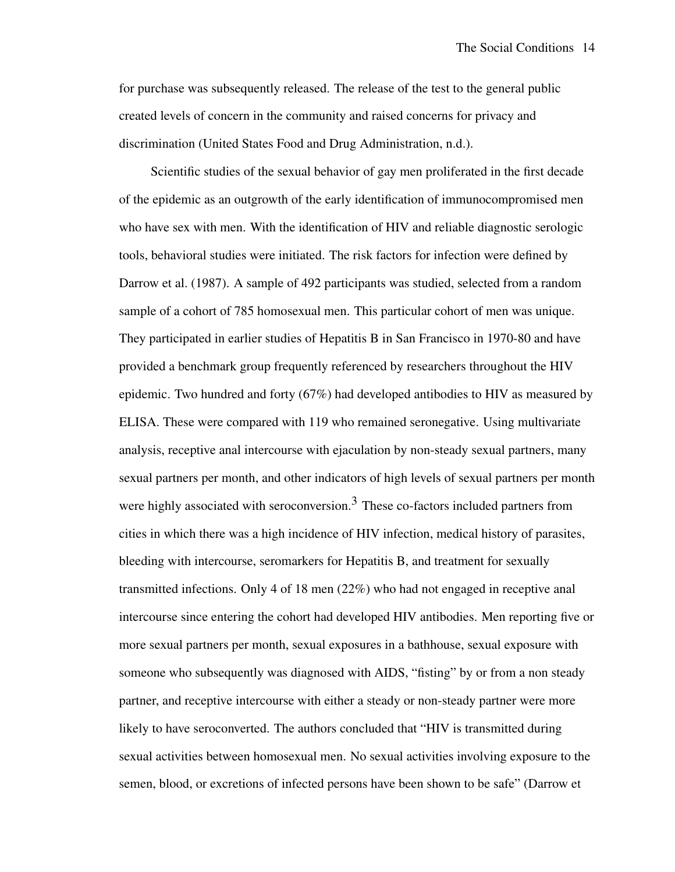for purchase was subsequently released. The release of the test to the general public created levels of concern in the community and raised concerns for privacy and discrimination (United States Food and Drug Administration, n.d.).

Scientific studies of the sexual behavior of gay men proliferated in the first decade of the epidemic as an outgrowth of the early identification of immunocompromised men who have sex with men. With the identification of HIV and reliable diagnostic serologic tools, behavioral studies were initiated. The risk factors for infection were defined by Darrow et al. (1987). A sample of 492 participants was studied, selected from a random sample of a cohort of 785 homosexual men. This particular cohort of men was unique. They participated in earlier studies of Hepatitis B in San Francisco in 1970-80 and have provided a benchmark group frequently referenced by researchers throughout the HIV epidemic. Two hundred and forty (67%) had developed antibodies to HIV as measured by ELISA. These were compared with 119 who remained seronegative. Using multivariate analysis, receptive anal intercourse with ejaculation by non-steady sexual partners, many sexual partners per month, and other indicators of high levels of sexual partners per month were highly associated with seroconversion.<sup>3</sup> These co-factors included partners from cities in which there was a high incidence of HIV infection, medical history of parasites, bleeding with intercourse, seromarkers for Hepatitis B, and treatment for sexually transmitted infections. Only 4 of 18 men (22%) who had not engaged in receptive anal intercourse since entering the cohort had developed HIV antibodies. Men reporting five or more sexual partners per month, sexual exposures in a bathhouse, sexual exposure with someone who subsequently was diagnosed with AIDS, "fisting" by or from a non steady partner, and receptive intercourse with either a steady or non-steady partner were more likely to have seroconverted. The authors concluded that "HIV is transmitted during sexual activities between homosexual men. No sexual activities involving exposure to the semen, blood, or excretions of infected persons have been shown to be safe" (Darrow et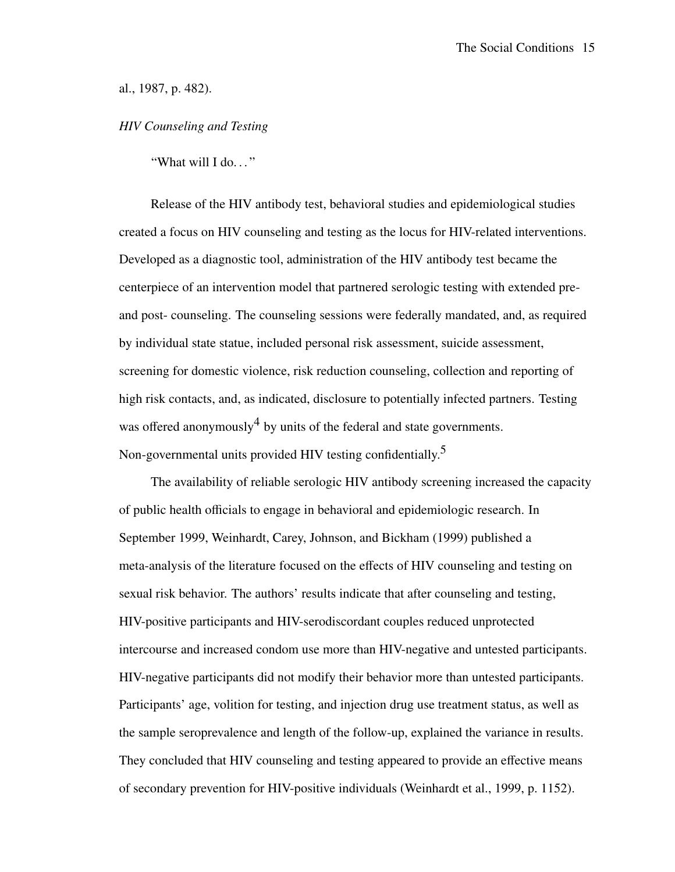al., 1987, p. 482).

*HIV Counseling and Testing*

"What will I do..."

Release of the HIV antibody test, behavioral studies and epidemiological studies created a focus on HIV counseling and testing as the locus for HIV-related interventions. Developed as a diagnostic tool, administration of the HIV antibody test became the centerpiece of an intervention model that partnered serologic testing with extended preand post- counseling. The counseling sessions were federally mandated, and, as required by individual state statue, included personal risk assessment, suicide assessment, screening for domestic violence, risk reduction counseling, collection and reporting of high risk contacts, and, as indicated, disclosure to potentially infected partners. Testing was offered anonymously<sup>4</sup> by units of the federal and state governments. Non-governmental units provided HIV testing confidentially.<sup>5</sup>

The availability of reliable serologic HIV antibody screening increased the capacity of public health officials to engage in behavioral and epidemiologic research. In September 1999, Weinhardt, Carey, Johnson, and Bickham (1999) published a meta-analysis of the literature focused on the effects of HIV counseling and testing on sexual risk behavior. The authors' results indicate that after counseling and testing, HIV-positive participants and HIV-serodiscordant couples reduced unprotected intercourse and increased condom use more than HIV-negative and untested participants. HIV-negative participants did not modify their behavior more than untested participants. Participants' age, volition for testing, and injection drug use treatment status, as well as the sample seroprevalence and length of the follow-up, explained the variance in results. They concluded that HIV counseling and testing appeared to provide an effective means of secondary prevention for HIV-positive individuals (Weinhardt et al., 1999, p. 1152).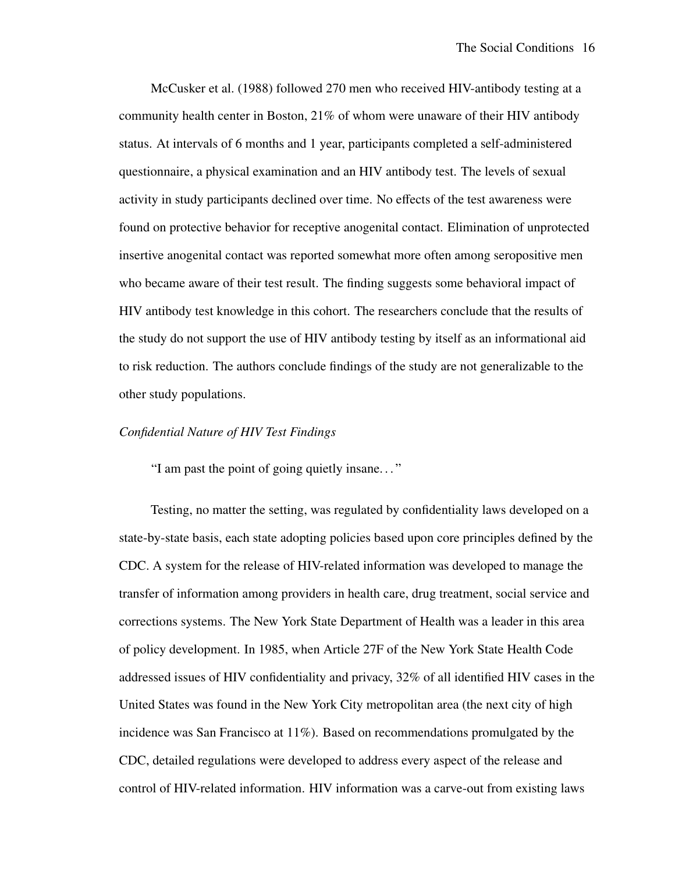McCusker et al. (1988) followed 270 men who received HIV-antibody testing at a community health center in Boston, 21% of whom were unaware of their HIV antibody status. At intervals of 6 months and 1 year, participants completed a self-administered questionnaire, a physical examination and an HIV antibody test. The levels of sexual activity in study participants declined over time. No effects of the test awareness were found on protective behavior for receptive anogenital contact. Elimination of unprotected insertive anogenital contact was reported somewhat more often among seropositive men who became aware of their test result. The finding suggests some behavioral impact of HIV antibody test knowledge in this cohort. The researchers conclude that the results of the study do not support the use of HIV antibody testing by itself as an informational aid to risk reduction. The authors conclude findings of the study are not generalizable to the other study populations.

# *Confidential Nature of HIV Test Findings*

"I am past the point of going quietly insane. . . "

Testing, no matter the setting, was regulated by confidentiality laws developed on a state-by-state basis, each state adopting policies based upon core principles defined by the CDC. A system for the release of HIV-related information was developed to manage the transfer of information among providers in health care, drug treatment, social service and corrections systems. The New York State Department of Health was a leader in this area of policy development. In 1985, when Article 27F of the New York State Health Code addressed issues of HIV confidentiality and privacy, 32% of all identified HIV cases in the United States was found in the New York City metropolitan area (the next city of high incidence was San Francisco at 11%). Based on recommendations promulgated by the CDC, detailed regulations were developed to address every aspect of the release and control of HIV-related information. HIV information was a carve-out from existing laws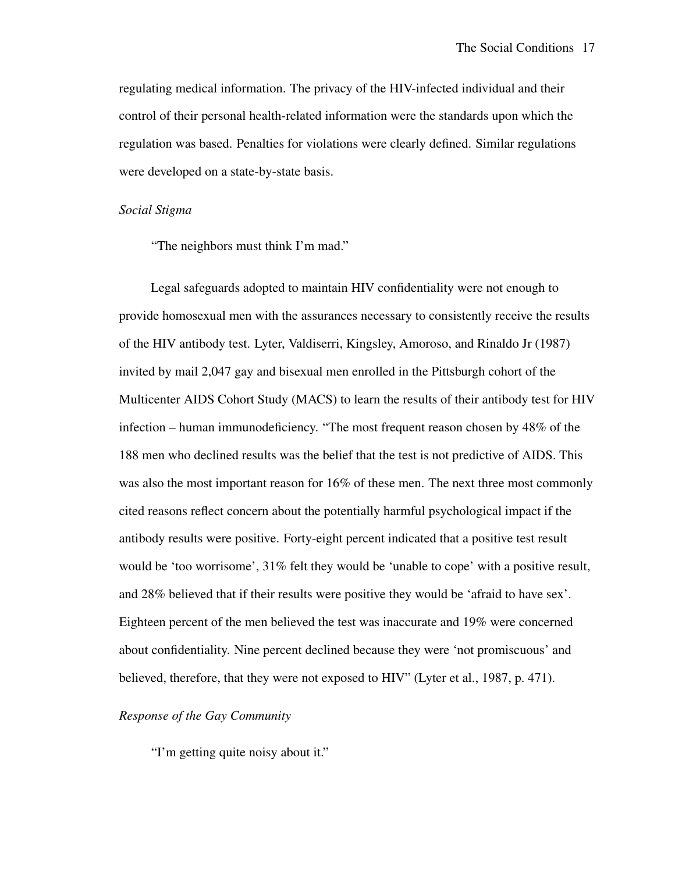regulating medical information. The privacy of the HIV-infected individual and their control of their personal health-related information were the standards upon which the regulation was based. Penalties for violations were clearly defined. Similar regulations were developed on a state-by-state basis.

#### *Social Stigma*

"The neighbors must think I'm mad."

Legal safeguards adopted to maintain HIV confidentiality were not enough to provide homosexual men with the assurances necessary to consistently receive the results of the HIV antibody test. Lyter, Valdiserri, Kingsley, Amoroso, and Rinaldo Jr (1987) invited by mail 2,047 gay and bisexual men enrolled in the Pittsburgh cohort of the Multicenter AIDS Cohort Study (MACS) to learn the results of their antibody test for HIV infection – human immunodeficiency. "The most frequent reason chosen by 48% of the 188 men who declined results was the belief that the test is not predictive of AIDS. This was also the most important reason for 16% of these men. The next three most commonly cited reasons reflect concern about the potentially harmful psychological impact if the antibody results were positive. Forty-eight percent indicated that a positive test result would be 'too worrisome', 31% felt they would be 'unable to cope' with a positive result, and 28% believed that if their results were positive they would be 'afraid to have sex'. Eighteen percent of the men believed the test was inaccurate and 19% were concerned about confidentiality. Nine percent declined because they were 'not promiscuous' and believed, therefore, that they were not exposed to HIV" (Lyter et al., 1987, p. 471).

# *Response of the Gay Community*

"I'm getting quite noisy about it."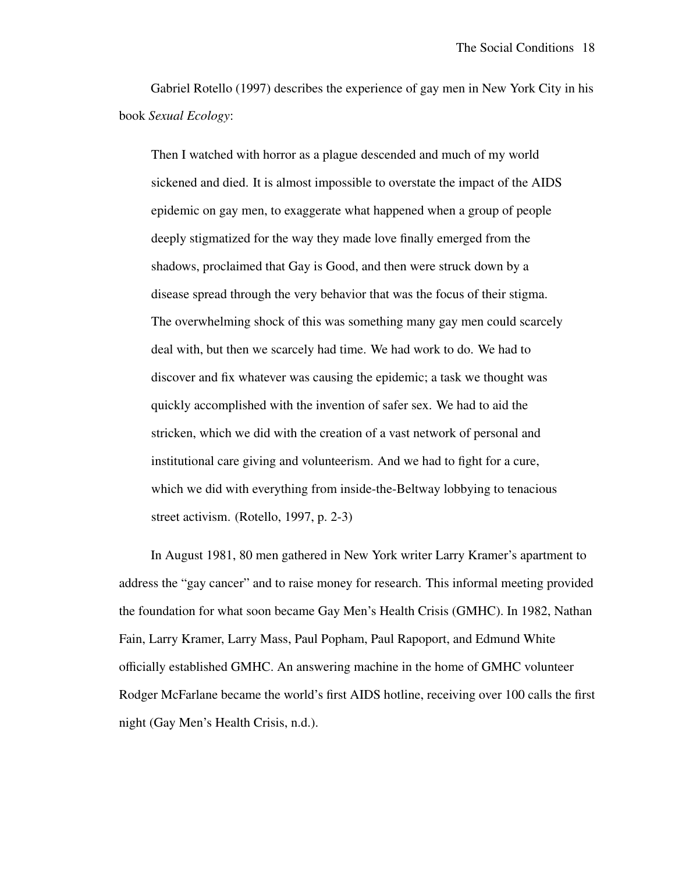Gabriel Rotello (1997) describes the experience of gay men in New York City in his book *Sexual Ecology*:

Then I watched with horror as a plague descended and much of my world sickened and died. It is almost impossible to overstate the impact of the AIDS epidemic on gay men, to exaggerate what happened when a group of people deeply stigmatized for the way they made love finally emerged from the shadows, proclaimed that Gay is Good, and then were struck down by a disease spread through the very behavior that was the focus of their stigma. The overwhelming shock of this was something many gay men could scarcely deal with, but then we scarcely had time. We had work to do. We had to discover and fix whatever was causing the epidemic; a task we thought was quickly accomplished with the invention of safer sex. We had to aid the stricken, which we did with the creation of a vast network of personal and institutional care giving and volunteerism. And we had to fight for a cure, which we did with everything from inside-the-Beltway lobbying to tenacious street activism. (Rotello, 1997, p. 2-3)

In August 1981, 80 men gathered in New York writer Larry Kramer's apartment to address the "gay cancer" and to raise money for research. This informal meeting provided the foundation for what soon became Gay Men's Health Crisis (GMHC). In 1982, Nathan Fain, Larry Kramer, Larry Mass, Paul Popham, Paul Rapoport, and Edmund White officially established GMHC. An answering machine in the home of GMHC volunteer Rodger McFarlane became the world's first AIDS hotline, receiving over 100 calls the first night (Gay Men's Health Crisis, n.d.).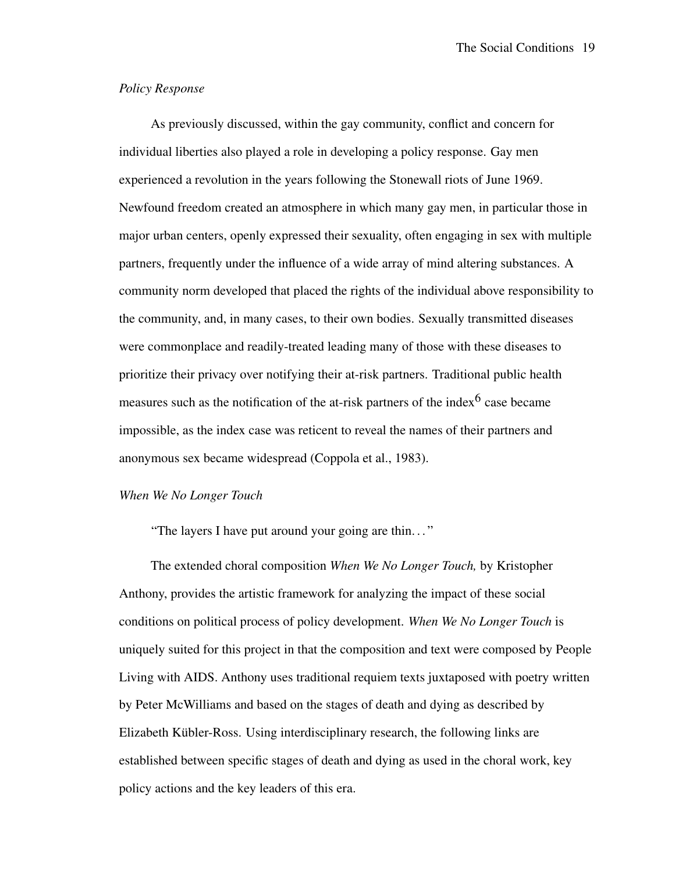# *Policy Response*

As previously discussed, within the gay community, conflict and concern for individual liberties also played a role in developing a policy response. Gay men experienced a revolution in the years following the Stonewall riots of June 1969. Newfound freedom created an atmosphere in which many gay men, in particular those in major urban centers, openly expressed their sexuality, often engaging in sex with multiple partners, frequently under the influence of a wide array of mind altering substances. A community norm developed that placed the rights of the individual above responsibility to the community, and, in many cases, to their own bodies. Sexually transmitted diseases were commonplace and readily-treated leading many of those with these diseases to prioritize their privacy over notifying their at-risk partners. Traditional public health measures such as the notification of the at-risk partners of the index  $6$  case became impossible, as the index case was reticent to reveal the names of their partners and anonymous sex became widespread (Coppola et al., 1983).

## *When We No Longer Touch*

"The layers I have put around your going are thin. . . "

The extended choral composition *When We No Longer Touch,* by Kristopher Anthony, provides the artistic framework for analyzing the impact of these social conditions on political process of policy development. *When We No Longer Touch* is uniquely suited for this project in that the composition and text were composed by People Living with AIDS. Anthony uses traditional requiem texts juxtaposed with poetry written by Peter McWilliams and based on the stages of death and dying as described by Elizabeth Kubler-Ross. Using interdisciplinary research, the following links are ¨ established between specific stages of death and dying as used in the choral work, key policy actions and the key leaders of this era.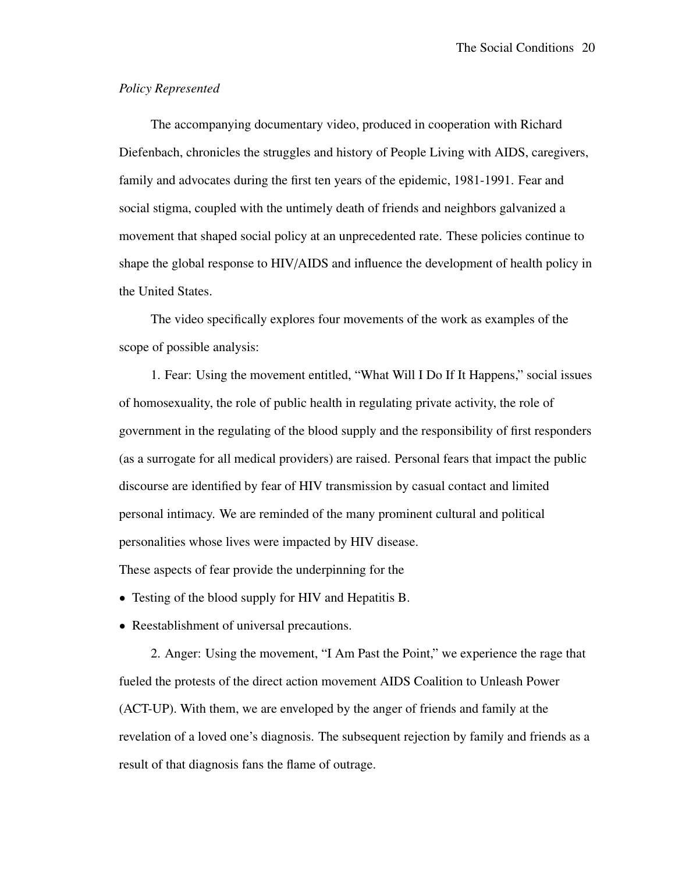# *Policy Represented*

The accompanying documentary video, produced in cooperation with Richard Diefenbach, chronicles the struggles and history of People Living with AIDS, caregivers, family and advocates during the first ten years of the epidemic, 1981-1991. Fear and social stigma, coupled with the untimely death of friends and neighbors galvanized a movement that shaped social policy at an unprecedented rate. These policies continue to shape the global response to HIV/AIDS and influence the development of health policy in the United States.

The video specifically explores four movements of the work as examples of the scope of possible analysis:

1. Fear: Using the movement entitled, "What Will I Do If It Happens," social issues of homosexuality, the role of public health in regulating private activity, the role of government in the regulating of the blood supply and the responsibility of first responders (as a surrogate for all medical providers) are raised. Personal fears that impact the public discourse are identified by fear of HIV transmission by casual contact and limited personal intimacy. We are reminded of the many prominent cultural and political personalities whose lives were impacted by HIV disease. These aspects of fear provide the underpinning for the

• Testing of the blood supply for HIV and Hepatitis B.

• Reestablishment of universal precautions.

2. Anger: Using the movement, "I Am Past the Point," we experience the rage that fueled the protests of the direct action movement AIDS Coalition to Unleash Power (ACT-UP). With them, we are enveloped by the anger of friends and family at the revelation of a loved one's diagnosis. The subsequent rejection by family and friends as a result of that diagnosis fans the flame of outrage.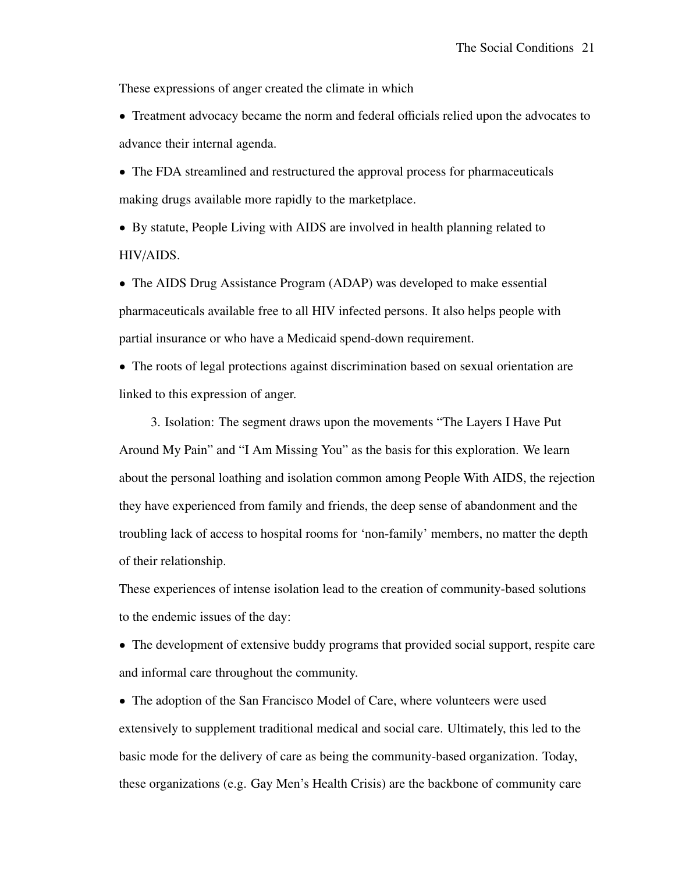These expressions of anger created the climate in which

• Treatment advocacy became the norm and federal officials relied upon the advocates to advance their internal agenda.

• The FDA streamlined and restructured the approval process for pharmaceuticals making drugs available more rapidly to the marketplace.

• By statute, People Living with AIDS are involved in health planning related to HIV/AIDS.

• The AIDS Drug Assistance Program (ADAP) was developed to make essential pharmaceuticals available free to all HIV infected persons. It also helps people with partial insurance or who have a Medicaid spend-down requirement.

• The roots of legal protections against discrimination based on sexual orientation are linked to this expression of anger.

3. Isolation: The segment draws upon the movements "The Layers I Have Put Around My Pain" and "I Am Missing You" as the basis for this exploration. We learn about the personal loathing and isolation common among People With AIDS, the rejection they have experienced from family and friends, the deep sense of abandonment and the troubling lack of access to hospital rooms for 'non-family' members, no matter the depth of their relationship.

These experiences of intense isolation lead to the creation of community-based solutions to the endemic issues of the day:

• The development of extensive buddy programs that provided social support, respite care and informal care throughout the community.

• The adoption of the San Francisco Model of Care, where volunteers were used extensively to supplement traditional medical and social care. Ultimately, this led to the basic mode for the delivery of care as being the community-based organization. Today, these organizations (e.g. Gay Men's Health Crisis) are the backbone of community care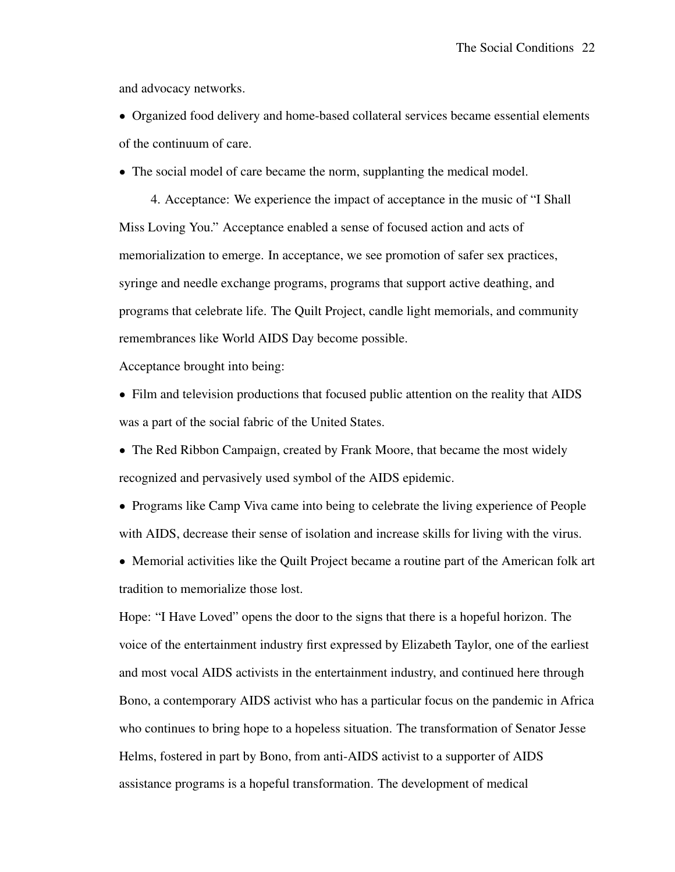and advocacy networks.

• Organized food delivery and home-based collateral services became essential elements of the continuum of care.

• The social model of care became the norm, supplanting the medical model.

4. Acceptance: We experience the impact of acceptance in the music of "I Shall Miss Loving You." Acceptance enabled a sense of focused action and acts of memorialization to emerge. In acceptance, we see promotion of safer sex practices, syringe and needle exchange programs, programs that support active deathing, and programs that celebrate life. The Quilt Project, candle light memorials, and community remembrances like World AIDS Day become possible.

Acceptance brought into being:

• Film and television productions that focused public attention on the reality that AIDS was a part of the social fabric of the United States.

• The Red Ribbon Campaign, created by Frank Moore, that became the most widely recognized and pervasively used symbol of the AIDS epidemic.

• Programs like Camp Viva came into being to celebrate the living experience of People with AIDS, decrease their sense of isolation and increase skills for living with the virus.

• Memorial activities like the Quilt Project became a routine part of the American folk art tradition to memorialize those lost.

Hope: "I Have Loved" opens the door to the signs that there is a hopeful horizon. The voice of the entertainment industry first expressed by Elizabeth Taylor, one of the earliest and most vocal AIDS activists in the entertainment industry, and continued here through Bono, a contemporary AIDS activist who has a particular focus on the pandemic in Africa who continues to bring hope to a hopeless situation. The transformation of Senator Jesse Helms, fostered in part by Bono, from anti-AIDS activist to a supporter of AIDS assistance programs is a hopeful transformation. The development of medical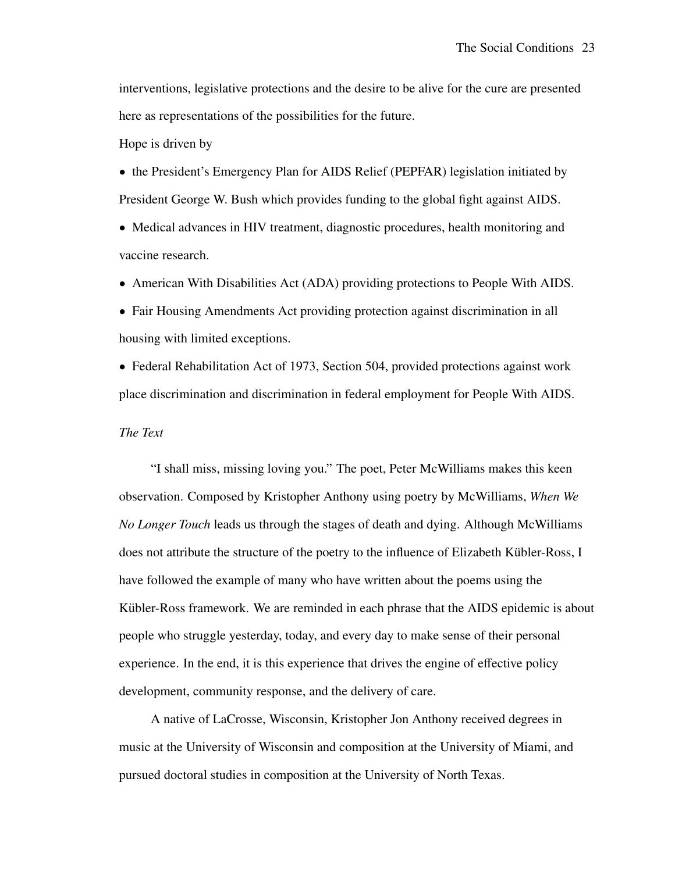interventions, legislative protections and the desire to be alive for the cure are presented here as representations of the possibilities for the future.

Hope is driven by

• the President's Emergency Plan for AIDS Relief (PEPFAR) legislation initiated by President George W. Bush which provides funding to the global fight against AIDS.

• Medical advances in HIV treatment, diagnostic procedures, health monitoring and vaccine research.

• American With Disabilities Act (ADA) providing protections to People With AIDS.

• Fair Housing Amendments Act providing protection against discrimination in all housing with limited exceptions.

• Federal Rehabilitation Act of 1973, Section 504, provided protections against work place discrimination and discrimination in federal employment for People With AIDS.

*The Text*

"I shall miss, missing loving you." The poet, Peter McWilliams makes this keen observation. Composed by Kristopher Anthony using poetry by McWilliams, *When We No Longer Touch* leads us through the stages of death and dying. Although McWilliams does not attribute the structure of the poetry to the influence of Elizabeth Kübler-Ross, I have followed the example of many who have written about the poems using the Kübler-Ross framework. We are reminded in each phrase that the AIDS epidemic is about people who struggle yesterday, today, and every day to make sense of their personal experience. In the end, it is this experience that drives the engine of effective policy development, community response, and the delivery of care.

A native of LaCrosse, Wisconsin, Kristopher Jon Anthony received degrees in music at the University of Wisconsin and composition at the University of Miami, and pursued doctoral studies in composition at the University of North Texas.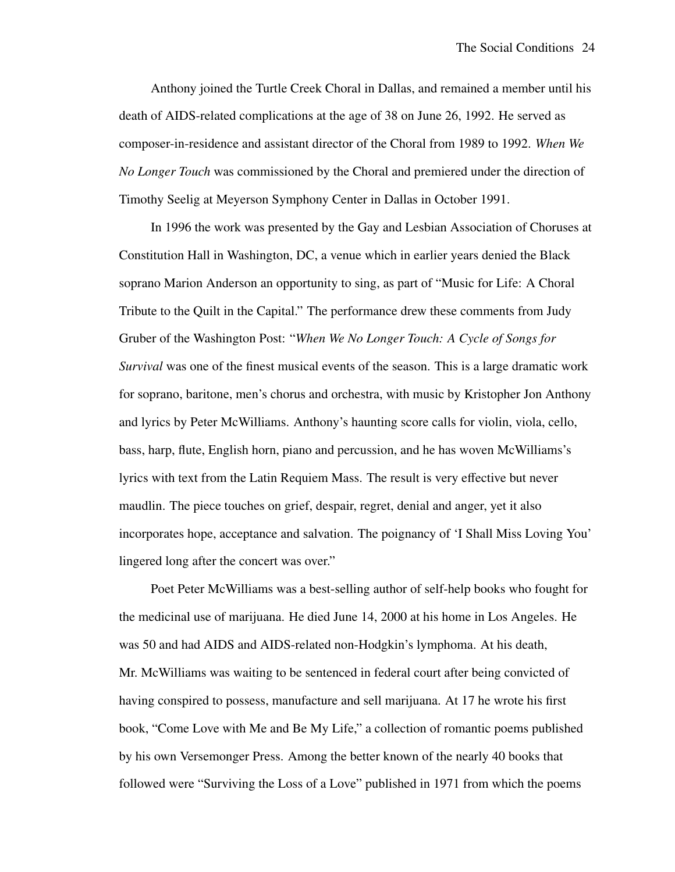Anthony joined the Turtle Creek Choral in Dallas, and remained a member until his death of AIDS-related complications at the age of 38 on June 26, 1992. He served as composer-in-residence and assistant director of the Choral from 1989 to 1992. *When We No Longer Touch* was commissioned by the Choral and premiered under the direction of Timothy Seelig at Meyerson Symphony Center in Dallas in October 1991.

In 1996 the work was presented by the Gay and Lesbian Association of Choruses at Constitution Hall in Washington, DC, a venue which in earlier years denied the Black soprano Marion Anderson an opportunity to sing, as part of "Music for Life: A Choral Tribute to the Quilt in the Capital." The performance drew these comments from Judy Gruber of the Washington Post: "*When We No Longer Touch: A Cycle of Songs for Survival* was one of the finest musical events of the season. This is a large dramatic work for soprano, baritone, men's chorus and orchestra, with music by Kristopher Jon Anthony and lyrics by Peter McWilliams. Anthony's haunting score calls for violin, viola, cello, bass, harp, flute, English horn, piano and percussion, and he has woven McWilliams's lyrics with text from the Latin Requiem Mass. The result is very effective but never maudlin. The piece touches on grief, despair, regret, denial and anger, yet it also incorporates hope, acceptance and salvation. The poignancy of 'I Shall Miss Loving You' lingered long after the concert was over."

Poet Peter McWilliams was a best-selling author of self-help books who fought for the medicinal use of marijuana. He died June 14, 2000 at his home in Los Angeles. He was 50 and had AIDS and AIDS-related non-Hodgkin's lymphoma. At his death, Mr. McWilliams was waiting to be sentenced in federal court after being convicted of having conspired to possess, manufacture and sell marijuana. At 17 he wrote his first book, "Come Love with Me and Be My Life," a collection of romantic poems published by his own Versemonger Press. Among the better known of the nearly 40 books that followed were "Surviving the Loss of a Love" published in 1971 from which the poems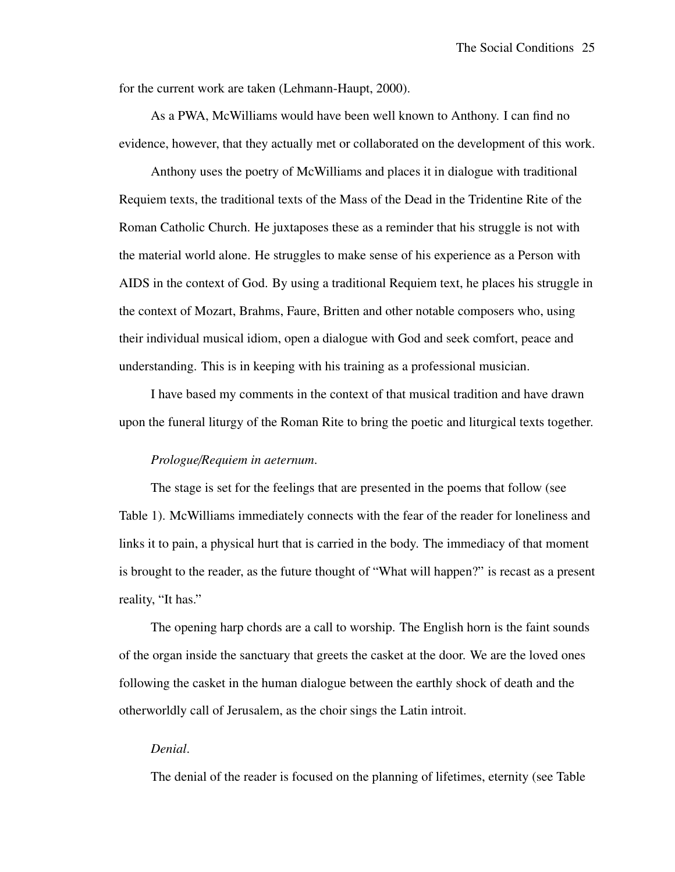for the current work are taken (Lehmann-Haupt, 2000).

As a PWA, McWilliams would have been well known to Anthony. I can find no evidence, however, that they actually met or collaborated on the development of this work.

Anthony uses the poetry of McWilliams and places it in dialogue with traditional Requiem texts, the traditional texts of the Mass of the Dead in the Tridentine Rite of the Roman Catholic Church. He juxtaposes these as a reminder that his struggle is not with the material world alone. He struggles to make sense of his experience as a Person with AIDS in the context of God. By using a traditional Requiem text, he places his struggle in the context of Mozart, Brahms, Faure, Britten and other notable composers who, using their individual musical idiom, open a dialogue with God and seek comfort, peace and understanding. This is in keeping with his training as a professional musician.

I have based my comments in the context of that musical tradition and have drawn upon the funeral liturgy of the Roman Rite to bring the poetic and liturgical texts together.

# *Prologue*/*Requiem in aeternum*.

The stage is set for the feelings that are presented in the poems that follow (see Table 1). McWilliams immediately connects with the fear of the reader for loneliness and links it to pain, a physical hurt that is carried in the body. The immediacy of that moment is brought to the reader, as the future thought of "What will happen?" is recast as a present reality, "It has."

The opening harp chords are a call to worship. The English horn is the faint sounds of the organ inside the sanctuary that greets the casket at the door. We are the loved ones following the casket in the human dialogue between the earthly shock of death and the otherworldly call of Jerusalem, as the choir sings the Latin introit.

#### *Denial*.

The denial of the reader is focused on the planning of lifetimes, eternity (see Table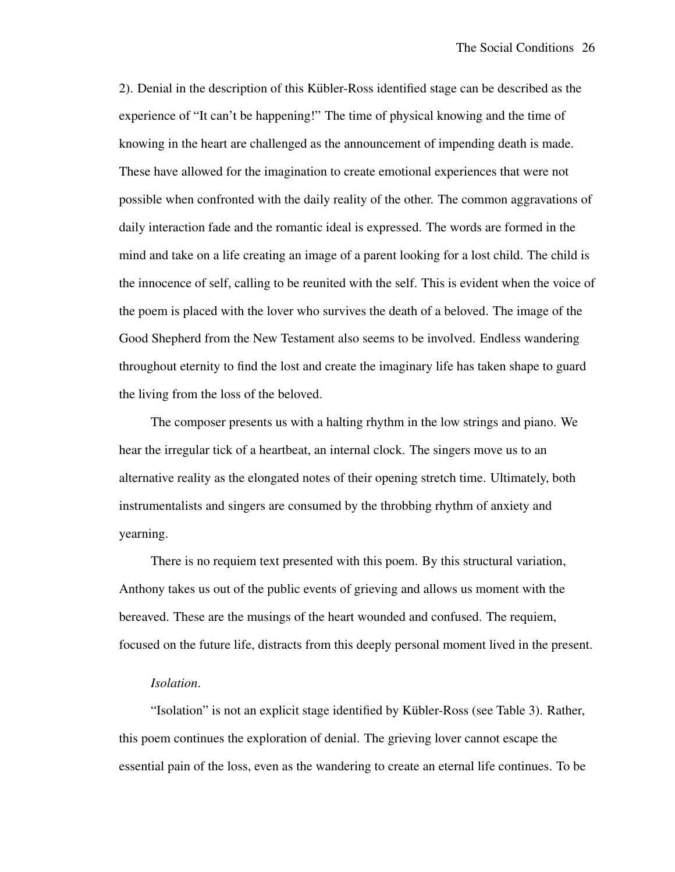2). Denial in the description of this Kübler-Ross identified stage can be described as the experience of "It can't be happening!" The time of physical knowing and the time of knowing in the heart are challenged as the announcement of impending death is made. These have allowed for the imagination to create emotional experiences that were not possible when confronted with the daily reality of the other. The common aggravations of daily interaction fade and the romantic ideal is expressed. The words are formed in the mind and take on a life creating an image of a parent looking for a lost child. The child is the innocence of self, calling to be reunited with the self. This is evident when the voice of the poem is placed with the lover who survives the death of a beloved. The image of the Good Shepherd from the New Testament also seems to be involved. Endless wandering throughout eternity to find the lost and create the imaginary life has taken shape to guard the living from the loss of the beloved.

The composer presents us with a halting rhythm in the low strings and piano. We hear the irregular tick of a heartbeat, an internal clock. The singers move us to an alternative reality as the elongated notes of their opening stretch time. Ultimately, both instrumentalists and singers are consumed by the throbbing rhythm of anxiety and yearning.

There is no requiem text presented with this poem. By this structural variation, Anthony takes us out of the public events of grieving and allows us moment with the bereaved. These are the musings of the heart wounded and confused. The requiem, focused on the future life, distracts from this deeply personal moment lived in the present.

#### *Isolation*.

"Isolation" is not an explicit stage identified by Kubler-Ross (see Table 3). Rather, ¨ this poem continues the exploration of denial. The grieving lover cannot escape the essential pain of the loss, even as the wandering to create an eternal life continues. To be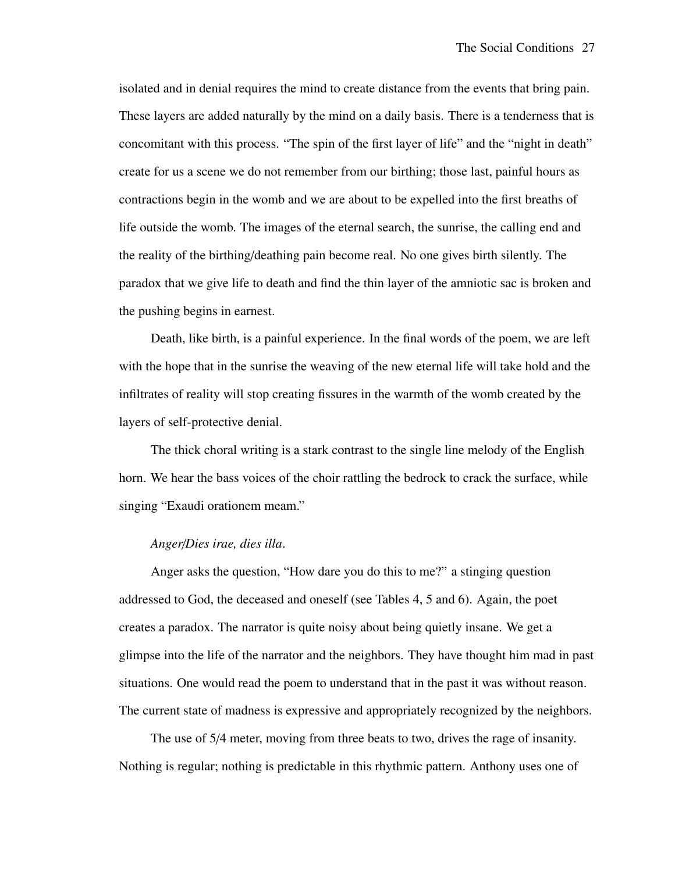isolated and in denial requires the mind to create distance from the events that bring pain. These layers are added naturally by the mind on a daily basis. There is a tenderness that is concomitant with this process. "The spin of the first layer of life" and the "night in death" create for us a scene we do not remember from our birthing; those last, painful hours as contractions begin in the womb and we are about to be expelled into the first breaths of life outside the womb. The images of the eternal search, the sunrise, the calling end and the reality of the birthing/deathing pain become real. No one gives birth silently. The paradox that we give life to death and find the thin layer of the amniotic sac is broken and the pushing begins in earnest.

Death, like birth, is a painful experience. In the final words of the poem, we are left with the hope that in the sunrise the weaving of the new eternal life will take hold and the infiltrates of reality will stop creating fissures in the warmth of the womb created by the layers of self-protective denial.

The thick choral writing is a stark contrast to the single line melody of the English horn. We hear the bass voices of the choir rattling the bedrock to crack the surface, while singing "Exaudi orationem meam."

#### *Anger*/*Dies irae, dies illa*.

Anger asks the question, "How dare you do this to me?" a stinging question addressed to God, the deceased and oneself (see Tables 4, 5 and 6). Again, the poet creates a paradox. The narrator is quite noisy about being quietly insane. We get a glimpse into the life of the narrator and the neighbors. They have thought him mad in past situations. One would read the poem to understand that in the past it was without reason. The current state of madness is expressive and appropriately recognized by the neighbors.

The use of 5/4 meter, moving from three beats to two, drives the rage of insanity. Nothing is regular; nothing is predictable in this rhythmic pattern. Anthony uses one of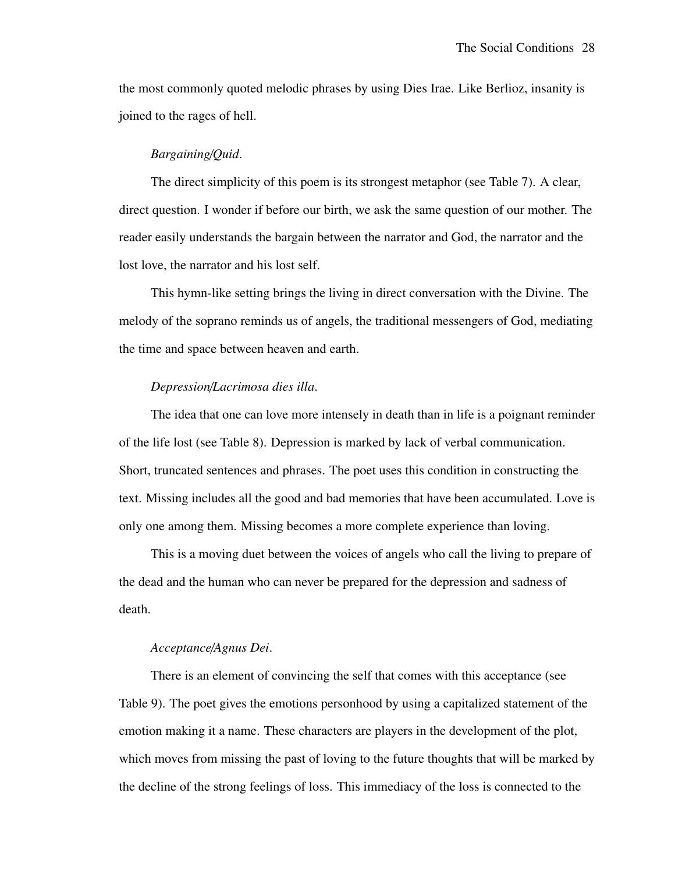the most commonly quoted melodic phrases by using Dies Irae. Like Berlioz, insanity is joined to the rages of hell.

#### *Bargaining*/*Quid*.

The direct simplicity of this poem is its strongest metaphor (see Table 7). A clear, direct question. I wonder if before our birth, we ask the same question of our mother. The reader easily understands the bargain between the narrator and God, the narrator and the lost love, the narrator and his lost self.

This hymn-like setting brings the living in direct conversation with the Divine. The melody of the soprano reminds us of angels, the traditional messengers of God, mediating the time and space between heaven and earth.

# *Depression*/*Lacrimosa dies illa*.

The idea that one can love more intensely in death than in life is a poignant reminder of the life lost (see Table 8). Depression is marked by lack of verbal communication. Short, truncated sentences and phrases. The poet uses this condition in constructing the text. Missing includes all the good and bad memories that have been accumulated. Love is only one among them. Missing becomes a more complete experience than loving.

This is a moving duet between the voices of angels who call the living to prepare of the dead and the human who can never be prepared for the depression and sadness of death.

#### *Acceptance*/*Agnus Dei*.

There is an element of convincing the self that comes with this acceptance (see Table 9). The poet gives the emotions personhood by using a capitalized statement of the emotion making it a name. These characters are players in the development of the plot, which moves from missing the past of loving to the future thoughts that will be marked by the decline of the strong feelings of loss. This immediacy of the loss is connected to the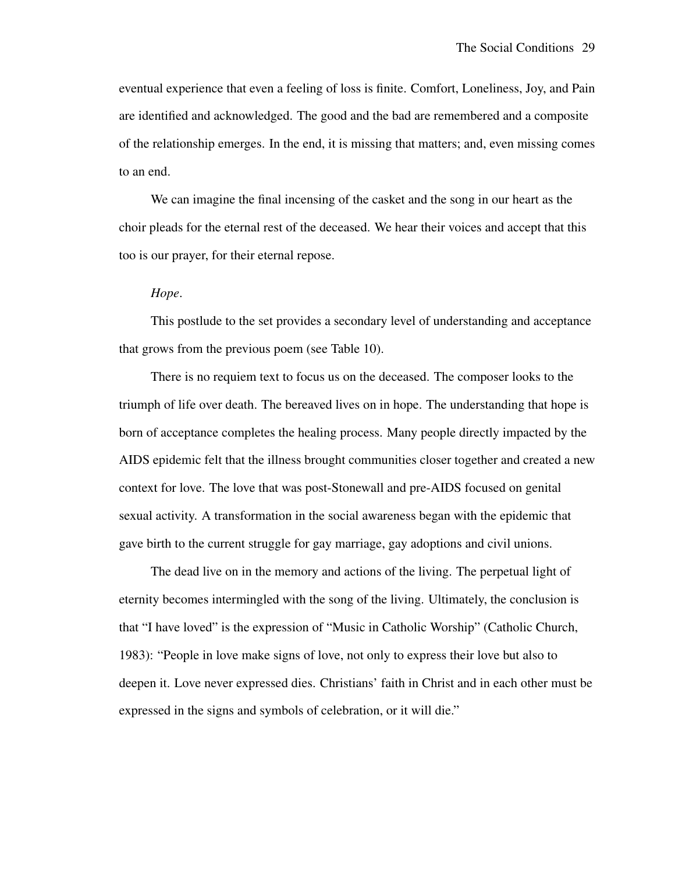eventual experience that even a feeling of loss is finite. Comfort, Loneliness, Joy, and Pain are identified and acknowledged. The good and the bad are remembered and a composite of the relationship emerges. In the end, it is missing that matters; and, even missing comes to an end.

We can imagine the final incensing of the casket and the song in our heart as the choir pleads for the eternal rest of the deceased. We hear their voices and accept that this too is our prayer, for their eternal repose.

#### *Hope*.

This postlude to the set provides a secondary level of understanding and acceptance that grows from the previous poem (see Table 10).

There is no requiem text to focus us on the deceased. The composer looks to the triumph of life over death. The bereaved lives on in hope. The understanding that hope is born of acceptance completes the healing process. Many people directly impacted by the AIDS epidemic felt that the illness brought communities closer together and created a new context for love. The love that was post-Stonewall and pre-AIDS focused on genital sexual activity. A transformation in the social awareness began with the epidemic that gave birth to the current struggle for gay marriage, gay adoptions and civil unions.

The dead live on in the memory and actions of the living. The perpetual light of eternity becomes intermingled with the song of the living. Ultimately, the conclusion is that "I have loved" is the expression of "Music in Catholic Worship" (Catholic Church, 1983): "People in love make signs of love, not only to express their love but also to deepen it. Love never expressed dies. Christians' faith in Christ and in each other must be expressed in the signs and symbols of celebration, or it will die."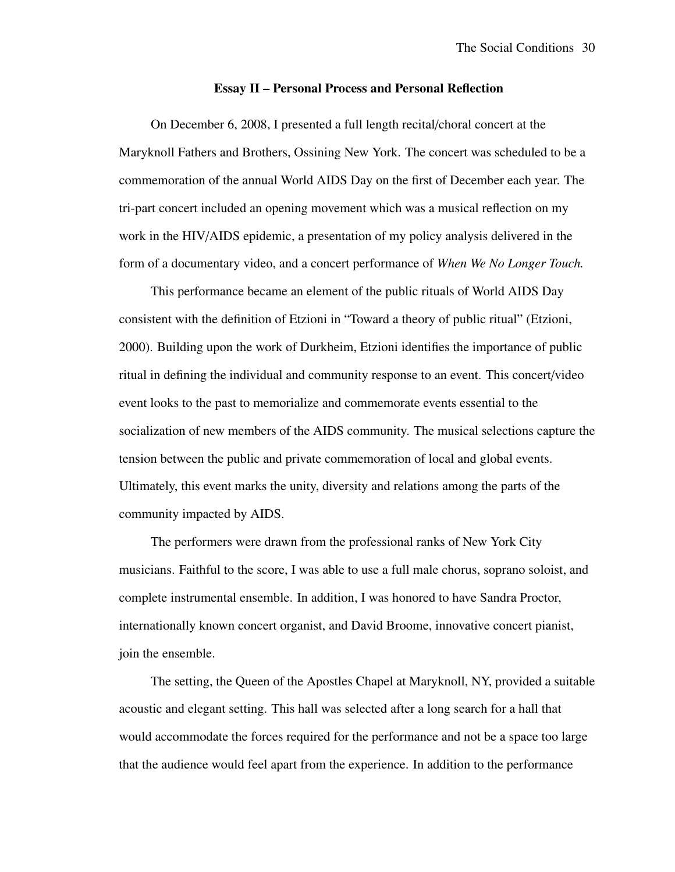#### Essay II – Personal Process and Personal Reflection

On December 6, 2008, I presented a full length recital/choral concert at the Maryknoll Fathers and Brothers, Ossining New York. The concert was scheduled to be a commemoration of the annual World AIDS Day on the first of December each year. The tri-part concert included an opening movement which was a musical reflection on my work in the HIV/AIDS epidemic, a presentation of my policy analysis delivered in the form of a documentary video, and a concert performance of *When We No Longer Touch.*

This performance became an element of the public rituals of World AIDS Day consistent with the definition of Etzioni in "Toward a theory of public ritual" (Etzioni, 2000). Building upon the work of Durkheim, Etzioni identifies the importance of public ritual in defining the individual and community response to an event. This concert/video event looks to the past to memorialize and commemorate events essential to the socialization of new members of the AIDS community. The musical selections capture the tension between the public and private commemoration of local and global events. Ultimately, this event marks the unity, diversity and relations among the parts of the community impacted by AIDS.

The performers were drawn from the professional ranks of New York City musicians. Faithful to the score, I was able to use a full male chorus, soprano soloist, and complete instrumental ensemble. In addition, I was honored to have Sandra Proctor, internationally known concert organist, and David Broome, innovative concert pianist, join the ensemble.

The setting, the Queen of the Apostles Chapel at Maryknoll, NY, provided a suitable acoustic and elegant setting. This hall was selected after a long search for a hall that would accommodate the forces required for the performance and not be a space too large that the audience would feel apart from the experience. In addition to the performance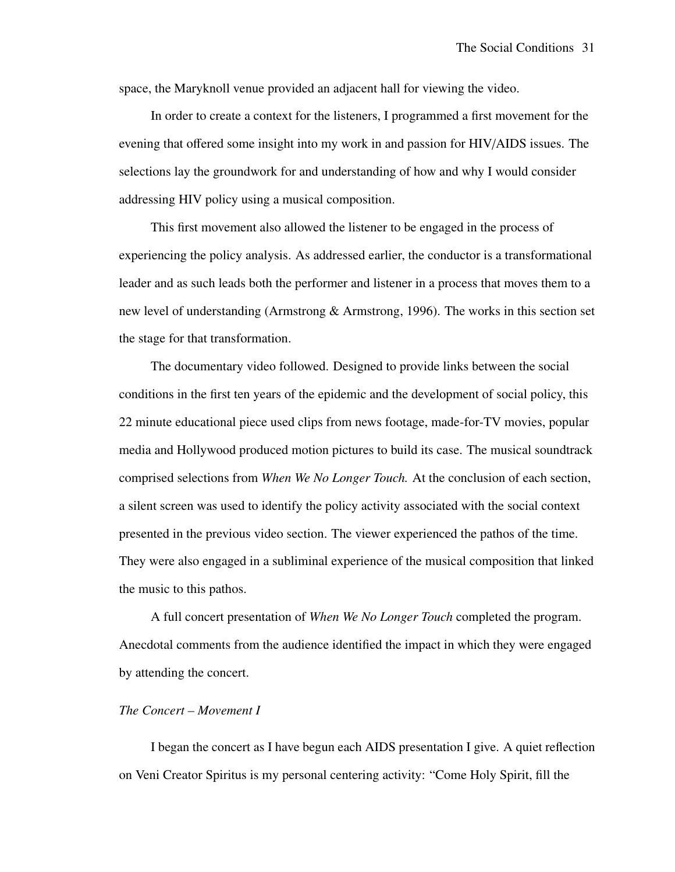space, the Maryknoll venue provided an adjacent hall for viewing the video.

In order to create a context for the listeners, I programmed a first movement for the evening that offered some insight into my work in and passion for HIV/AIDS issues. The selections lay the groundwork for and understanding of how and why I would consider addressing HIV policy using a musical composition.

This first movement also allowed the listener to be engaged in the process of experiencing the policy analysis. As addressed earlier, the conductor is a transformational leader and as such leads both the performer and listener in a process that moves them to a new level of understanding (Armstrong & Armstrong, 1996). The works in this section set the stage for that transformation.

The documentary video followed. Designed to provide links between the social conditions in the first ten years of the epidemic and the development of social policy, this 22 minute educational piece used clips from news footage, made-for-TV movies, popular media and Hollywood produced motion pictures to build its case. The musical soundtrack comprised selections from *When We No Longer Touch.* At the conclusion of each section, a silent screen was used to identify the policy activity associated with the social context presented in the previous video section. The viewer experienced the pathos of the time. They were also engaged in a subliminal experience of the musical composition that linked the music to this pathos.

A full concert presentation of *When We No Longer Touch* completed the program. Anecdotal comments from the audience identified the impact in which they were engaged by attending the concert.

# *The Concert – Movement I*

I began the concert as I have begun each AIDS presentation I give. A quiet reflection on Veni Creator Spiritus is my personal centering activity: "Come Holy Spirit, fill the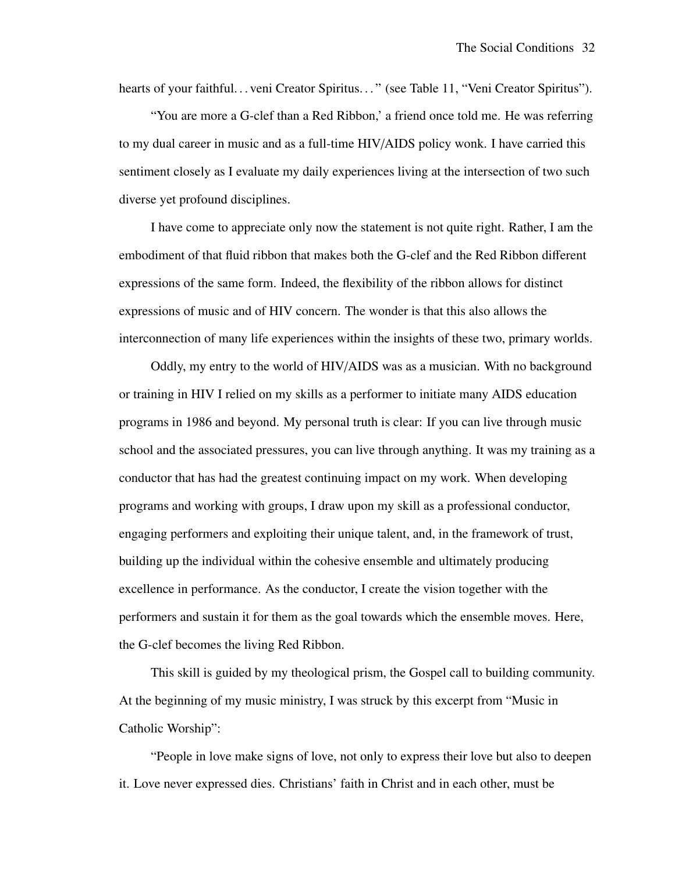hearts of your faithful... veni Creator Spiritus..." (see Table 11, "Veni Creator Spiritus").

"You are more a G-clef than a Red Ribbon,' a friend once told me. He was referring to my dual career in music and as a full-time HIV/AIDS policy wonk. I have carried this sentiment closely as I evaluate my daily experiences living at the intersection of two such diverse yet profound disciplines.

I have come to appreciate only now the statement is not quite right. Rather, I am the embodiment of that fluid ribbon that makes both the G-clef and the Red Ribbon different expressions of the same form. Indeed, the flexibility of the ribbon allows for distinct expressions of music and of HIV concern. The wonder is that this also allows the interconnection of many life experiences within the insights of these two, primary worlds.

Oddly, my entry to the world of HIV/AIDS was as a musician. With no background or training in HIV I relied on my skills as a performer to initiate many AIDS education programs in 1986 and beyond. My personal truth is clear: If you can live through music school and the associated pressures, you can live through anything. It was my training as a conductor that has had the greatest continuing impact on my work. When developing programs and working with groups, I draw upon my skill as a professional conductor, engaging performers and exploiting their unique talent, and, in the framework of trust, building up the individual within the cohesive ensemble and ultimately producing excellence in performance. As the conductor, I create the vision together with the performers and sustain it for them as the goal towards which the ensemble moves. Here, the G-clef becomes the living Red Ribbon.

This skill is guided by my theological prism, the Gospel call to building community. At the beginning of my music ministry, I was struck by this excerpt from "Music in Catholic Worship":

"People in love make signs of love, not only to express their love but also to deepen it. Love never expressed dies. Christians' faith in Christ and in each other, must be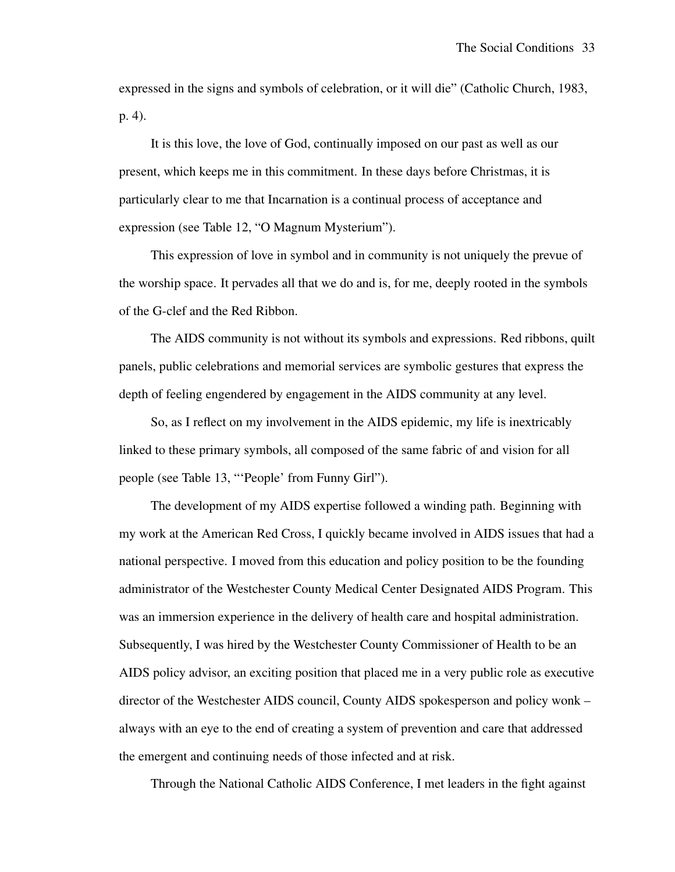expressed in the signs and symbols of celebration, or it will die" (Catholic Church, 1983, p. 4).

It is this love, the love of God, continually imposed on our past as well as our present, which keeps me in this commitment. In these days before Christmas, it is particularly clear to me that Incarnation is a continual process of acceptance and expression (see Table 12, "O Magnum Mysterium").

This expression of love in symbol and in community is not uniquely the prevue of the worship space. It pervades all that we do and is, for me, deeply rooted in the symbols of the G-clef and the Red Ribbon.

The AIDS community is not without its symbols and expressions. Red ribbons, quilt panels, public celebrations and memorial services are symbolic gestures that express the depth of feeling engendered by engagement in the AIDS community at any level.

So, as I reflect on my involvement in the AIDS epidemic, my life is inextricably linked to these primary symbols, all composed of the same fabric of and vision for all people (see Table 13, "'People' from Funny Girl").

The development of my AIDS expertise followed a winding path. Beginning with my work at the American Red Cross, I quickly became involved in AIDS issues that had a national perspective. I moved from this education and policy position to be the founding administrator of the Westchester County Medical Center Designated AIDS Program. This was an immersion experience in the delivery of health care and hospital administration. Subsequently, I was hired by the Westchester County Commissioner of Health to be an AIDS policy advisor, an exciting position that placed me in a very public role as executive director of the Westchester AIDS council, County AIDS spokesperson and policy wonk – always with an eye to the end of creating a system of prevention and care that addressed the emergent and continuing needs of those infected and at risk.

Through the National Catholic AIDS Conference, I met leaders in the fight against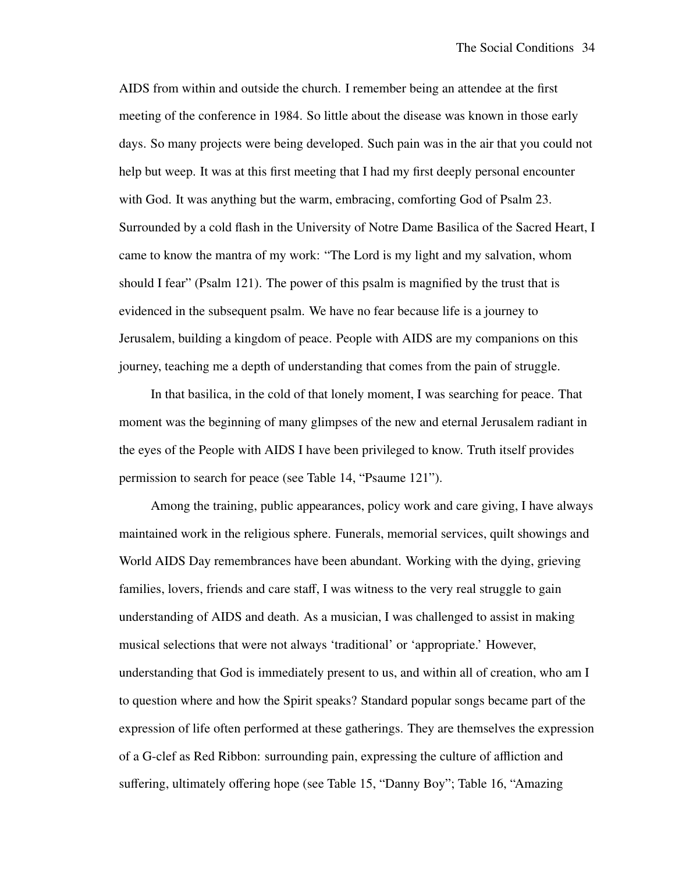AIDS from within and outside the church. I remember being an attendee at the first meeting of the conference in 1984. So little about the disease was known in those early days. So many projects were being developed. Such pain was in the air that you could not help but weep. It was at this first meeting that I had my first deeply personal encounter with God. It was anything but the warm, embracing, comforting God of Psalm 23. Surrounded by a cold flash in the University of Notre Dame Basilica of the Sacred Heart, I came to know the mantra of my work: "The Lord is my light and my salvation, whom should I fear" (Psalm 121). The power of this psalm is magnified by the trust that is evidenced in the subsequent psalm. We have no fear because life is a journey to Jerusalem, building a kingdom of peace. People with AIDS are my companions on this journey, teaching me a depth of understanding that comes from the pain of struggle.

In that basilica, in the cold of that lonely moment, I was searching for peace. That moment was the beginning of many glimpses of the new and eternal Jerusalem radiant in the eyes of the People with AIDS I have been privileged to know. Truth itself provides permission to search for peace (see Table 14, "Psaume 121").

Among the training, public appearances, policy work and care giving, I have always maintained work in the religious sphere. Funerals, memorial services, quilt showings and World AIDS Day remembrances have been abundant. Working with the dying, grieving families, lovers, friends and care staff, I was witness to the very real struggle to gain understanding of AIDS and death. As a musician, I was challenged to assist in making musical selections that were not always 'traditional' or 'appropriate.' However, understanding that God is immediately present to us, and within all of creation, who am I to question where and how the Spirit speaks? Standard popular songs became part of the expression of life often performed at these gatherings. They are themselves the expression of a G-clef as Red Ribbon: surrounding pain, expressing the culture of affliction and suffering, ultimately offering hope (see Table 15, "Danny Boy"; Table 16, "Amazing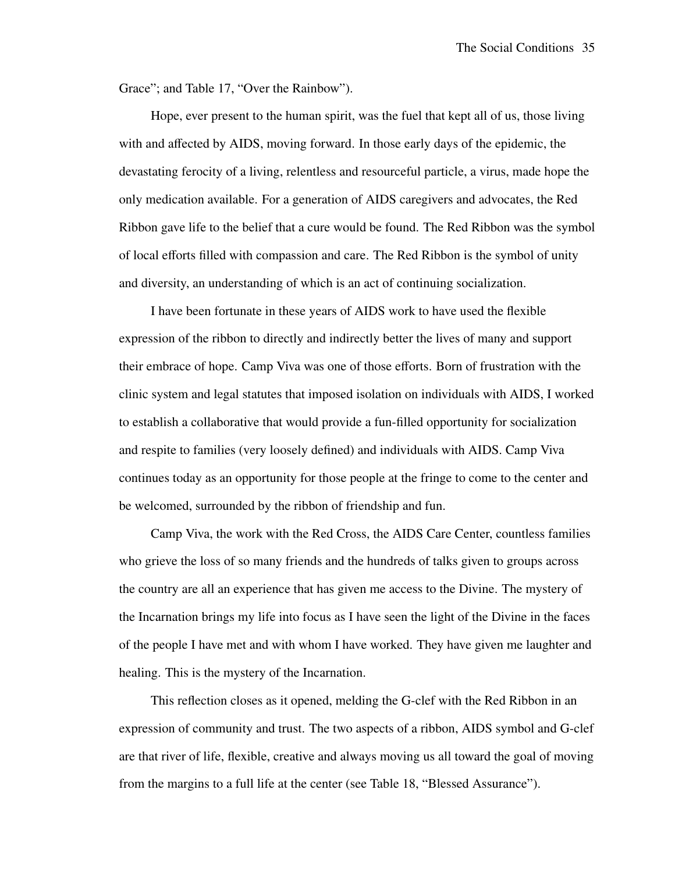Grace"; and Table 17, "Over the Rainbow").

Hope, ever present to the human spirit, was the fuel that kept all of us, those living with and affected by AIDS, moving forward. In those early days of the epidemic, the devastating ferocity of a living, relentless and resourceful particle, a virus, made hope the only medication available. For a generation of AIDS caregivers and advocates, the Red Ribbon gave life to the belief that a cure would be found. The Red Ribbon was the symbol of local efforts filled with compassion and care. The Red Ribbon is the symbol of unity and diversity, an understanding of which is an act of continuing socialization.

I have been fortunate in these years of AIDS work to have used the flexible expression of the ribbon to directly and indirectly better the lives of many and support their embrace of hope. Camp Viva was one of those efforts. Born of frustration with the clinic system and legal statutes that imposed isolation on individuals with AIDS, I worked to establish a collaborative that would provide a fun-filled opportunity for socialization and respite to families (very loosely defined) and individuals with AIDS. Camp Viva continues today as an opportunity for those people at the fringe to come to the center and be welcomed, surrounded by the ribbon of friendship and fun.

Camp Viva, the work with the Red Cross, the AIDS Care Center, countless families who grieve the loss of so many friends and the hundreds of talks given to groups across the country are all an experience that has given me access to the Divine. The mystery of the Incarnation brings my life into focus as I have seen the light of the Divine in the faces of the people I have met and with whom I have worked. They have given me laughter and healing. This is the mystery of the Incarnation.

This reflection closes as it opened, melding the G-clef with the Red Ribbon in an expression of community and trust. The two aspects of a ribbon, AIDS symbol and G-clef are that river of life, flexible, creative and always moving us all toward the goal of moving from the margins to a full life at the center (see Table 18, "Blessed Assurance").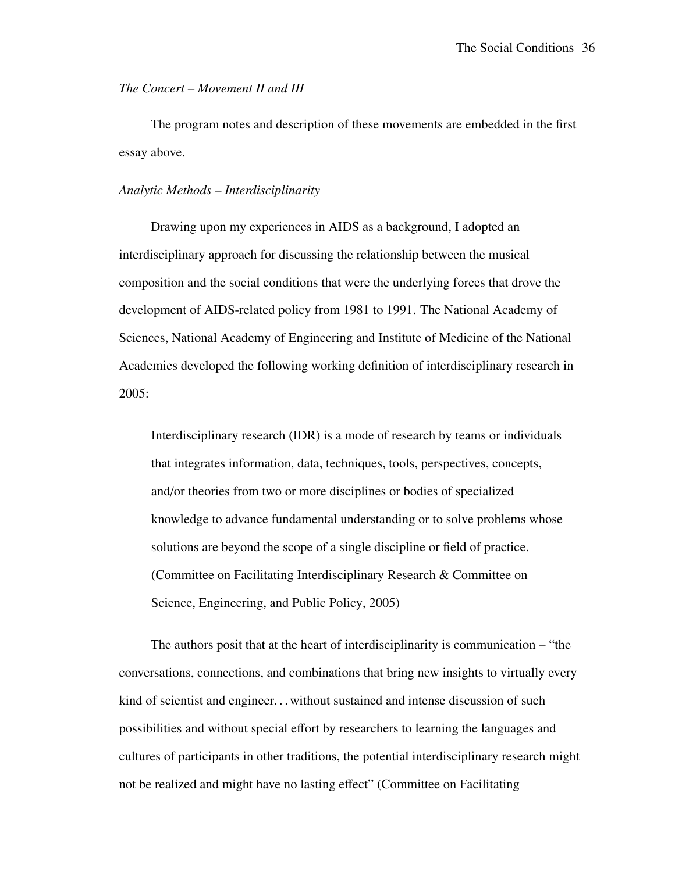#### *The Concert – Movement II and III*

The program notes and description of these movements are embedded in the first essay above.

# *Analytic Methods – Interdisciplinarity*

Drawing upon my experiences in AIDS as a background, I adopted an interdisciplinary approach for discussing the relationship between the musical composition and the social conditions that were the underlying forces that drove the development of AIDS-related policy from 1981 to 1991. The National Academy of Sciences, National Academy of Engineering and Institute of Medicine of the National Academies developed the following working definition of interdisciplinary research in 2005:

Interdisciplinary research (IDR) is a mode of research by teams or individuals that integrates information, data, techniques, tools, perspectives, concepts, and/or theories from two or more disciplines or bodies of specialized knowledge to advance fundamental understanding or to solve problems whose solutions are beyond the scope of a single discipline or field of practice. (Committee on Facilitating Interdisciplinary Research & Committee on Science, Engineering, and Public Policy, 2005)

The authors posit that at the heart of interdisciplinarity is communication – "the conversations, connections, and combinations that bring new insights to virtually every kind of scientist and engineer. . . without sustained and intense discussion of such possibilities and without special effort by researchers to learning the languages and cultures of participants in other traditions, the potential interdisciplinary research might not be realized and might have no lasting effect" (Committee on Facilitating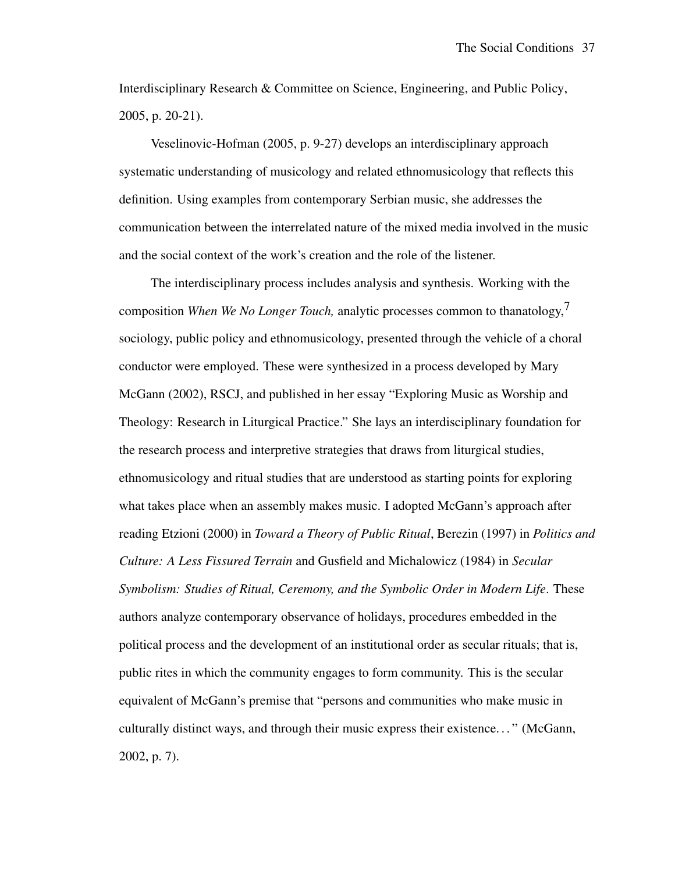Interdisciplinary Research & Committee on Science, Engineering, and Public Policy, 2005, p. 20-21).

Veselinovic-Hofman (2005, p. 9-27) develops an interdisciplinary approach systematic understanding of musicology and related ethnomusicology that reflects this definition. Using examples from contemporary Serbian music, she addresses the communication between the interrelated nature of the mixed media involved in the music and the social context of the work's creation and the role of the listener.

The interdisciplinary process includes analysis and synthesis. Working with the composition *When We No Longer Touch,* analytic processes common to thanatology,7 sociology, public policy and ethnomusicology, presented through the vehicle of a choral conductor were employed. These were synthesized in a process developed by Mary McGann (2002), RSCJ, and published in her essay "Exploring Music as Worship and Theology: Research in Liturgical Practice." She lays an interdisciplinary foundation for the research process and interpretive strategies that draws from liturgical studies, ethnomusicology and ritual studies that are understood as starting points for exploring what takes place when an assembly makes music. I adopted McGann's approach after reading Etzioni (2000) in *Toward a Theory of Public Ritual*, Berezin (1997) in *Politics and Culture: A Less Fissured Terrain* and Gusfield and Michalowicz (1984) in *Secular Symbolism: Studies of Ritual, Ceremony, and the Symbolic Order in Modern Life*. These authors analyze contemporary observance of holidays, procedures embedded in the political process and the development of an institutional order as secular rituals; that is, public rites in which the community engages to form community. This is the secular equivalent of McGann's premise that "persons and communities who make music in culturally distinct ways, and through their music express their existence. . . " (McGann, 2002, p. 7).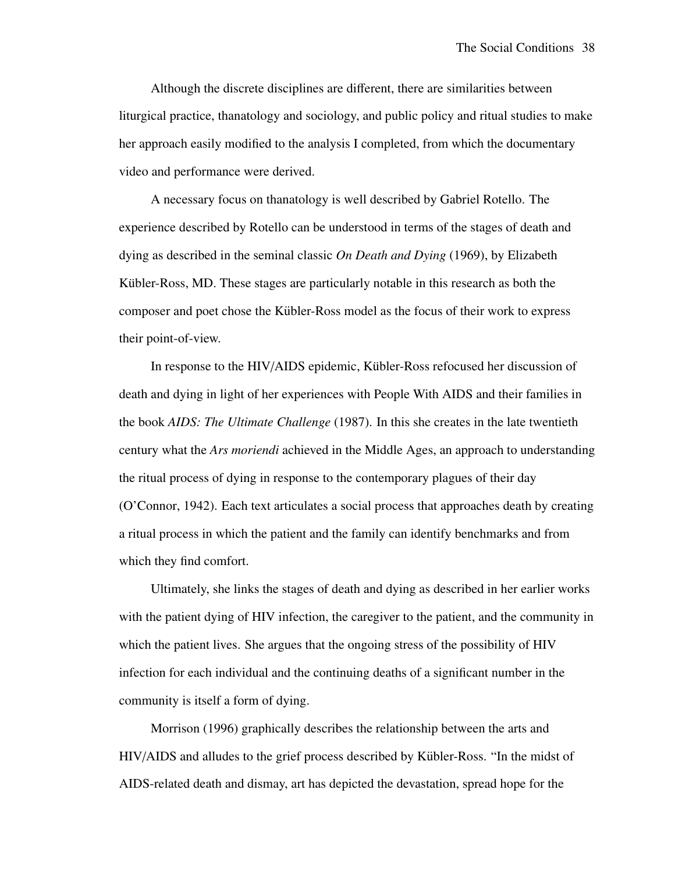Although the discrete disciplines are different, there are similarities between liturgical practice, thanatology and sociology, and public policy and ritual studies to make her approach easily modified to the analysis I completed, from which the documentary video and performance were derived.

A necessary focus on thanatology is well described by Gabriel Rotello. The experience described by Rotello can be understood in terms of the stages of death and dying as described in the seminal classic *On Death and Dying* (1969), by Elizabeth Kübler-Ross, MD. These stages are particularly notable in this research as both the composer and poet chose the Kubler-Ross model as the focus of their work to express ¨ their point-of-view.

In response to the HIV/AIDS epidemic, Kübler-Ross refocused her discussion of death and dying in light of her experiences with People With AIDS and their families in the book *AIDS: The Ultimate Challenge* (1987). In this she creates in the late twentieth century what the *Ars moriendi* achieved in the Middle Ages, an approach to understanding the ritual process of dying in response to the contemporary plagues of their day (O'Connor, 1942). Each text articulates a social process that approaches death by creating a ritual process in which the patient and the family can identify benchmarks and from which they find comfort.

Ultimately, she links the stages of death and dying as described in her earlier works with the patient dying of HIV infection, the caregiver to the patient, and the community in which the patient lives. She argues that the ongoing stress of the possibility of HIV infection for each individual and the continuing deaths of a significant number in the community is itself a form of dying.

Morrison (1996) graphically describes the relationship between the arts and HIV/AIDS and alludes to the grief process described by Kübler-Ross. "In the midst of AIDS-related death and dismay, art has depicted the devastation, spread hope for the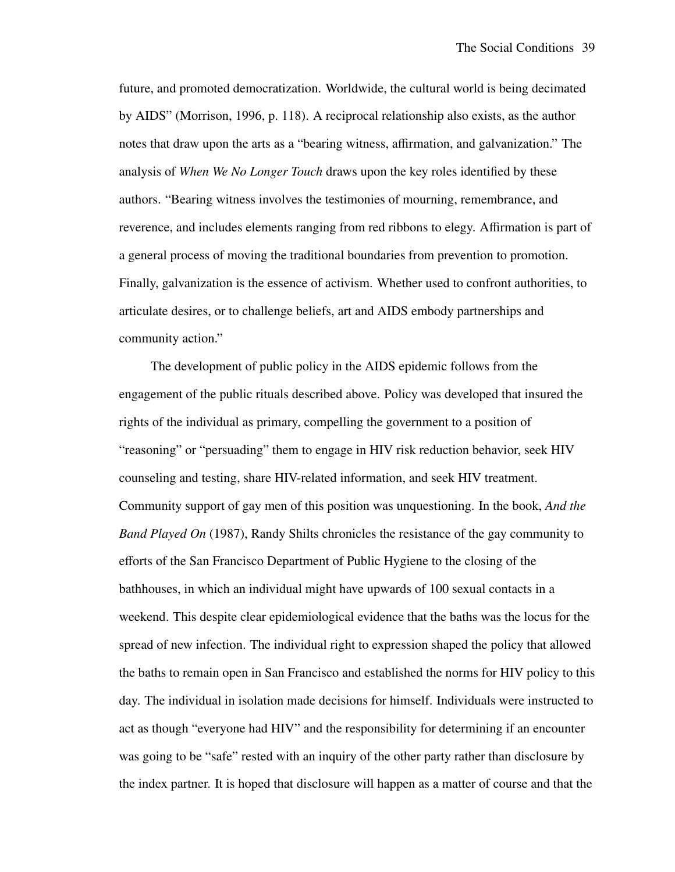future, and promoted democratization. Worldwide, the cultural world is being decimated by AIDS" (Morrison, 1996, p. 118). A reciprocal relationship also exists, as the author notes that draw upon the arts as a "bearing witness, affirmation, and galvanization." The analysis of *When We No Longer Touch* draws upon the key roles identified by these authors. "Bearing witness involves the testimonies of mourning, remembrance, and reverence, and includes elements ranging from red ribbons to elegy. Affirmation is part of a general process of moving the traditional boundaries from prevention to promotion. Finally, galvanization is the essence of activism. Whether used to confront authorities, to articulate desires, or to challenge beliefs, art and AIDS embody partnerships and community action."

The development of public policy in the AIDS epidemic follows from the engagement of the public rituals described above. Policy was developed that insured the rights of the individual as primary, compelling the government to a position of "reasoning" or "persuading" them to engage in HIV risk reduction behavior, seek HIV counseling and testing, share HIV-related information, and seek HIV treatment. Community support of gay men of this position was unquestioning. In the book, *And the Band Played On* (1987), Randy Shilts chronicles the resistance of the gay community to efforts of the San Francisco Department of Public Hygiene to the closing of the bathhouses, in which an individual might have upwards of 100 sexual contacts in a weekend. This despite clear epidemiological evidence that the baths was the locus for the spread of new infection. The individual right to expression shaped the policy that allowed the baths to remain open in San Francisco and established the norms for HIV policy to this day. The individual in isolation made decisions for himself. Individuals were instructed to act as though "everyone had HIV" and the responsibility for determining if an encounter was going to be "safe" rested with an inquiry of the other party rather than disclosure by the index partner. It is hoped that disclosure will happen as a matter of course and that the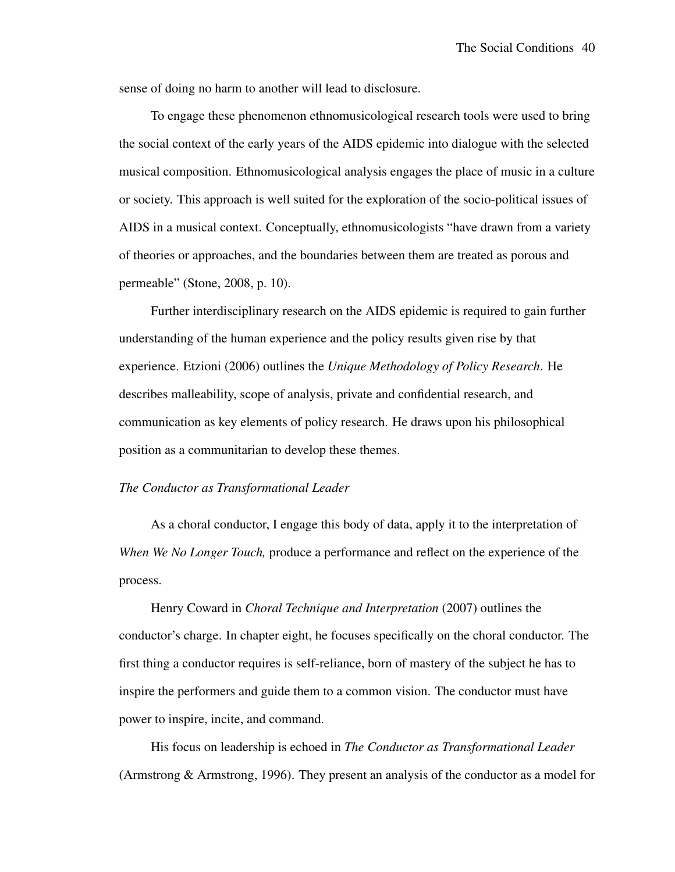sense of doing no harm to another will lead to disclosure.

To engage these phenomenon ethnomusicological research tools were used to bring the social context of the early years of the AIDS epidemic into dialogue with the selected musical composition. Ethnomusicological analysis engages the place of music in a culture or society. This approach is well suited for the exploration of the socio-political issues of AIDS in a musical context. Conceptually, ethnomusicologists "have drawn from a variety of theories or approaches, and the boundaries between them are treated as porous and permeable" (Stone, 2008, p. 10).

Further interdisciplinary research on the AIDS epidemic is required to gain further understanding of the human experience and the policy results given rise by that experience. Etzioni (2006) outlines the *Unique Methodology of Policy Research*. He describes malleability, scope of analysis, private and confidential research, and communication as key elements of policy research. He draws upon his philosophical position as a communitarian to develop these themes.

### *The Conductor as Transformational Leader*

As a choral conductor, I engage this body of data, apply it to the interpretation of *When We No Longer Touch,* produce a performance and reflect on the experience of the process.

Henry Coward in *Choral Technique and Interpretation* (2007) outlines the conductor's charge. In chapter eight, he focuses specifically on the choral conductor. The first thing a conductor requires is self-reliance, born of mastery of the subject he has to inspire the performers and guide them to a common vision. The conductor must have power to inspire, incite, and command.

His focus on leadership is echoed in *The Conductor as Transformational Leader* (Armstrong & Armstrong, 1996). They present an analysis of the conductor as a model for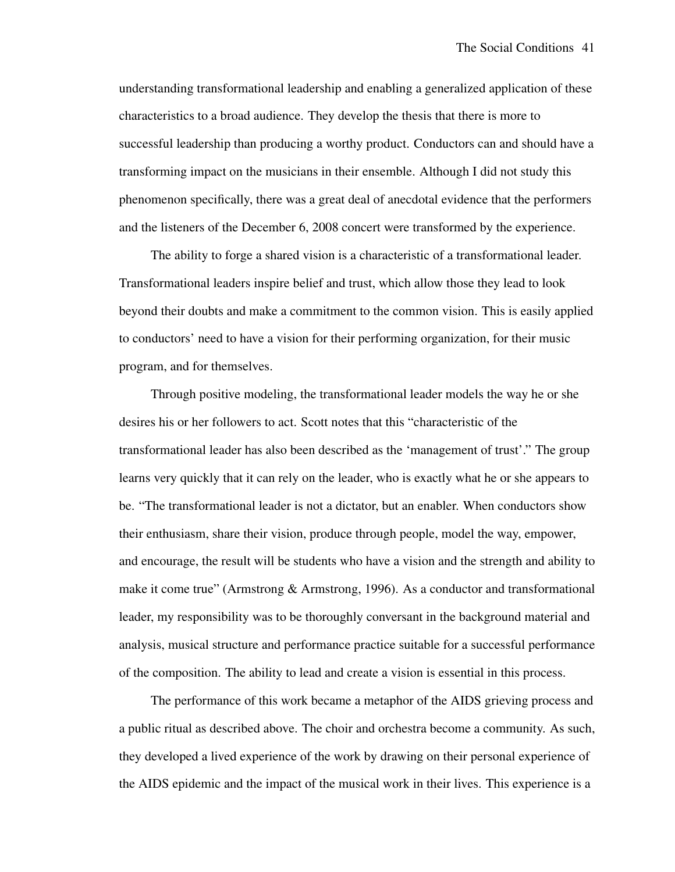understanding transformational leadership and enabling a generalized application of these characteristics to a broad audience. They develop the thesis that there is more to successful leadership than producing a worthy product. Conductors can and should have a transforming impact on the musicians in their ensemble. Although I did not study this phenomenon specifically, there was a great deal of anecdotal evidence that the performers and the listeners of the December 6, 2008 concert were transformed by the experience.

The ability to forge a shared vision is a characteristic of a transformational leader. Transformational leaders inspire belief and trust, which allow those they lead to look beyond their doubts and make a commitment to the common vision. This is easily applied to conductors' need to have a vision for their performing organization, for their music program, and for themselves.

Through positive modeling, the transformational leader models the way he or she desires his or her followers to act. Scott notes that this "characteristic of the transformational leader has also been described as the 'management of trust'." The group learns very quickly that it can rely on the leader, who is exactly what he or she appears to be. "The transformational leader is not a dictator, but an enabler. When conductors show their enthusiasm, share their vision, produce through people, model the way, empower, and encourage, the result will be students who have a vision and the strength and ability to make it come true" (Armstrong & Armstrong, 1996). As a conductor and transformational leader, my responsibility was to be thoroughly conversant in the background material and analysis, musical structure and performance practice suitable for a successful performance of the composition. The ability to lead and create a vision is essential in this process.

The performance of this work became a metaphor of the AIDS grieving process and a public ritual as described above. The choir and orchestra become a community. As such, they developed a lived experience of the work by drawing on their personal experience of the AIDS epidemic and the impact of the musical work in their lives. This experience is a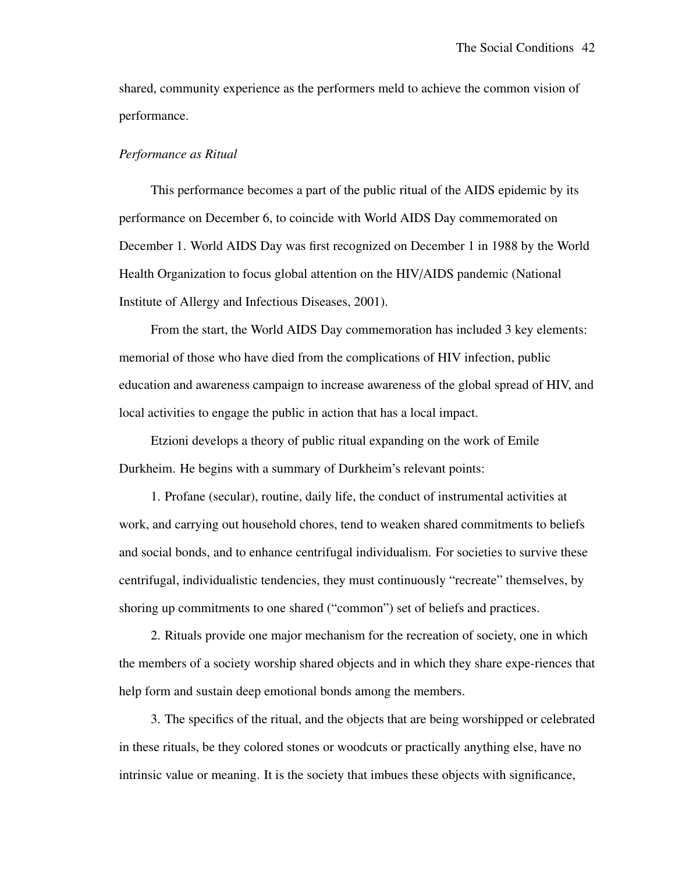shared, community experience as the performers meld to achieve the common vision of performance.

#### *Performance as Ritual*

This performance becomes a part of the public ritual of the AIDS epidemic by its performance on December 6, to coincide with World AIDS Day commemorated on December 1. World AIDS Day was first recognized on December 1 in 1988 by the World Health Organization to focus global attention on the HIV/AIDS pandemic (National Institute of Allergy and Infectious Diseases, 2001).

From the start, the World AIDS Day commemoration has included 3 key elements: memorial of those who have died from the complications of HIV infection, public education and awareness campaign to increase awareness of the global spread of HIV, and local activities to engage the public in action that has a local impact.

Etzioni develops a theory of public ritual expanding on the work of Emile Durkheim. He begins with a summary of Durkheim's relevant points:

1. Profane (secular), routine, daily life, the conduct of instrumental activities at work, and carrying out household chores, tend to weaken shared commitments to beliefs and social bonds, and to enhance centrifugal individualism. For societies to survive these centrifugal, individualistic tendencies, they must continuously "recreate" themselves, by shoring up commitments to one shared ("common") set of beliefs and practices.

2. Rituals provide one major mechanism for the recreation of society, one in which the members of a society worship shared objects and in which they share expe-riences that help form and sustain deep emotional bonds among the members.

3. The specifics of the ritual, and the objects that are being worshipped or celebrated in these rituals, be they colored stones or woodcuts or practically anything else, have no intrinsic value or meaning. It is the society that imbues these objects with significance,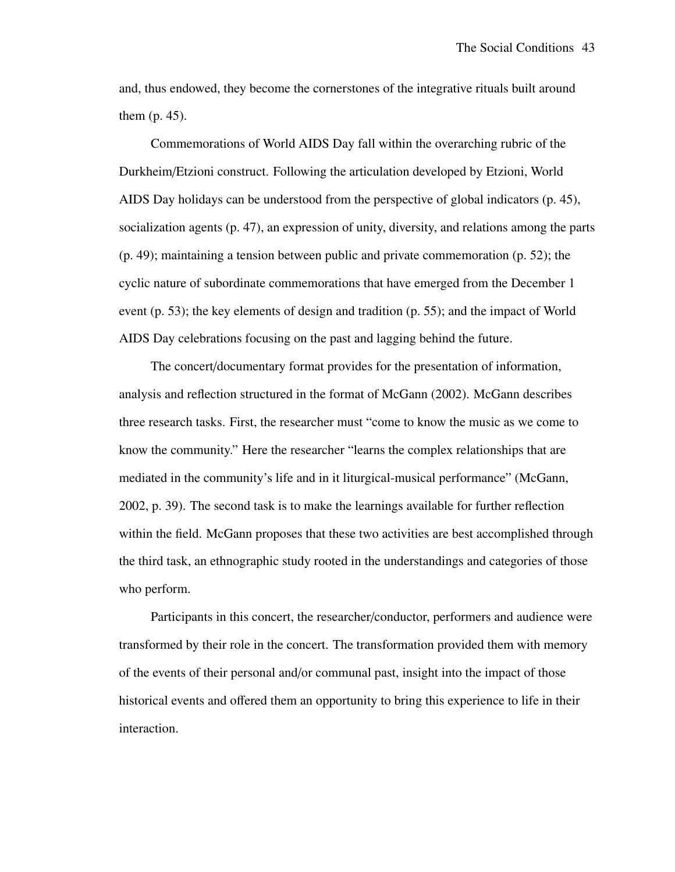and, thus endowed, they become the cornerstones of the integrative rituals built around them (p. 45).

Commemorations of World AIDS Day fall within the overarching rubric of the Durkheim/Etzioni construct. Following the articulation developed by Etzioni, World AIDS Day holidays can be understood from the perspective of global indicators (p. 45), socialization agents (p. 47), an expression of unity, diversity, and relations among the parts (p. 49); maintaining a tension between public and private commemoration (p. 52); the cyclic nature of subordinate commemorations that have emerged from the December 1 event (p. 53); the key elements of design and tradition (p. 55); and the impact of World AIDS Day celebrations focusing on the past and lagging behind the future.

The concert/documentary format provides for the presentation of information, analysis and reflection structured in the format of McGann (2002). McGann describes three research tasks. First, the researcher must "come to know the music as we come to know the community." Here the researcher "learns the complex relationships that are mediated in the community's life and in it liturgical-musical performance" (McGann, 2002, p. 39). The second task is to make the learnings available for further reflection within the field. McGann proposes that these two activities are best accomplished through the third task, an ethnographic study rooted in the understandings and categories of those who perform.

Participants in this concert, the researcher/conductor, performers and audience were transformed by their role in the concert. The transformation provided them with memory of the events of their personal and/or communal past, insight into the impact of those historical events and offered them an opportunity to bring this experience to life in their interaction.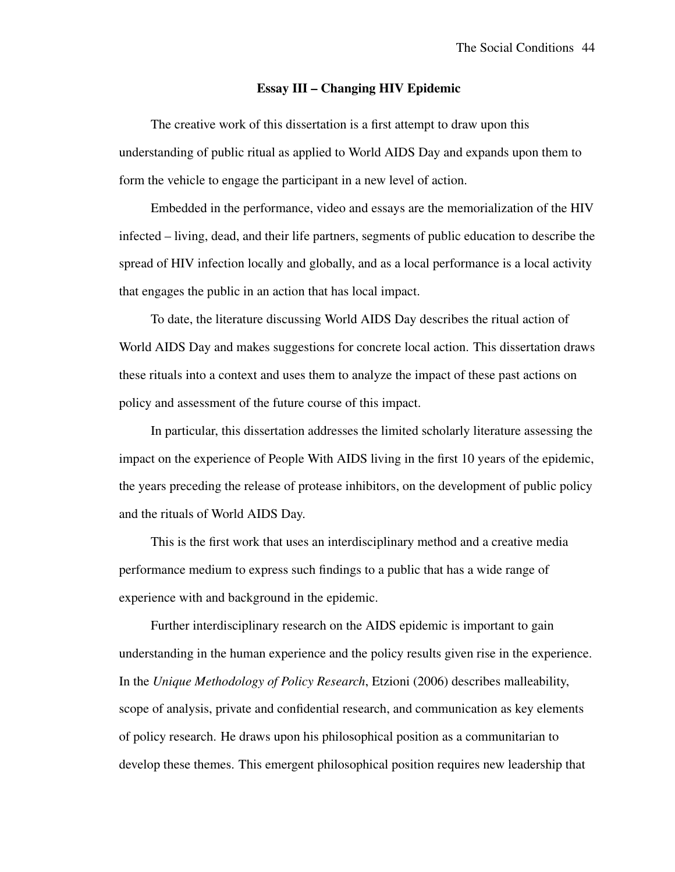#### Essay III – Changing HIV Epidemic

The creative work of this dissertation is a first attempt to draw upon this understanding of public ritual as applied to World AIDS Day and expands upon them to form the vehicle to engage the participant in a new level of action.

Embedded in the performance, video and essays are the memorialization of the HIV infected – living, dead, and their life partners, segments of public education to describe the spread of HIV infection locally and globally, and as a local performance is a local activity that engages the public in an action that has local impact.

To date, the literature discussing World AIDS Day describes the ritual action of World AIDS Day and makes suggestions for concrete local action. This dissertation draws these rituals into a context and uses them to analyze the impact of these past actions on policy and assessment of the future course of this impact.

In particular, this dissertation addresses the limited scholarly literature assessing the impact on the experience of People With AIDS living in the first 10 years of the epidemic, the years preceding the release of protease inhibitors, on the development of public policy and the rituals of World AIDS Day.

This is the first work that uses an interdisciplinary method and a creative media performance medium to express such findings to a public that has a wide range of experience with and background in the epidemic.

Further interdisciplinary research on the AIDS epidemic is important to gain understanding in the human experience and the policy results given rise in the experience. In the *Unique Methodology of Policy Research*, Etzioni (2006) describes malleability, scope of analysis, private and confidential research, and communication as key elements of policy research. He draws upon his philosophical position as a communitarian to develop these themes. This emergent philosophical position requires new leadership that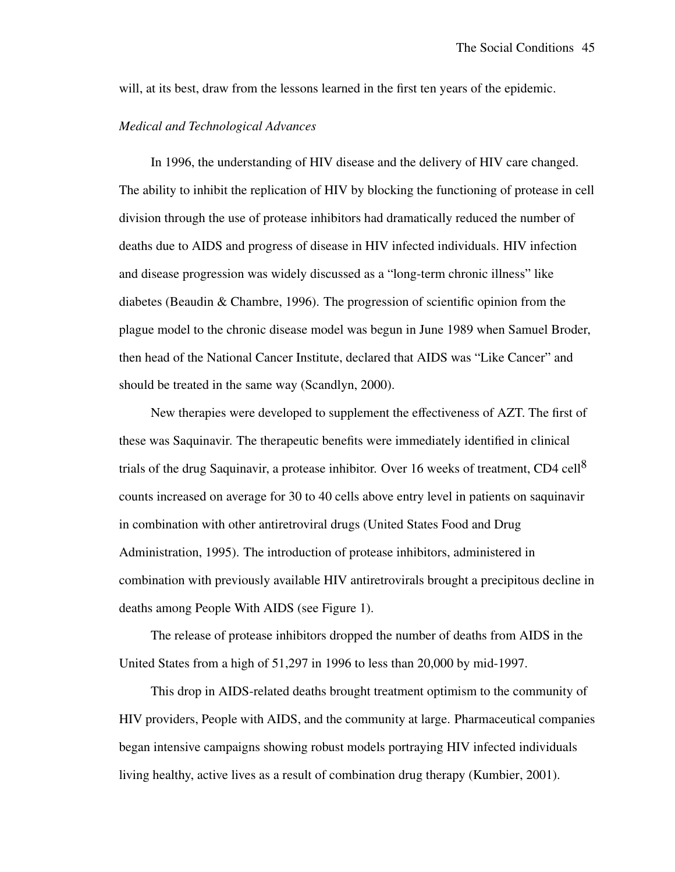will, at its best, draw from the lessons learned in the first ten years of the epidemic.

### *Medical and Technological Advances*

In 1996, the understanding of HIV disease and the delivery of HIV care changed. The ability to inhibit the replication of HIV by blocking the functioning of protease in cell division through the use of protease inhibitors had dramatically reduced the number of deaths due to AIDS and progress of disease in HIV infected individuals. HIV infection and disease progression was widely discussed as a "long-term chronic illness" like diabetes (Beaudin & Chambre, 1996). The progression of scientific opinion from the plague model to the chronic disease model was begun in June 1989 when Samuel Broder, then head of the National Cancer Institute, declared that AIDS was "Like Cancer" and should be treated in the same way (Scandlyn, 2000).

New therapies were developed to supplement the effectiveness of AZT. The first of these was Saquinavir. The therapeutic benefits were immediately identified in clinical trials of the drug Saquinavir, a protease inhibitor. Over 16 weeks of treatment, CD4 cell<sup>8</sup> counts increased on average for 30 to 40 cells above entry level in patients on saquinavir in combination with other antiretroviral drugs (United States Food and Drug Administration, 1995). The introduction of protease inhibitors, administered in combination with previously available HIV antiretrovirals brought a precipitous decline in deaths among People With AIDS (see Figure 1).

The release of protease inhibitors dropped the number of deaths from AIDS in the United States from a high of 51,297 in 1996 to less than 20,000 by mid-1997.

This drop in AIDS-related deaths brought treatment optimism to the community of HIV providers, People with AIDS, and the community at large. Pharmaceutical companies began intensive campaigns showing robust models portraying HIV infected individuals living healthy, active lives as a result of combination drug therapy (Kumbier, 2001).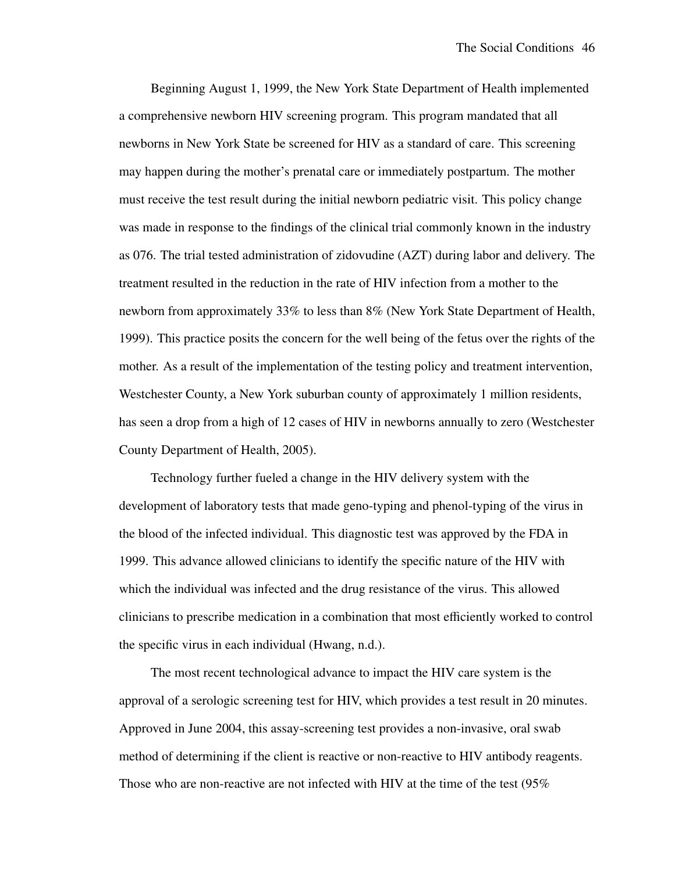Beginning August 1, 1999, the New York State Department of Health implemented a comprehensive newborn HIV screening program. This program mandated that all newborns in New York State be screened for HIV as a standard of care. This screening may happen during the mother's prenatal care or immediately postpartum. The mother must receive the test result during the initial newborn pediatric visit. This policy change was made in response to the findings of the clinical trial commonly known in the industry as 076. The trial tested administration of zidovudine (AZT) during labor and delivery. The treatment resulted in the reduction in the rate of HIV infection from a mother to the newborn from approximately 33% to less than 8% (New York State Department of Health, 1999). This practice posits the concern for the well being of the fetus over the rights of the mother. As a result of the implementation of the testing policy and treatment intervention, Westchester County, a New York suburban county of approximately 1 million residents, has seen a drop from a high of 12 cases of HIV in newborns annually to zero (Westchester County Department of Health, 2005).

Technology further fueled a change in the HIV delivery system with the development of laboratory tests that made geno-typing and phenol-typing of the virus in the blood of the infected individual. This diagnostic test was approved by the FDA in 1999. This advance allowed clinicians to identify the specific nature of the HIV with which the individual was infected and the drug resistance of the virus. This allowed clinicians to prescribe medication in a combination that most efficiently worked to control the specific virus in each individual (Hwang, n.d.).

The most recent technological advance to impact the HIV care system is the approval of a serologic screening test for HIV, which provides a test result in 20 minutes. Approved in June 2004, this assay-screening test provides a non-invasive, oral swab method of determining if the client is reactive or non-reactive to HIV antibody reagents. Those who are non-reactive are not infected with HIV at the time of the test (95%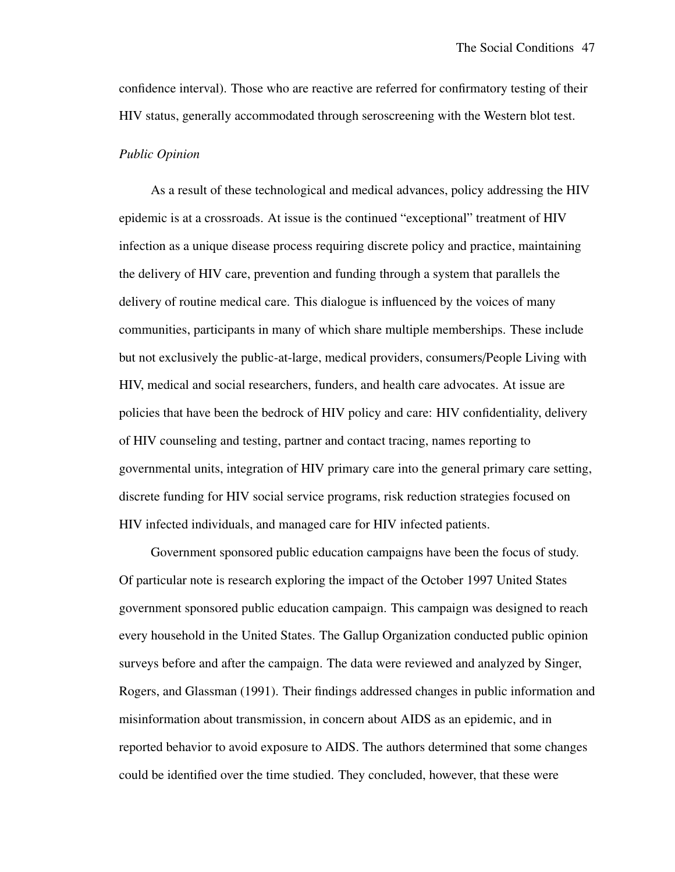confidence interval). Those who are reactive are referred for confirmatory testing of their HIV status, generally accommodated through seroscreening with the Western blot test.

# *Public Opinion*

As a result of these technological and medical advances, policy addressing the HIV epidemic is at a crossroads. At issue is the continued "exceptional" treatment of HIV infection as a unique disease process requiring discrete policy and practice, maintaining the delivery of HIV care, prevention and funding through a system that parallels the delivery of routine medical care. This dialogue is influenced by the voices of many communities, participants in many of which share multiple memberships. These include but not exclusively the public-at-large, medical providers, consumers/People Living with HIV, medical and social researchers, funders, and health care advocates. At issue are policies that have been the bedrock of HIV policy and care: HIV confidentiality, delivery of HIV counseling and testing, partner and contact tracing, names reporting to governmental units, integration of HIV primary care into the general primary care setting, discrete funding for HIV social service programs, risk reduction strategies focused on HIV infected individuals, and managed care for HIV infected patients.

Government sponsored public education campaigns have been the focus of study. Of particular note is research exploring the impact of the October 1997 United States government sponsored public education campaign. This campaign was designed to reach every household in the United States. The Gallup Organization conducted public opinion surveys before and after the campaign. The data were reviewed and analyzed by Singer, Rogers, and Glassman (1991). Their findings addressed changes in public information and misinformation about transmission, in concern about AIDS as an epidemic, and in reported behavior to avoid exposure to AIDS. The authors determined that some changes could be identified over the time studied. They concluded, however, that these were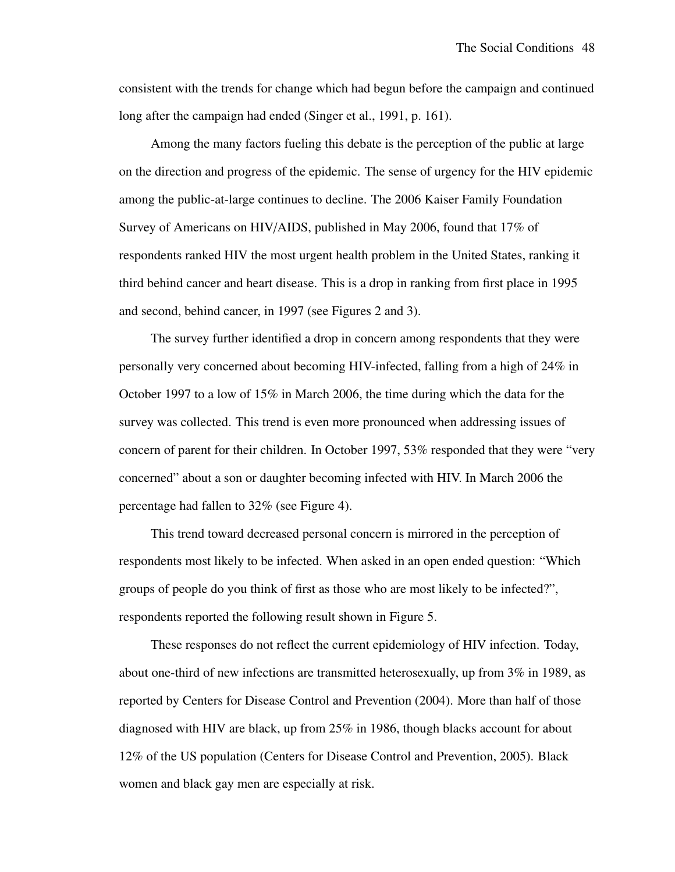consistent with the trends for change which had begun before the campaign and continued long after the campaign had ended (Singer et al., 1991, p. 161).

Among the many factors fueling this debate is the perception of the public at large on the direction and progress of the epidemic. The sense of urgency for the HIV epidemic among the public-at-large continues to decline. The 2006 Kaiser Family Foundation Survey of Americans on HIV/AIDS, published in May 2006, found that 17% of respondents ranked HIV the most urgent health problem in the United States, ranking it third behind cancer and heart disease. This is a drop in ranking from first place in 1995 and second, behind cancer, in 1997 (see Figures 2 and 3).

The survey further identified a drop in concern among respondents that they were personally very concerned about becoming HIV-infected, falling from a high of 24% in October 1997 to a low of 15% in March 2006, the time during which the data for the survey was collected. This trend is even more pronounced when addressing issues of concern of parent for their children. In October 1997, 53% responded that they were "very concerned" about a son or daughter becoming infected with HIV. In March 2006 the percentage had fallen to 32% (see Figure 4).

This trend toward decreased personal concern is mirrored in the perception of respondents most likely to be infected. When asked in an open ended question: "Which groups of people do you think of first as those who are most likely to be infected?", respondents reported the following result shown in Figure 5.

These responses do not reflect the current epidemiology of HIV infection. Today, about one-third of new infections are transmitted heterosexually, up from 3% in 1989, as reported by Centers for Disease Control and Prevention (2004). More than half of those diagnosed with HIV are black, up from 25% in 1986, though blacks account for about 12% of the US population (Centers for Disease Control and Prevention, 2005). Black women and black gay men are especially at risk.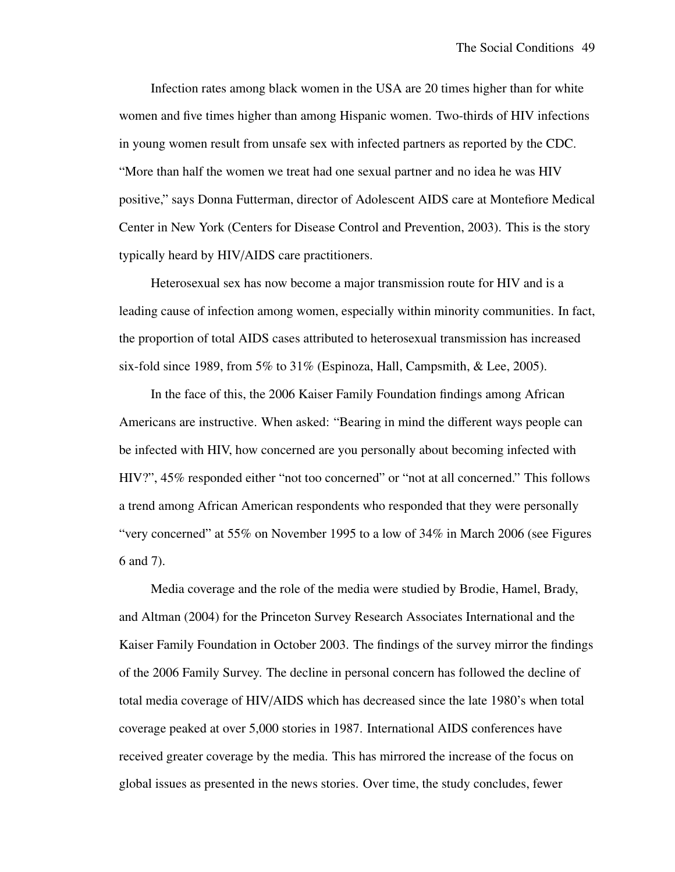Infection rates among black women in the USA are 20 times higher than for white women and five times higher than among Hispanic women. Two-thirds of HIV infections in young women result from unsafe sex with infected partners as reported by the CDC. "More than half the women we treat had one sexual partner and no idea he was HIV positive," says Donna Futterman, director of Adolescent AIDS care at Montefiore Medical Center in New York (Centers for Disease Control and Prevention, 2003). This is the story typically heard by HIV/AIDS care practitioners.

Heterosexual sex has now become a major transmission route for HIV and is a leading cause of infection among women, especially within minority communities. In fact, the proportion of total AIDS cases attributed to heterosexual transmission has increased six-fold since 1989, from 5% to 31% (Espinoza, Hall, Campsmith, & Lee, 2005).

In the face of this, the 2006 Kaiser Family Foundation findings among African Americans are instructive. When asked: "Bearing in mind the different ways people can be infected with HIV, how concerned are you personally about becoming infected with HIV?", 45% responded either "not too concerned" or "not at all concerned." This follows a trend among African American respondents who responded that they were personally "very concerned" at 55% on November 1995 to a low of 34% in March 2006 (see Figures 6 and 7).

Media coverage and the role of the media were studied by Brodie, Hamel, Brady, and Altman (2004) for the Princeton Survey Research Associates International and the Kaiser Family Foundation in October 2003. The findings of the survey mirror the findings of the 2006 Family Survey. The decline in personal concern has followed the decline of total media coverage of HIV/AIDS which has decreased since the late 1980's when total coverage peaked at over 5,000 stories in 1987. International AIDS conferences have received greater coverage by the media. This has mirrored the increase of the focus on global issues as presented in the news stories. Over time, the study concludes, fewer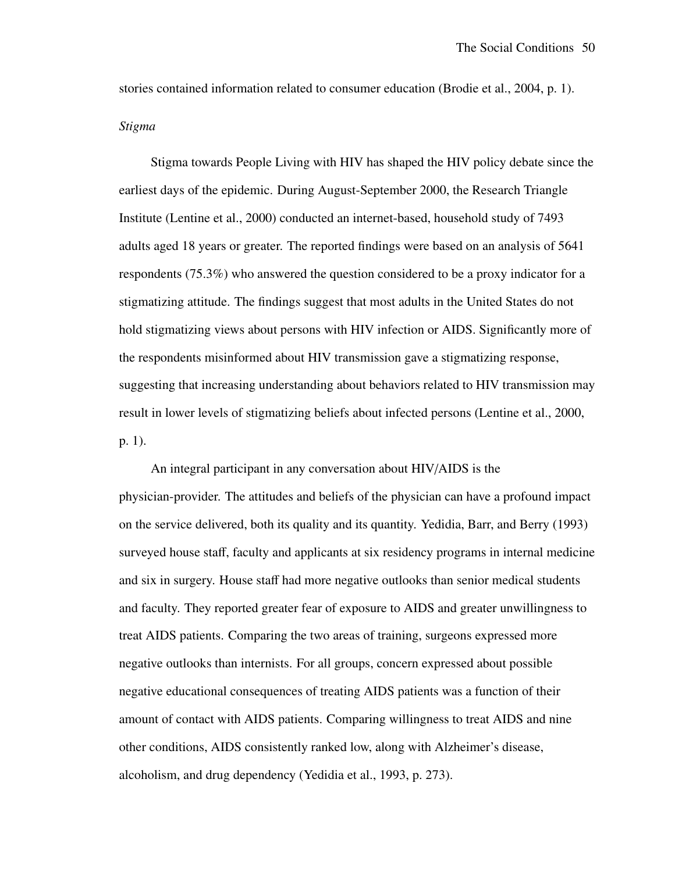stories contained information related to consumer education (Brodie et al., 2004, p. 1). *Stigma*

Stigma towards People Living with HIV has shaped the HIV policy debate since the earliest days of the epidemic. During August-September 2000, the Research Triangle Institute (Lentine et al., 2000) conducted an internet-based, household study of 7493 adults aged 18 years or greater. The reported findings were based on an analysis of 5641 respondents (75.3%) who answered the question considered to be a proxy indicator for a stigmatizing attitude. The findings suggest that most adults in the United States do not hold stigmatizing views about persons with HIV infection or AIDS. Significantly more of the respondents misinformed about HIV transmission gave a stigmatizing response, suggesting that increasing understanding about behaviors related to HIV transmission may result in lower levels of stigmatizing beliefs about infected persons (Lentine et al., 2000, p. 1).

An integral participant in any conversation about HIV/AIDS is the physician-provider. The attitudes and beliefs of the physician can have a profound impact on the service delivered, both its quality and its quantity. Yedidia, Barr, and Berry (1993) surveyed house staff, faculty and applicants at six residency programs in internal medicine and six in surgery. House staff had more negative outlooks than senior medical students and faculty. They reported greater fear of exposure to AIDS and greater unwillingness to treat AIDS patients. Comparing the two areas of training, surgeons expressed more negative outlooks than internists. For all groups, concern expressed about possible negative educational consequences of treating AIDS patients was a function of their amount of contact with AIDS patients. Comparing willingness to treat AIDS and nine other conditions, AIDS consistently ranked low, along with Alzheimer's disease, alcoholism, and drug dependency (Yedidia et al., 1993, p. 273).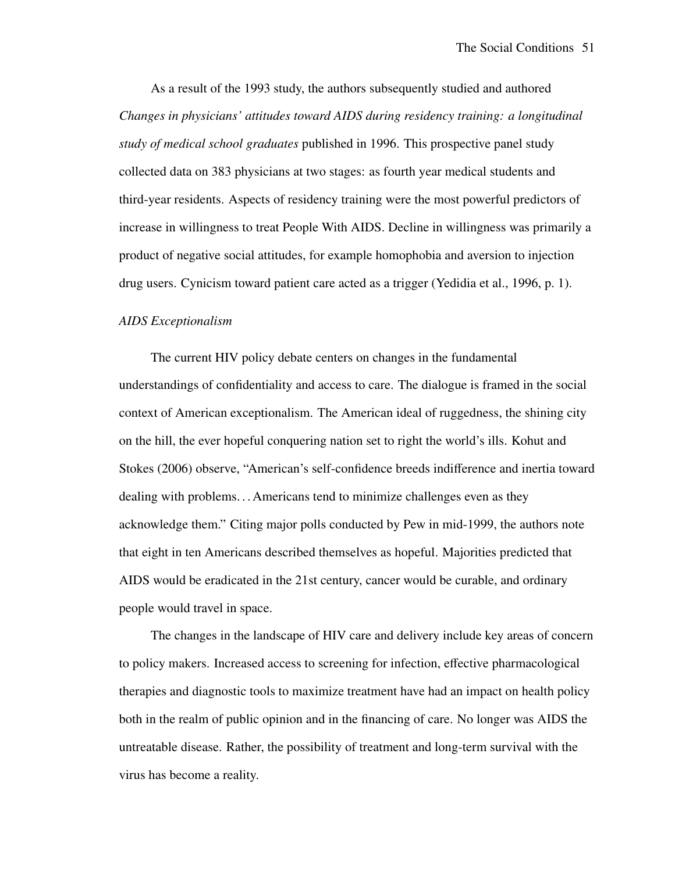As a result of the 1993 study, the authors subsequently studied and authored *Changes in physicians' attitudes toward AIDS during residency training: a longitudinal study of medical school graduates* published in 1996. This prospective panel study collected data on 383 physicians at two stages: as fourth year medical students and third-year residents. Aspects of residency training were the most powerful predictors of increase in willingness to treat People With AIDS. Decline in willingness was primarily a product of negative social attitudes, for example homophobia and aversion to injection drug users. Cynicism toward patient care acted as a trigger (Yedidia et al., 1996, p. 1).

# *AIDS Exceptionalism*

The current HIV policy debate centers on changes in the fundamental understandings of confidentiality and access to care. The dialogue is framed in the social context of American exceptionalism. The American ideal of ruggedness, the shining city on the hill, the ever hopeful conquering nation set to right the world's ills. Kohut and Stokes (2006) observe, "American's self-confidence breeds indifference and inertia toward dealing with problems. . . Americans tend to minimize challenges even as they acknowledge them." Citing major polls conducted by Pew in mid-1999, the authors note that eight in ten Americans described themselves as hopeful. Majorities predicted that AIDS would be eradicated in the 21st century, cancer would be curable, and ordinary people would travel in space.

The changes in the landscape of HIV care and delivery include key areas of concern to policy makers. Increased access to screening for infection, effective pharmacological therapies and diagnostic tools to maximize treatment have had an impact on health policy both in the realm of public opinion and in the financing of care. No longer was AIDS the untreatable disease. Rather, the possibility of treatment and long-term survival with the virus has become a reality.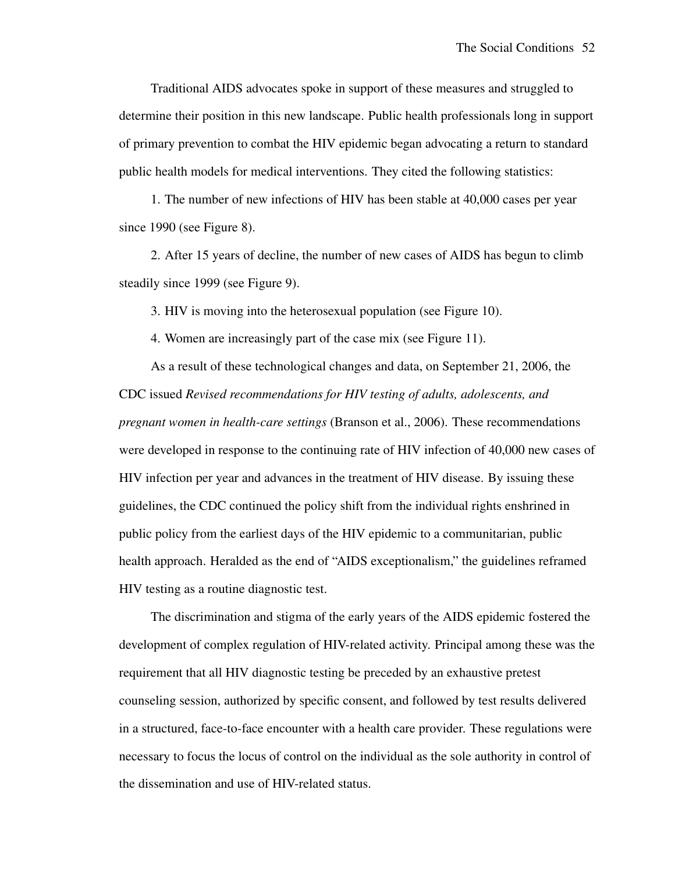Traditional AIDS advocates spoke in support of these measures and struggled to determine their position in this new landscape. Public health professionals long in support of primary prevention to combat the HIV epidemic began advocating a return to standard public health models for medical interventions. They cited the following statistics:

1. The number of new infections of HIV has been stable at 40,000 cases per year since 1990 (see Figure 8).

2. After 15 years of decline, the number of new cases of AIDS has begun to climb steadily since 1999 (see Figure 9).

3. HIV is moving into the heterosexual population (see Figure 10).

4. Women are increasingly part of the case mix (see Figure 11).

As a result of these technological changes and data, on September 21, 2006, the CDC issued *Revised recommendations for HIV testing of adults, adolescents, and pregnant women in health-care settings* (Branson et al., 2006). These recommendations were developed in response to the continuing rate of HIV infection of 40,000 new cases of HIV infection per year and advances in the treatment of HIV disease. By issuing these guidelines, the CDC continued the policy shift from the individual rights enshrined in public policy from the earliest days of the HIV epidemic to a communitarian, public health approach. Heralded as the end of "AIDS exceptionalism," the guidelines reframed HIV testing as a routine diagnostic test.

The discrimination and stigma of the early years of the AIDS epidemic fostered the development of complex regulation of HIV-related activity. Principal among these was the requirement that all HIV diagnostic testing be preceded by an exhaustive pretest counseling session, authorized by specific consent, and followed by test results delivered in a structured, face-to-face encounter with a health care provider. These regulations were necessary to focus the locus of control on the individual as the sole authority in control of the dissemination and use of HIV-related status.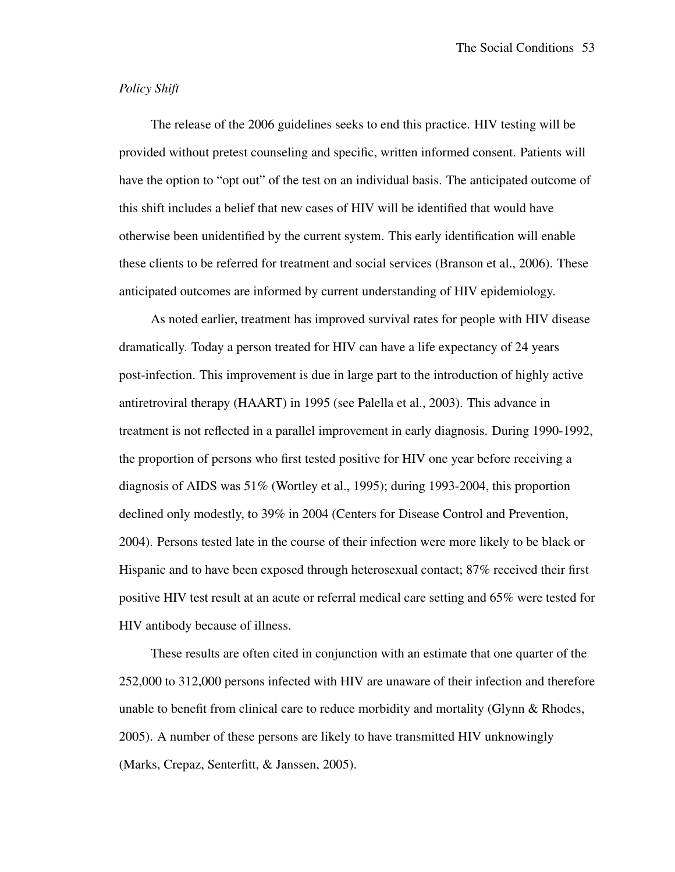# *Policy Shift*

The release of the 2006 guidelines seeks to end this practice. HIV testing will be provided without pretest counseling and specific, written informed consent. Patients will have the option to "opt out" of the test on an individual basis. The anticipated outcome of this shift includes a belief that new cases of HIV will be identified that would have otherwise been unidentified by the current system. This early identification will enable these clients to be referred for treatment and social services (Branson et al., 2006). These anticipated outcomes are informed by current understanding of HIV epidemiology.

As noted earlier, treatment has improved survival rates for people with HIV disease dramatically. Today a person treated for HIV can have a life expectancy of 24 years post-infection. This improvement is due in large part to the introduction of highly active antiretroviral therapy (HAART) in 1995 (see Palella et al., 2003). This advance in treatment is not reflected in a parallel improvement in early diagnosis. During 1990-1992, the proportion of persons who first tested positive for HIV one year before receiving a diagnosis of AIDS was 51% (Wortley et al., 1995); during 1993-2004, this proportion declined only modestly, to 39% in 2004 (Centers for Disease Control and Prevention, 2004). Persons tested late in the course of their infection were more likely to be black or Hispanic and to have been exposed through heterosexual contact; 87% received their first positive HIV test result at an acute or referral medical care setting and 65% were tested for HIV antibody because of illness.

These results are often cited in conjunction with an estimate that one quarter of the 252,000 to 312,000 persons infected with HIV are unaware of their infection and therefore unable to benefit from clinical care to reduce morbidity and mortality (Glynn  $\&$  Rhodes, 2005). A number of these persons are likely to have transmitted HIV unknowingly (Marks, Crepaz, Senterfitt, & Janssen, 2005).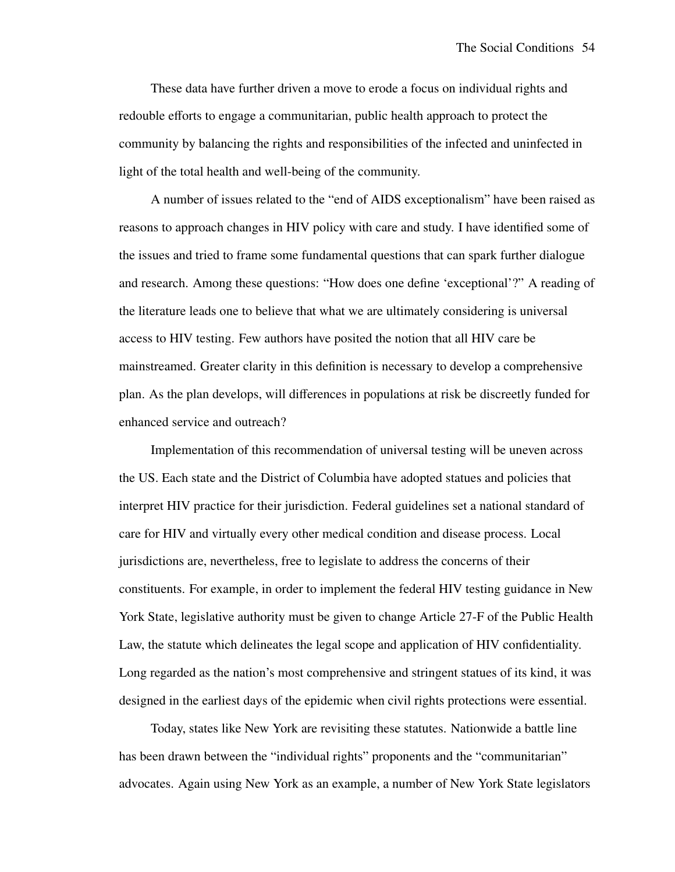These data have further driven a move to erode a focus on individual rights and redouble efforts to engage a communitarian, public health approach to protect the community by balancing the rights and responsibilities of the infected and uninfected in light of the total health and well-being of the community.

A number of issues related to the "end of AIDS exceptionalism" have been raised as reasons to approach changes in HIV policy with care and study. I have identified some of the issues and tried to frame some fundamental questions that can spark further dialogue and research. Among these questions: "How does one define 'exceptional'?" A reading of the literature leads one to believe that what we are ultimately considering is universal access to HIV testing. Few authors have posited the notion that all HIV care be mainstreamed. Greater clarity in this definition is necessary to develop a comprehensive plan. As the plan develops, will differences in populations at risk be discreetly funded for enhanced service and outreach?

Implementation of this recommendation of universal testing will be uneven across the US. Each state and the District of Columbia have adopted statues and policies that interpret HIV practice for their jurisdiction. Federal guidelines set a national standard of care for HIV and virtually every other medical condition and disease process. Local jurisdictions are, nevertheless, free to legislate to address the concerns of their constituents. For example, in order to implement the federal HIV testing guidance in New York State, legislative authority must be given to change Article 27-F of the Public Health Law, the statute which delineates the legal scope and application of HIV confidentiality. Long regarded as the nation's most comprehensive and stringent statues of its kind, it was designed in the earliest days of the epidemic when civil rights protections were essential.

Today, states like New York are revisiting these statutes. Nationwide a battle line has been drawn between the "individual rights" proponents and the "communitarian" advocates. Again using New York as an example, a number of New York State legislators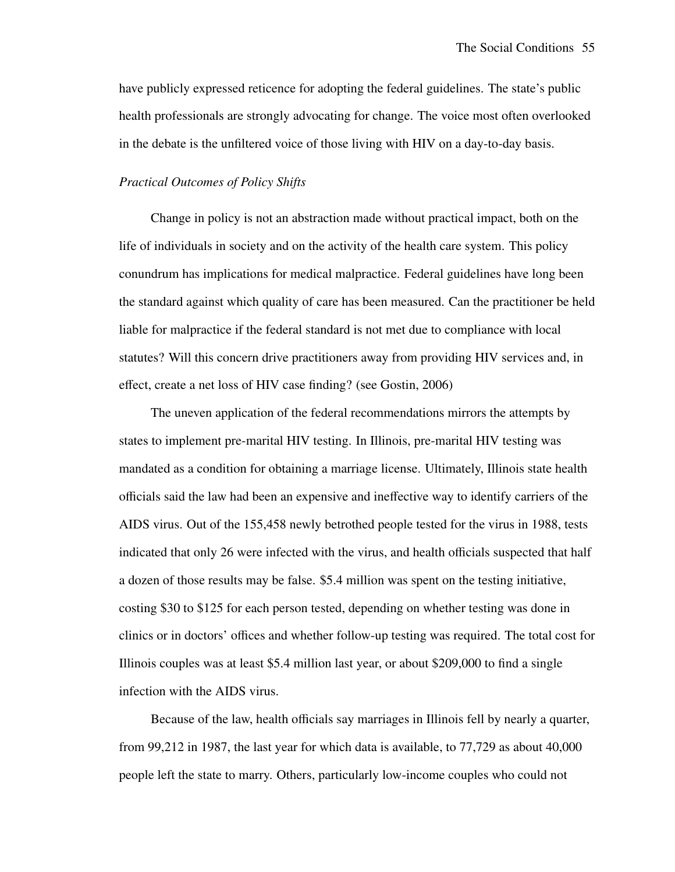have publicly expressed reticence for adopting the federal guidelines. The state's public health professionals are strongly advocating for change. The voice most often overlooked in the debate is the unfiltered voice of those living with HIV on a day-to-day basis.

### *Practical Outcomes of Policy Shifts*

Change in policy is not an abstraction made without practical impact, both on the life of individuals in society and on the activity of the health care system. This policy conundrum has implications for medical malpractice. Federal guidelines have long been the standard against which quality of care has been measured. Can the practitioner be held liable for malpractice if the federal standard is not met due to compliance with local statutes? Will this concern drive practitioners away from providing HIV services and, in effect, create a net loss of HIV case finding? (see Gostin, 2006)

The uneven application of the federal recommendations mirrors the attempts by states to implement pre-marital HIV testing. In Illinois, pre-marital HIV testing was mandated as a condition for obtaining a marriage license. Ultimately, Illinois state health officials said the law had been an expensive and ineffective way to identify carriers of the AIDS virus. Out of the 155,458 newly betrothed people tested for the virus in 1988, tests indicated that only 26 were infected with the virus, and health officials suspected that half a dozen of those results may be false. \$5.4 million was spent on the testing initiative, costing \$30 to \$125 for each person tested, depending on whether testing was done in clinics or in doctors' offices and whether follow-up testing was required. The total cost for Illinois couples was at least \$5.4 million last year, or about \$209,000 to find a single infection with the AIDS virus.

Because of the law, health officials say marriages in Illinois fell by nearly a quarter, from 99,212 in 1987, the last year for which data is available, to 77,729 as about 40,000 people left the state to marry. Others, particularly low-income couples who could not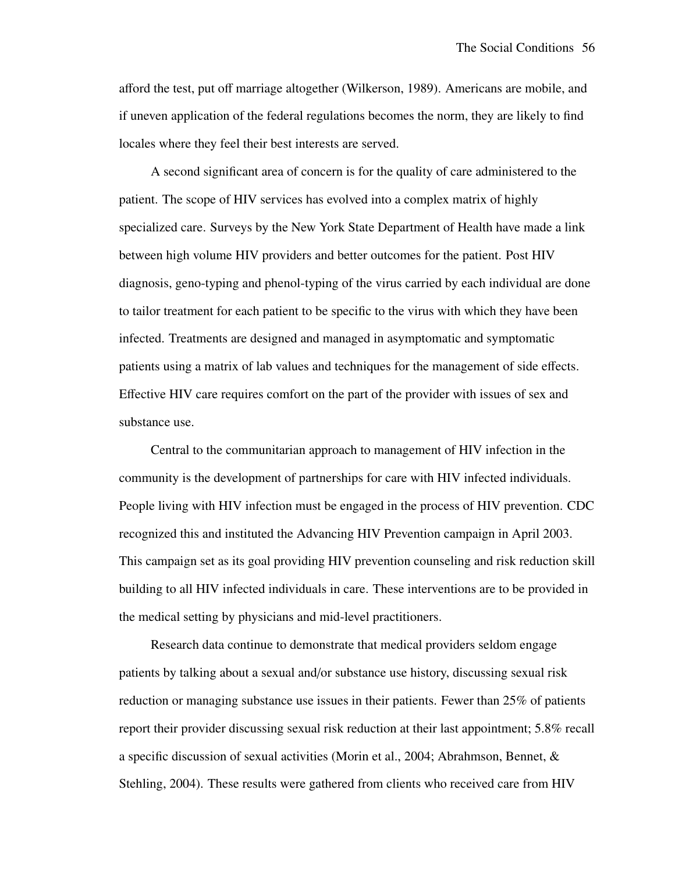afford the test, put off marriage altogether (Wilkerson, 1989). Americans are mobile, and if uneven application of the federal regulations becomes the norm, they are likely to find locales where they feel their best interests are served.

A second significant area of concern is for the quality of care administered to the patient. The scope of HIV services has evolved into a complex matrix of highly specialized care. Surveys by the New York State Department of Health have made a link between high volume HIV providers and better outcomes for the patient. Post HIV diagnosis, geno-typing and phenol-typing of the virus carried by each individual are done to tailor treatment for each patient to be specific to the virus with which they have been infected. Treatments are designed and managed in asymptomatic and symptomatic patients using a matrix of lab values and techniques for the management of side effects. Effective HIV care requires comfort on the part of the provider with issues of sex and substance use.

Central to the communitarian approach to management of HIV infection in the community is the development of partnerships for care with HIV infected individuals. People living with HIV infection must be engaged in the process of HIV prevention. CDC recognized this and instituted the Advancing HIV Prevention campaign in April 2003. This campaign set as its goal providing HIV prevention counseling and risk reduction skill building to all HIV infected individuals in care. These interventions are to be provided in the medical setting by physicians and mid-level practitioners.

Research data continue to demonstrate that medical providers seldom engage patients by talking about a sexual and/or substance use history, discussing sexual risk reduction or managing substance use issues in their patients. Fewer than 25% of patients report their provider discussing sexual risk reduction at their last appointment; 5.8% recall a specific discussion of sexual activities (Morin et al., 2004; Abrahmson, Bennet, & Stehling, 2004). These results were gathered from clients who received care from HIV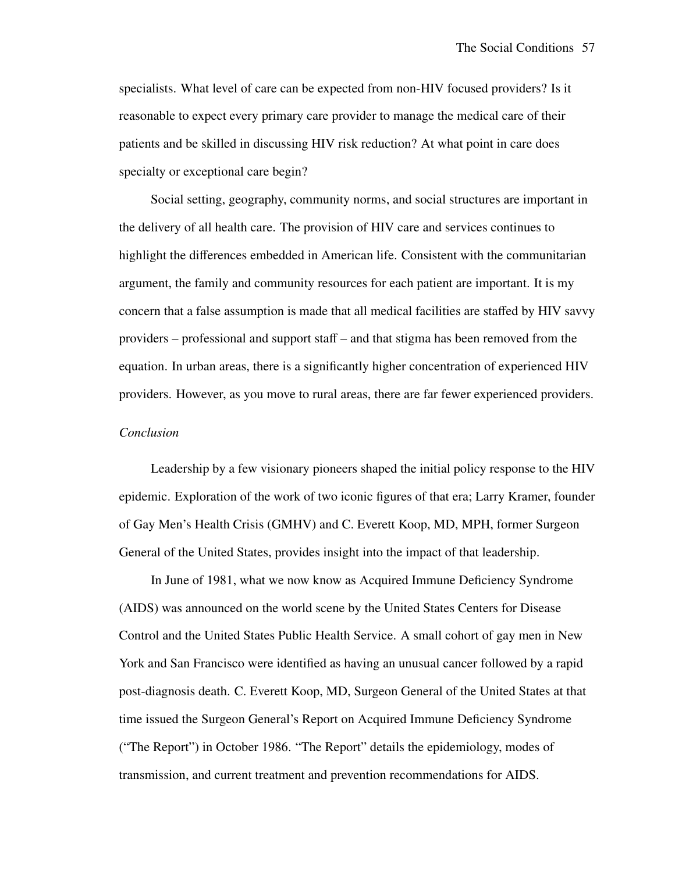specialists. What level of care can be expected from non-HIV focused providers? Is it reasonable to expect every primary care provider to manage the medical care of their patients and be skilled in discussing HIV risk reduction? At what point in care does specialty or exceptional care begin?

Social setting, geography, community norms, and social structures are important in the delivery of all health care. The provision of HIV care and services continues to highlight the differences embedded in American life. Consistent with the communitarian argument, the family and community resources for each patient are important. It is my concern that a false assumption is made that all medical facilities are staffed by HIV savvy providers – professional and support staff – and that stigma has been removed from the equation. In urban areas, there is a significantly higher concentration of experienced HIV providers. However, as you move to rural areas, there are far fewer experienced providers.

# *Conclusion*

Leadership by a few visionary pioneers shaped the initial policy response to the HIV epidemic. Exploration of the work of two iconic figures of that era; Larry Kramer, founder of Gay Men's Health Crisis (GMHV) and C. Everett Koop, MD, MPH, former Surgeon General of the United States, provides insight into the impact of that leadership.

In June of 1981, what we now know as Acquired Immune Deficiency Syndrome (AIDS) was announced on the world scene by the United States Centers for Disease Control and the United States Public Health Service. A small cohort of gay men in New York and San Francisco were identified as having an unusual cancer followed by a rapid post-diagnosis death. C. Everett Koop, MD, Surgeon General of the United States at that time issued the Surgeon General's Report on Acquired Immune Deficiency Syndrome ("The Report") in October 1986. "The Report" details the epidemiology, modes of transmission, and current treatment and prevention recommendations for AIDS.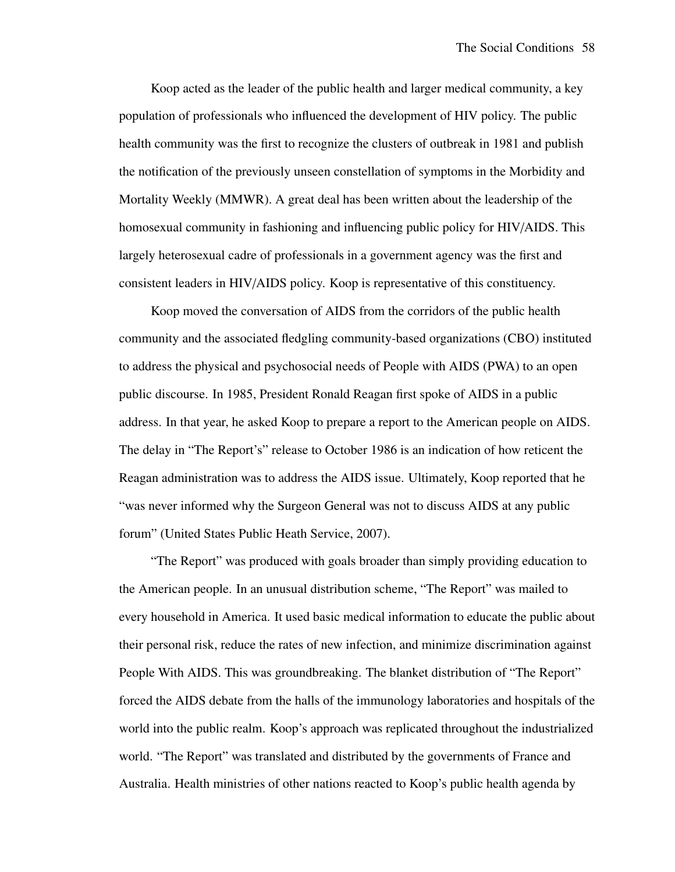Koop acted as the leader of the public health and larger medical community, a key population of professionals who influenced the development of HIV policy. The public health community was the first to recognize the clusters of outbreak in 1981 and publish the notification of the previously unseen constellation of symptoms in the Morbidity and Mortality Weekly (MMWR). A great deal has been written about the leadership of the homosexual community in fashioning and influencing public policy for HIV/AIDS. This largely heterosexual cadre of professionals in a government agency was the first and consistent leaders in HIV/AIDS policy. Koop is representative of this constituency.

Koop moved the conversation of AIDS from the corridors of the public health community and the associated fledgling community-based organizations (CBO) instituted to address the physical and psychosocial needs of People with AIDS (PWA) to an open public discourse. In 1985, President Ronald Reagan first spoke of AIDS in a public address. In that year, he asked Koop to prepare a report to the American people on AIDS. The delay in "The Report's" release to October 1986 is an indication of how reticent the Reagan administration was to address the AIDS issue. Ultimately, Koop reported that he "was never informed why the Surgeon General was not to discuss AIDS at any public forum" (United States Public Heath Service, 2007).

"The Report" was produced with goals broader than simply providing education to the American people. In an unusual distribution scheme, "The Report" was mailed to every household in America. It used basic medical information to educate the public about their personal risk, reduce the rates of new infection, and minimize discrimination against People With AIDS. This was groundbreaking. The blanket distribution of "The Report" forced the AIDS debate from the halls of the immunology laboratories and hospitals of the world into the public realm. Koop's approach was replicated throughout the industrialized world. "The Report" was translated and distributed by the governments of France and Australia. Health ministries of other nations reacted to Koop's public health agenda by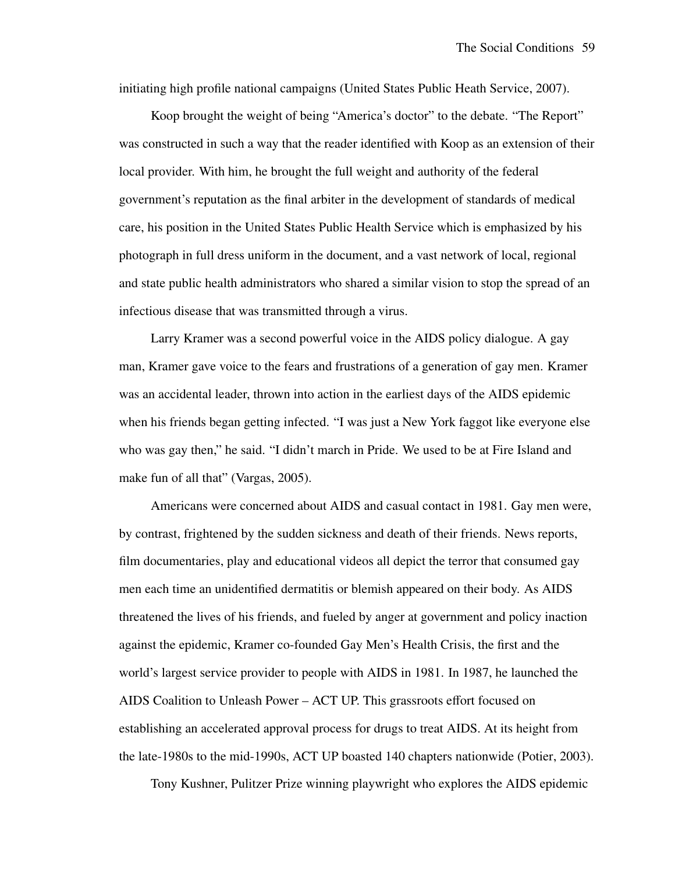initiating high profile national campaigns (United States Public Heath Service, 2007).

Koop brought the weight of being "America's doctor" to the debate. "The Report" was constructed in such a way that the reader identified with Koop as an extension of their local provider. With him, he brought the full weight and authority of the federal government's reputation as the final arbiter in the development of standards of medical care, his position in the United States Public Health Service which is emphasized by his photograph in full dress uniform in the document, and a vast network of local, regional and state public health administrators who shared a similar vision to stop the spread of an infectious disease that was transmitted through a virus.

Larry Kramer was a second powerful voice in the AIDS policy dialogue. A gay man, Kramer gave voice to the fears and frustrations of a generation of gay men. Kramer was an accidental leader, thrown into action in the earliest days of the AIDS epidemic when his friends began getting infected. "I was just a New York faggot like everyone else who was gay then," he said. "I didn't march in Pride. We used to be at Fire Island and make fun of all that" (Vargas, 2005).

Americans were concerned about AIDS and casual contact in 1981. Gay men were, by contrast, frightened by the sudden sickness and death of their friends. News reports, film documentaries, play and educational videos all depict the terror that consumed gay men each time an unidentified dermatitis or blemish appeared on their body. As AIDS threatened the lives of his friends, and fueled by anger at government and policy inaction against the epidemic, Kramer co-founded Gay Men's Health Crisis, the first and the world's largest service provider to people with AIDS in 1981. In 1987, he launched the AIDS Coalition to Unleash Power – ACT UP. This grassroots effort focused on establishing an accelerated approval process for drugs to treat AIDS. At its height from the late-1980s to the mid-1990s, ACT UP boasted 140 chapters nationwide (Potier, 2003).

Tony Kushner, Pulitzer Prize winning playwright who explores the AIDS epidemic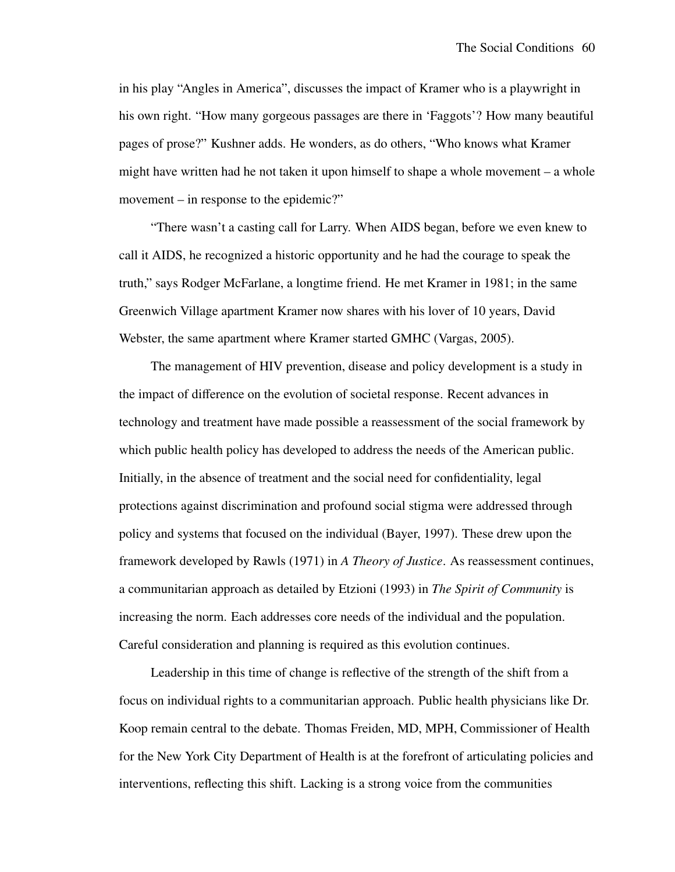in his play "Angles in America", discusses the impact of Kramer who is a playwright in his own right. "How many gorgeous passages are there in 'Faggots'? How many beautiful pages of prose?" Kushner adds. He wonders, as do others, "Who knows what Kramer might have written had he not taken it upon himself to shape a whole movement – a whole movement – in response to the epidemic?"

"There wasn't a casting call for Larry. When AIDS began, before we even knew to call it AIDS, he recognized a historic opportunity and he had the courage to speak the truth," says Rodger McFarlane, a longtime friend. He met Kramer in 1981; in the same Greenwich Village apartment Kramer now shares with his lover of 10 years, David Webster, the same apartment where Kramer started GMHC (Vargas, 2005).

The management of HIV prevention, disease and policy development is a study in the impact of difference on the evolution of societal response. Recent advances in technology and treatment have made possible a reassessment of the social framework by which public health policy has developed to address the needs of the American public. Initially, in the absence of treatment and the social need for confidentiality, legal protections against discrimination and profound social stigma were addressed through policy and systems that focused on the individual (Bayer, 1997). These drew upon the framework developed by Rawls (1971) in *A Theory of Justice*. As reassessment continues, a communitarian approach as detailed by Etzioni (1993) in *The Spirit of Community* is increasing the norm. Each addresses core needs of the individual and the population. Careful consideration and planning is required as this evolution continues.

Leadership in this time of change is reflective of the strength of the shift from a focus on individual rights to a communitarian approach. Public health physicians like Dr. Koop remain central to the debate. Thomas Freiden, MD, MPH, Commissioner of Health for the New York City Department of Health is at the forefront of articulating policies and interventions, reflecting this shift. Lacking is a strong voice from the communities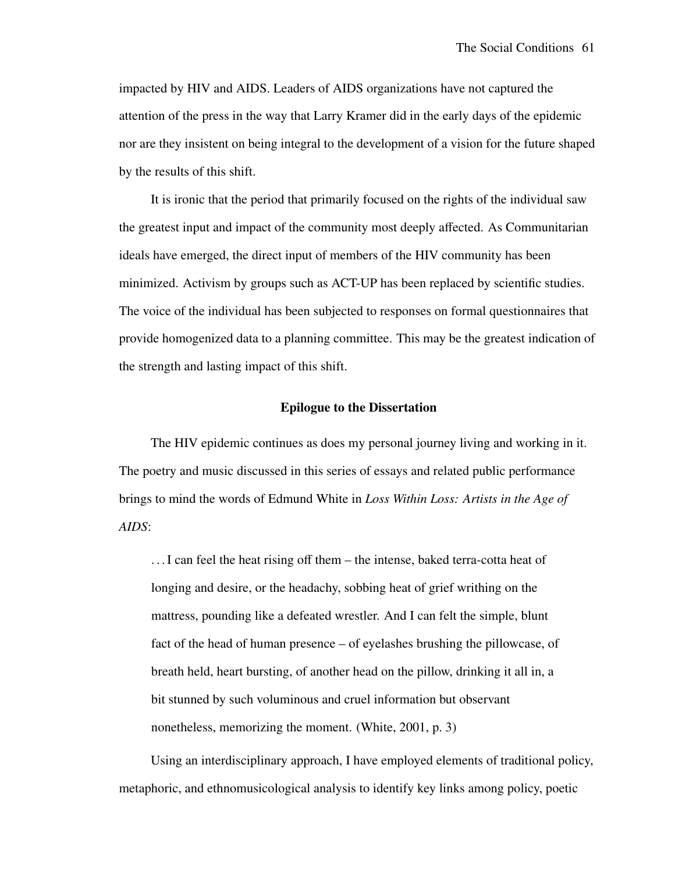impacted by HIV and AIDS. Leaders of AIDS organizations have not captured the attention of the press in the way that Larry Kramer did in the early days of the epidemic nor are they insistent on being integral to the development of a vision for the future shaped by the results of this shift.

It is ironic that the period that primarily focused on the rights of the individual saw the greatest input and impact of the community most deeply affected. As Communitarian ideals have emerged, the direct input of members of the HIV community has been minimized. Activism by groups such as ACT-UP has been replaced by scientific studies. The voice of the individual has been subjected to responses on formal questionnaires that provide homogenized data to a planning committee. This may be the greatest indication of the strength and lasting impact of this shift.

#### Epilogue to the Dissertation

The HIV epidemic continues as does my personal journey living and working in it. The poetry and music discussed in this series of essays and related public performance brings to mind the words of Edmund White in *Loss Within Loss: Artists in the Age of AIDS*:

. . . I can feel the heat rising off them – the intense, baked terra-cotta heat of longing and desire, or the headachy, sobbing heat of grief writhing on the mattress, pounding like a defeated wrestler. And I can felt the simple, blunt fact of the head of human presence – of eyelashes brushing the pillowcase, of breath held, heart bursting, of another head on the pillow, drinking it all in, a bit stunned by such voluminous and cruel information but observant nonetheless, memorizing the moment. (White, 2001, p. 3)

Using an interdisciplinary approach, I have employed elements of traditional policy, metaphoric, and ethnomusicological analysis to identify key links among policy, poetic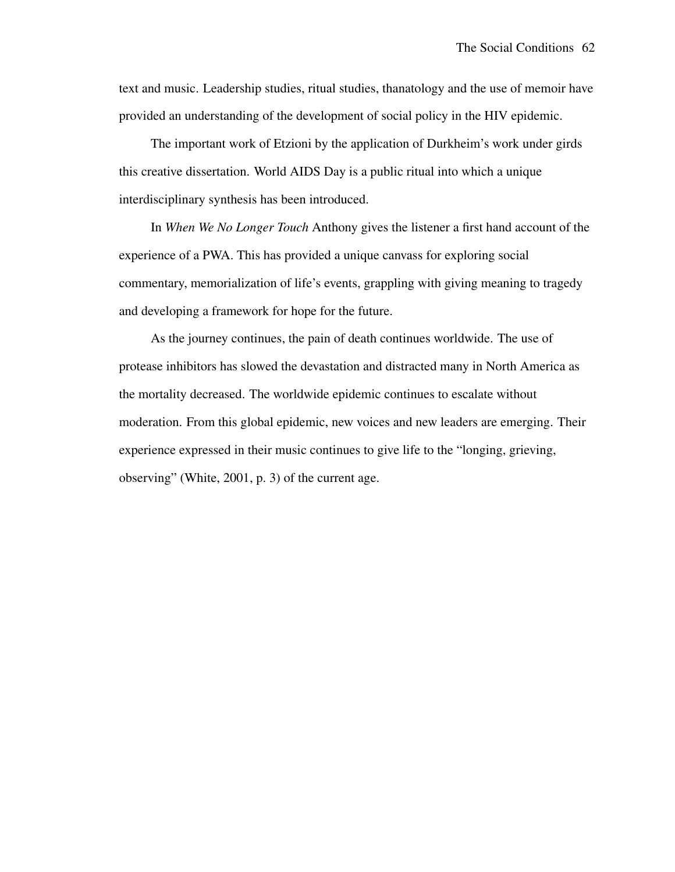text and music. Leadership studies, ritual studies, thanatology and the use of memoir have provided an understanding of the development of social policy in the HIV epidemic.

The important work of Etzioni by the application of Durkheim's work under girds this creative dissertation. World AIDS Day is a public ritual into which a unique interdisciplinary synthesis has been introduced.

In *When We No Longer Touch* Anthony gives the listener a first hand account of the experience of a PWA. This has provided a unique canvass for exploring social commentary, memorialization of life's events, grappling with giving meaning to tragedy and developing a framework for hope for the future.

As the journey continues, the pain of death continues worldwide. The use of protease inhibitors has slowed the devastation and distracted many in North America as the mortality decreased. The worldwide epidemic continues to escalate without moderation. From this global epidemic, new voices and new leaders are emerging. Their experience expressed in their music continues to give life to the "longing, grieving, observing" (White, 2001, p. 3) of the current age.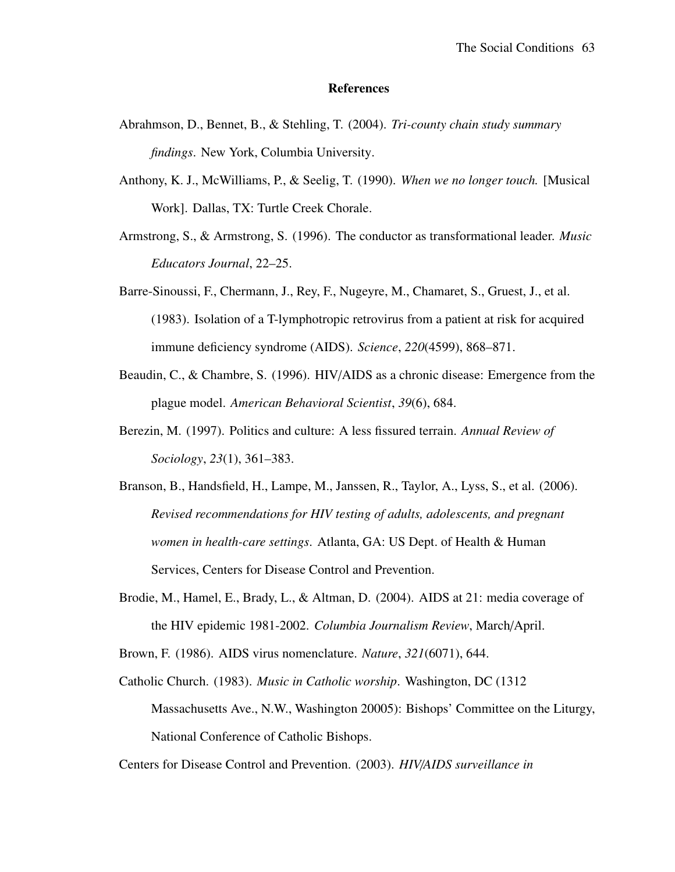### References

- Abrahmson, D., Bennet, B., & Stehling, T. (2004). *Tri-county chain study summary findings*. New York, Columbia University.
- Anthony, K. J., McWilliams, P., & Seelig, T. (1990). *When we no longer touch.* [Musical Work]. Dallas, TX: Turtle Creek Chorale.
- Armstrong, S., & Armstrong, S. (1996). The conductor as transformational leader. *Music Educators Journal*, 22–25.
- Barre-Sinoussi, F., Chermann, J., Rey, F., Nugeyre, M., Chamaret, S., Gruest, J., et al. (1983). Isolation of a T-lymphotropic retrovirus from a patient at risk for acquired immune deficiency syndrome (AIDS). *Science*, *220*(4599), 868–871.
- Beaudin, C., & Chambre, S. (1996). HIV/AIDS as a chronic disease: Emergence from the plague model. *American Behavioral Scientist*, *39*(6), 684.
- Berezin, M. (1997). Politics and culture: A less fissured terrain. *Annual Review of Sociology*, *23*(1), 361–383.
- Branson, B., Handsfield, H., Lampe, M., Janssen, R., Taylor, A., Lyss, S., et al. (2006). *Revised recommendations for HIV testing of adults, adolescents, and pregnant women in health-care settings*. Atlanta, GA: US Dept. of Health & Human Services, Centers for Disease Control and Prevention.
- Brodie, M., Hamel, E., Brady, L., & Altman, D. (2004). AIDS at 21: media coverage of the HIV epidemic 1981-2002. *Columbia Journalism Review*, March/April.
- Brown, F. (1986). AIDS virus nomenclature. *Nature*, *321*(6071), 644.
- Catholic Church. (1983). *Music in Catholic worship*. Washington, DC (1312 Massachusetts Ave., N.W., Washington 20005): Bishops' Committee on the Liturgy, National Conference of Catholic Bishops.

Centers for Disease Control and Prevention. (2003). *HIV*/*AIDS surveillance in*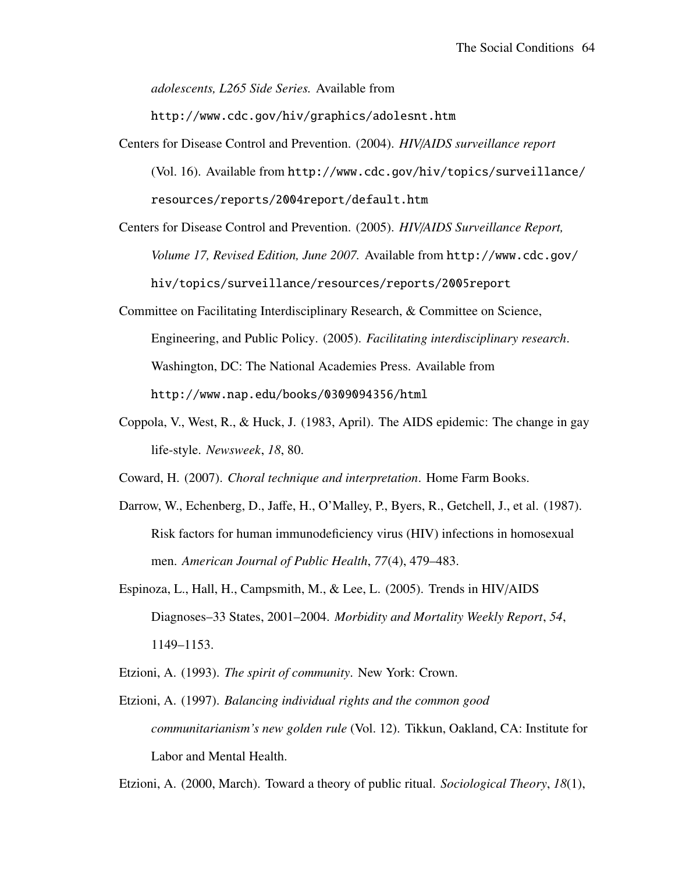*adolescents, L265 Side Series.* Available from

http://www.cdc.gov/hiv/graphics/adolesnt.htm

Centers for Disease Control and Prevention. (2004). *HIV*/*AIDS surveillance report* (Vol. 16). Available from http://www.cdc.gov/hiv/topics/surveillance/ resources/reports/2004report/default.htm

Centers for Disease Control and Prevention. (2005). *HIV*/*AIDS Surveillance Report, Volume 17, Revised Edition, June 2007.* Available from http://www.cdc.gov/ hiv/topics/surveillance/resources/reports/2005report

- Committee on Facilitating Interdisciplinary Research, & Committee on Science, Engineering, and Public Policy. (2005). *Facilitating interdisciplinary research*. Washington, DC: The National Academies Press. Available from http://www.nap.edu/books/0309094356/html
- Coppola, V., West, R., & Huck, J. (1983, April). The AIDS epidemic: The change in gay life-style. *Newsweek*, *18*, 80.

Coward, H. (2007). *Choral technique and interpretation*. Home Farm Books.

- Darrow, W., Echenberg, D., Jaffe, H., O'Malley, P., Byers, R., Getchell, J., et al. (1987). Risk factors for human immunodeficiency virus (HIV) infections in homosexual men. *American Journal of Public Health*, *77*(4), 479–483.
- Espinoza, L., Hall, H., Campsmith, M., & Lee, L. (2005). Trends in HIV/AIDS Diagnoses–33 States, 2001–2004. *Morbidity and Mortality Weekly Report*, *54*, 1149–1153.
- Etzioni, A. (1993). *The spirit of community*. New York: Crown.
- Etzioni, A. (1997). *Balancing individual rights and the common good communitarianism's new golden rule* (Vol. 12). Tikkun, Oakland, CA: Institute for Labor and Mental Health.

Etzioni, A. (2000, March). Toward a theory of public ritual. *Sociological Theory*, *18*(1),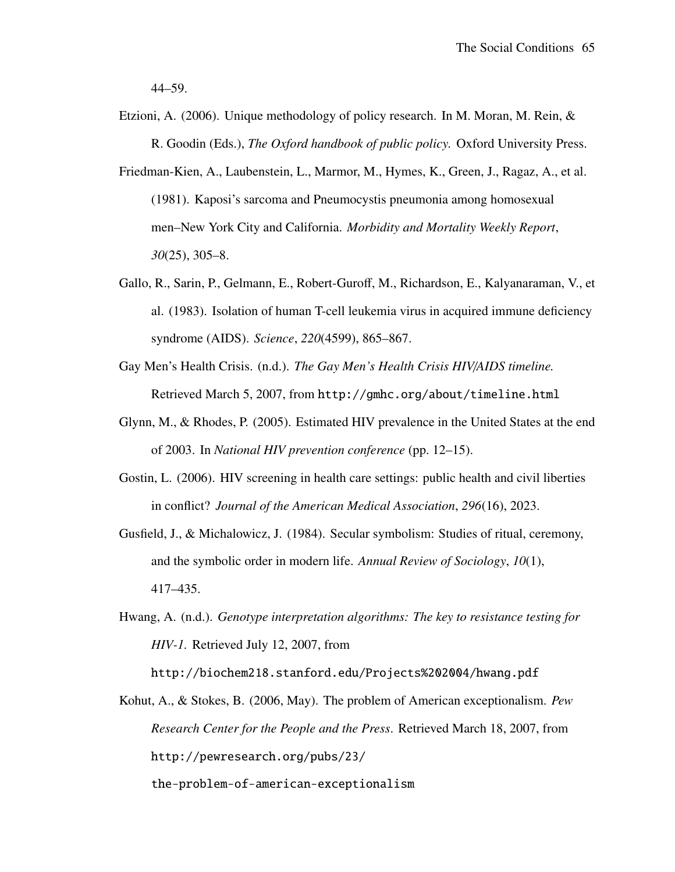44–59.

- Etzioni, A. (2006). Unique methodology of policy research. In M. Moran, M. Rein, & R. Goodin (Eds.), *The Oxford handbook of public policy.* Oxford University Press.
- Friedman-Kien, A., Laubenstein, L., Marmor, M., Hymes, K., Green, J., Ragaz, A., et al. (1981). Kaposi's sarcoma and Pneumocystis pneumonia among homosexual men–New York City and California. *Morbidity and Mortality Weekly Report*, *30*(25), 305–8.
- Gallo, R., Sarin, P., Gelmann, E., Robert-Guroff, M., Richardson, E., Kalyanaraman, V., et al. (1983). Isolation of human T-cell leukemia virus in acquired immune deficiency syndrome (AIDS). *Science*, *220*(4599), 865–867.
- Gay Men's Health Crisis. (n.d.). *The Gay Men's Health Crisis HIV*/*AIDS timeline.* Retrieved March 5, 2007, from http://gmhc.org/about/timeline.html
- Glynn, M., & Rhodes, P. (2005). Estimated HIV prevalence in the United States at the end of 2003. In *National HIV prevention conference* (pp. 12–15).
- Gostin, L. (2006). HIV screening in health care settings: public health and civil liberties in conflict? *Journal of the American Medical Association*, *296*(16), 2023.
- Gusfield, J., & Michalowicz, J. (1984). Secular symbolism: Studies of ritual, ceremony, and the symbolic order in modern life. *Annual Review of Sociology*, *10*(1), 417–435.
- Hwang, A. (n.d.). *Genotype interpretation algorithms: The key to resistance testing for HIV-1.* Retrieved July 12, 2007, from

http://biochem218.stanford.edu/Projects%202004/hwang.pdf

Kohut, A., & Stokes, B. (2006, May). The problem of American exceptionalism. *Pew Research Center for the People and the Press*. Retrieved March 18, 2007, from http://pewresearch.org/pubs/23/ the-problem-of-american-exceptionalism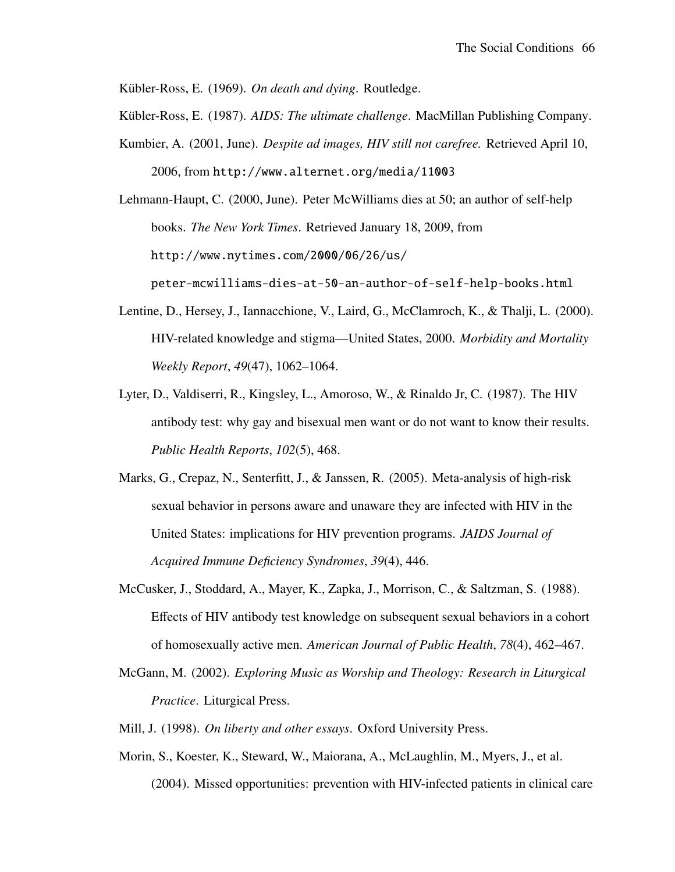Kübler-Ross, E. (1969). On death and dying. Routledge.

Kübler-Ross, E. (1987). *AIDS: The ultimate challenge*. MacMillan Publishing Company.

Kumbier, A. (2001, June). *Despite ad images, HIV still not carefree.* Retrieved April 10, 2006, from http://www.alternet.org/media/11003

Lehmann-Haupt, C. (2000, June). Peter McWilliams dies at 50; an author of self-help books. *The New York Times*. Retrieved January 18, 2009, from http://www.nytimes.com/2000/06/26/us/ peter-mcwilliams-dies-at-50-an-author-of-self-help-books.html

- Lentine, D., Hersey, J., Iannacchione, V., Laird, G., McClamroch, K., & Thalji, L. (2000). HIV-related knowledge and stigma—United States, 2000. *Morbidity and Mortality Weekly Report*, *49*(47), 1062–1064.
- Lyter, D., Valdiserri, R., Kingsley, L., Amoroso, W., & Rinaldo Jr, C. (1987). The HIV antibody test: why gay and bisexual men want or do not want to know their results. *Public Health Reports*, *102*(5), 468.
- Marks, G., Crepaz, N., Senterfitt, J., & Janssen, R. (2005). Meta-analysis of high-risk sexual behavior in persons aware and unaware they are infected with HIV in the United States: implications for HIV prevention programs. *JAIDS Journal of Acquired Immune Deficiency Syndromes*, *39*(4), 446.
- McCusker, J., Stoddard, A., Mayer, K., Zapka, J., Morrison, C., & Saltzman, S. (1988). Effects of HIV antibody test knowledge on subsequent sexual behaviors in a cohort of homosexually active men. *American Journal of Public Health*, *78*(4), 462–467.
- McGann, M. (2002). *Exploring Music as Worship and Theology: Research in Liturgical Practice*. Liturgical Press.
- Mill, J. (1998). *On liberty and other essays*. Oxford University Press.
- Morin, S., Koester, K., Steward, W., Maiorana, A., McLaughlin, M., Myers, J., et al. (2004). Missed opportunities: prevention with HIV-infected patients in clinical care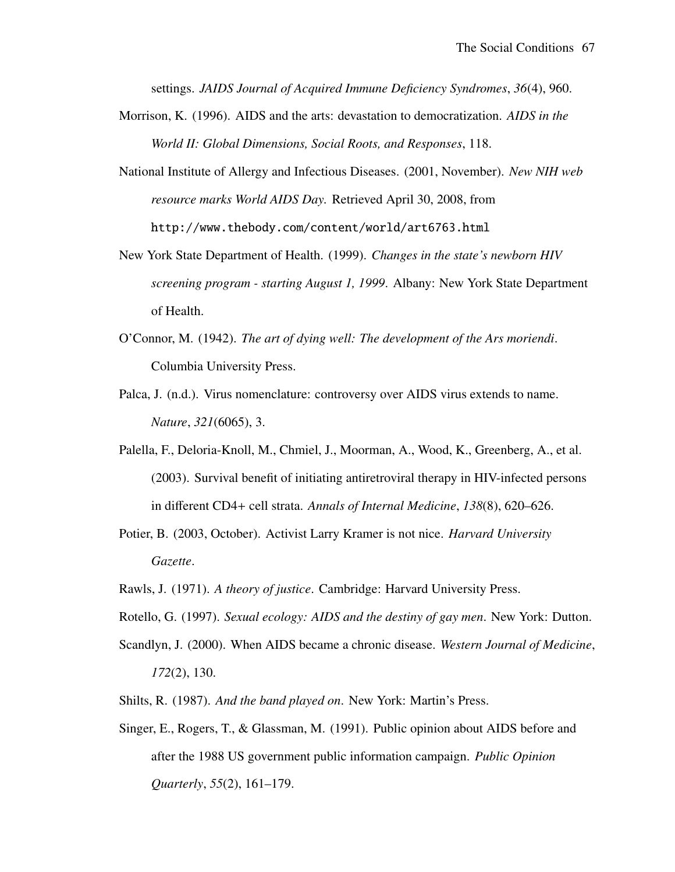settings. *JAIDS Journal of Acquired Immune Deficiency Syndromes*, *36*(4), 960.

- Morrison, K. (1996). AIDS and the arts: devastation to democratization. *AIDS in the World II: Global Dimensions, Social Roots, and Responses*, 118.
- National Institute of Allergy and Infectious Diseases. (2001, November). *New NIH web resource marks World AIDS Day.* Retrieved April 30, 2008, from http://www.thebody.com/content/world/art6763.html
- New York State Department of Health. (1999). *Changes in the state's newborn HIV screening program - starting August 1, 1999*. Albany: New York State Department of Health.
- O'Connor, M. (1942). *The art of dying well: The development of the Ars moriendi*. Columbia University Press.
- Palca, J. (n.d.). Virus nomenclature: controversy over AIDS virus extends to name. *Nature*, *321*(6065), 3.
- Palella, F., Deloria-Knoll, M., Chmiel, J., Moorman, A., Wood, K., Greenberg, A., et al. (2003). Survival benefit of initiating antiretroviral therapy in HIV-infected persons in different CD4+ cell strata. *Annals of Internal Medicine*, *138*(8), 620–626.
- Potier, B. (2003, October). Activist Larry Kramer is not nice. *Harvard University Gazette*.
- Rawls, J. (1971). *A theory of justice*. Cambridge: Harvard University Press.
- Rotello, G. (1997). *Sexual ecology: AIDS and the destiny of gay men*. New York: Dutton.
- Scandlyn, J. (2000). When AIDS became a chronic disease. *Western Journal of Medicine*, *172*(2), 130.
- Shilts, R. (1987). *And the band played on*. New York: Martin's Press.
- Singer, E., Rogers, T., & Glassman, M. (1991). Public opinion about AIDS before and after the 1988 US government public information campaign. *Public Opinion Quarterly*, *55*(2), 161–179.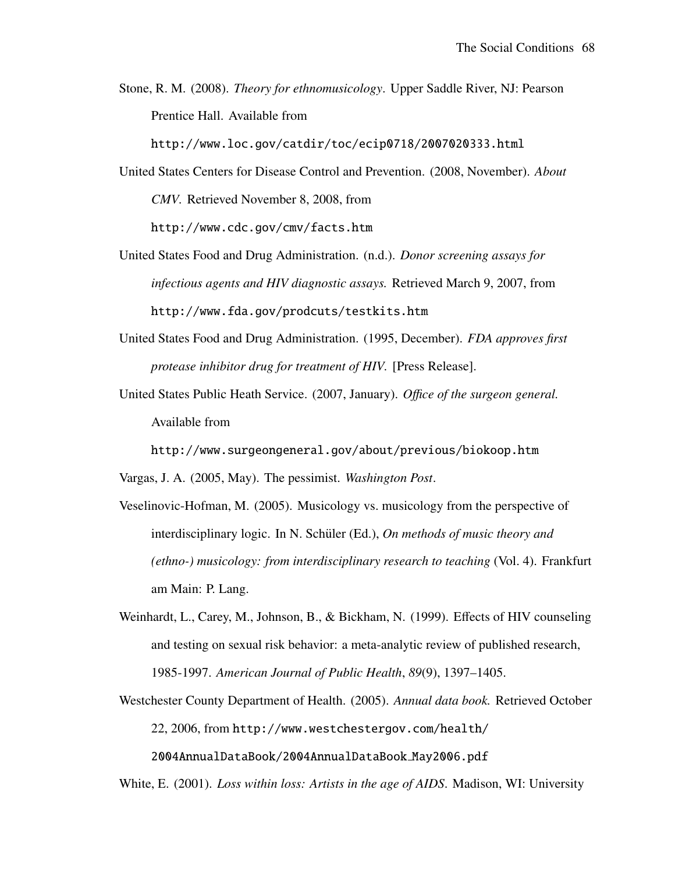Stone, R. M. (2008). *Theory for ethnomusicology*. Upper Saddle River, NJ: Pearson Prentice Hall. Available from

http://www.loc.gov/catdir/toc/ecip0718/2007020333.html

United States Centers for Disease Control and Prevention. (2008, November). *About CMV.* Retrieved November 8, 2008, from

http://www.cdc.gov/cmv/facts.htm

- United States Food and Drug Administration. (n.d.). *Donor screening assays for infectious agents and HIV diagnostic assays.* Retrieved March 9, 2007, from http://www.fda.gov/prodcuts/testkits.htm
- United States Food and Drug Administration. (1995, December). *FDA approves first protease inhibitor drug for treatment of HIV.* [Press Release].
- United States Public Heath Service. (2007, January). *O*ffi*ce of the surgeon general.* Available from

http://www.surgeongeneral.gov/about/previous/biokoop.htm

Vargas, J. A. (2005, May). The pessimist. *Washington Post*.

- Veselinovic-Hofman, M. (2005). Musicology vs. musicology from the perspective of interdisciplinary logic. In N. Schüler (Ed.), On methods of music theory and *(ethno-) musicology: from interdisciplinary research to teaching* (Vol. 4). Frankfurt am Main: P. Lang.
- Weinhardt, L., Carey, M., Johnson, B., & Bickham, N. (1999). Effects of HIV counseling and testing on sexual risk behavior: a meta-analytic review of published research, 1985-1997. *American Journal of Public Health*, *89*(9), 1397–1405.
- Westchester County Department of Health. (2005). *Annual data book.* Retrieved October 22, 2006, from http://www.westchestergov.com/health/ 2004AnnualDataBook/2004AnnualDataBook May2006.pdf

White, E. (2001). *Loss within loss: Artists in the age of AIDS*. Madison, WI: University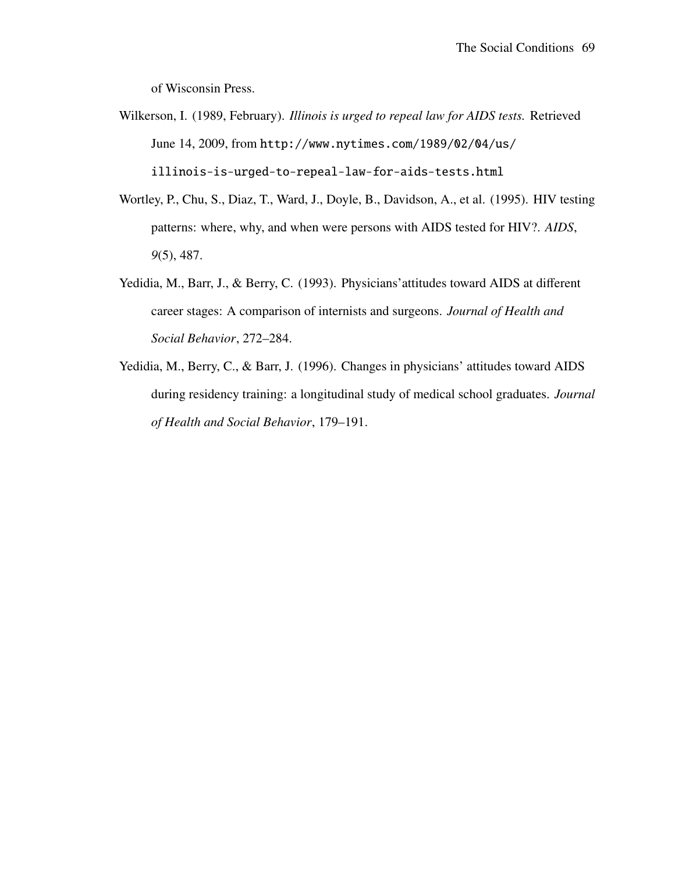of Wisconsin Press.

- Wilkerson, I. (1989, February). *Illinois is urged to repeal law for AIDS tests.* Retrieved June 14, 2009, from http://www.nytimes.com/1989/02/04/us/ illinois-is-urged-to-repeal-law-for-aids-tests.html
- Wortley, P., Chu, S., Diaz, T., Ward, J., Doyle, B., Davidson, A., et al. (1995). HIV testing patterns: where, why, and when were persons with AIDS tested for HIV?. *AIDS*, *9*(5), 487.
- Yedidia, M., Barr, J., & Berry, C. (1993). Physicians'attitudes toward AIDS at different career stages: A comparison of internists and surgeons. *Journal of Health and Social Behavior*, 272–284.
- Yedidia, M., Berry, C., & Barr, J. (1996). Changes in physicians' attitudes toward AIDS during residency training: a longitudinal study of medical school graduates. *Journal of Health and Social Behavior*, 179–191.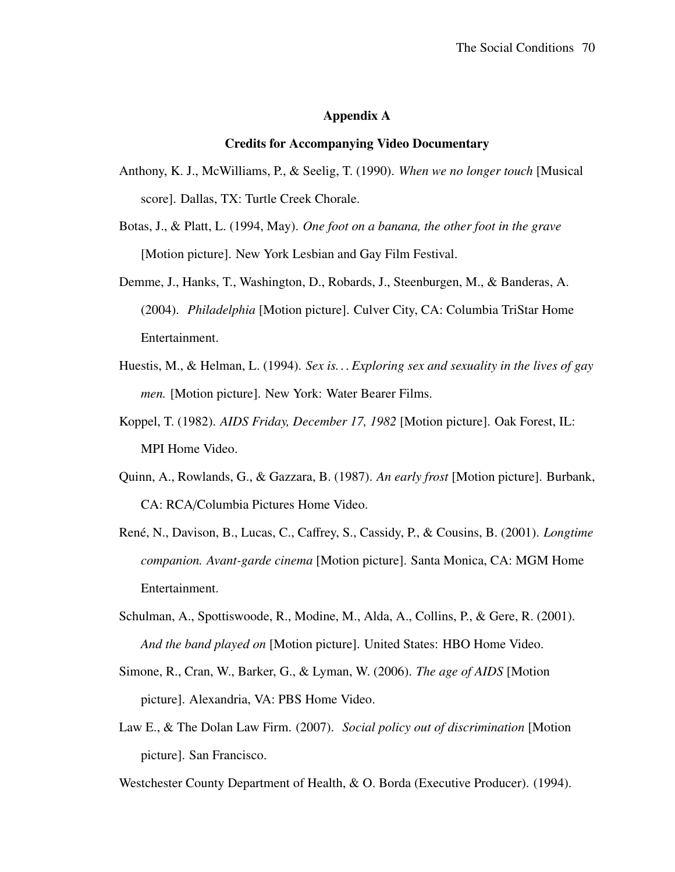### Appendix A

#### Credits for Accompanying Video Documentary

- Anthony, K. J., McWilliams, P., & Seelig, T. (1990). *When we no longer touch* [Musical score]. Dallas, TX: Turtle Creek Chorale.
- Botas, J., & Platt, L. (1994, May). *One foot on a banana, the other foot in the grave* [Motion picture]. New York Lesbian and Gay Film Festival.
- Demme, J., Hanks, T., Washington, D., Robards, J., Steenburgen, M., & Banderas, A. (2004). *Philadelphia* [Motion picture]. Culver City, CA: Columbia TriStar Home Entertainment.
- Huestis, M., & Helman, L. (1994). *Sex is. . . Exploring sex and sexuality in the lives of gay men.* [Motion picture]. New York: Water Bearer Films.
- Koppel, T. (1982). *AIDS Friday, December 17, 1982* [Motion picture]. Oak Forest, IL: MPI Home Video.
- Quinn, A., Rowlands, G., & Gazzara, B. (1987). *An early frost* [Motion picture]. Burbank, CA: RCA/Columbia Pictures Home Video.
- René, N., Davison, B., Lucas, C., Caffrey, S., Cassidy, P., & Cousins, B. (2001). *Longtime companion. Avant-garde cinema* [Motion picture]. Santa Monica, CA: MGM Home Entertainment.
- Schulman, A., Spottiswoode, R., Modine, M., Alda, A., Collins, P., & Gere, R. (2001). *And the band played on* [Motion picture]. United States: HBO Home Video.
- Simone, R., Cran, W., Barker, G., & Lyman, W. (2006). *The age of AIDS* [Motion picture]. Alexandria, VA: PBS Home Video.
- Law E., & The Dolan Law Firm. (2007). *Social policy out of discrimination* [Motion picture]. San Francisco.

Westchester County Department of Health, & O. Borda (Executive Producer). (1994).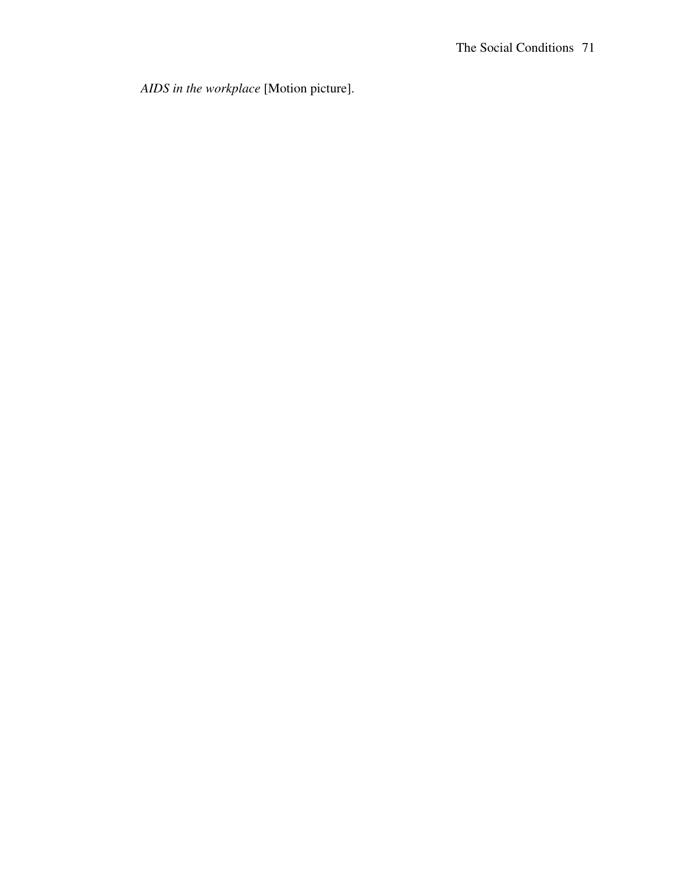*AIDS in the workplace* [Motion picture].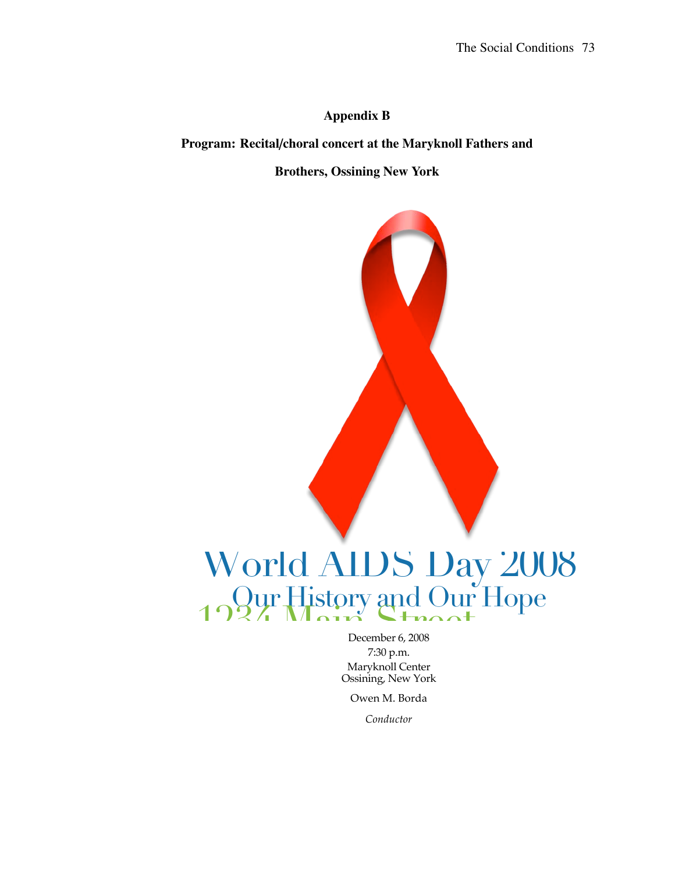## Appendix B

### Program: Recital/choral concert at the Maryknoll Fathers and

### Brothers, Ossining New York



December 6, 2008 7:30 p.m. Maryknoll Center Ossining, New York

Owen M. Borda

*Conductor*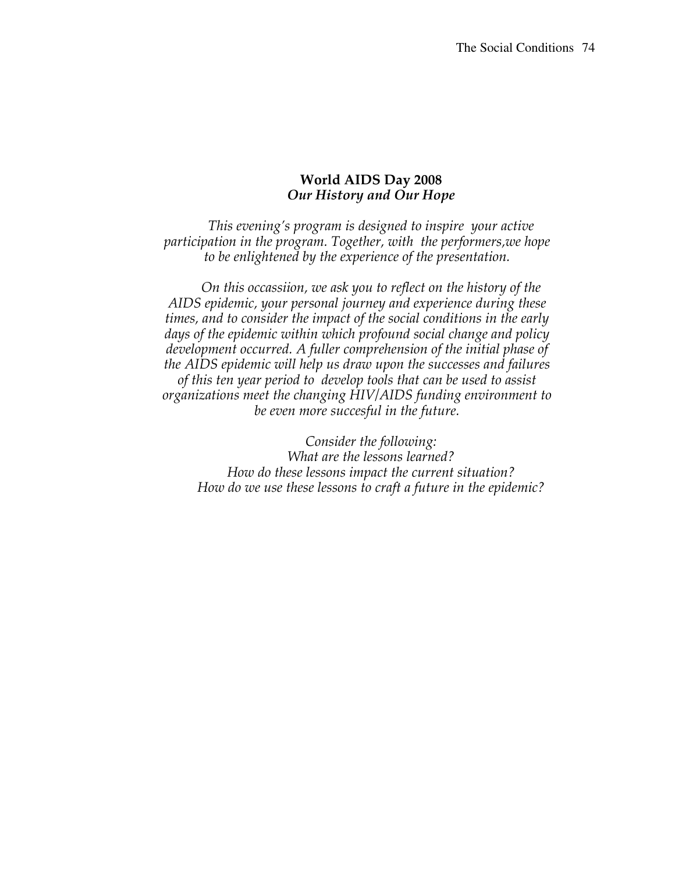## **World AIDS Day 2008** *Our History and Our Hope*

*This evening's program is designed to inspire your active participation in the program. Together, with the performers,we hope to be enlightened by the experience of the presentation.*

*On this occassiion, we ask you to reflect on the history of the AIDS epidemic, your personal journey and experience during these times, and to consider the impact of the social conditions in the early days of the epidemic within which profound social change and policy development occurred. A fuller comprehension of the initial phase of the AIDS epidemic will help us draw upon the successes and failures of this ten year period to develop tools that can be used to assist organizations meet the changing HIV/AIDS funding environment to be even more succesful in the future.*

*Consider the following: What are the lessons learned? How do these lessons impact the current situation? How do we use these lessons to craft a future in the epidemic?*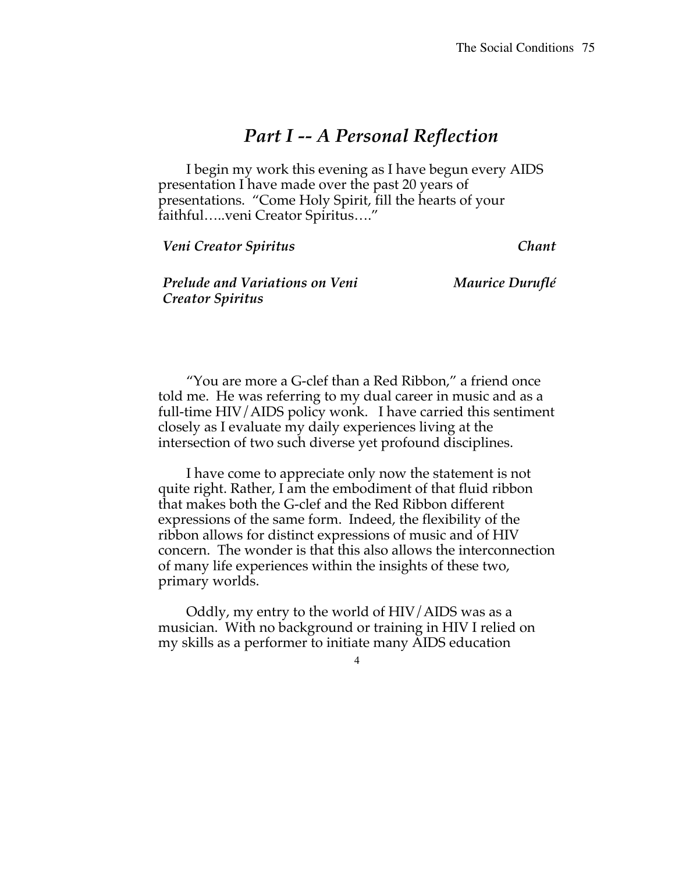## *Part I -- A Personal Reflection*

I begin my work this evening as I have begun every AIDS presentation I have made over the past 20 years of presentations. "Come Holy Spirit, fill the hearts of your faithful…..veni Creator Spiritus…."

*Veni Creator Spiritus Chant*

*Prelude and Variations on Veni Creator Spiritus*

*Maurice Duruflé*

"You are more a G-clef than a Red Ribbon," a friend once told me. He was referring to my dual career in music and as a full-time HIV/AIDS policy wonk. I have carried this sentiment closely as I evaluate my daily experiences living at the intersection of two such diverse yet profound disciplines.

I have come to appreciate only now the statement is not quite right. Rather, I am the embodiment of that fluid ribbon that makes both the G-clef and the Red Ribbon different expressions of the same form. Indeed, the flexibility of the ribbon allows for distinct expressions of music and of HIV concern. The wonder is that this also allows the interconnection of many life experiences within the insights of these two, primary worlds.

Oddly, my entry to the world of HIV/AIDS was as a musician. With no background or training in HIV I relied on my skills as a performer to initiate many AIDS education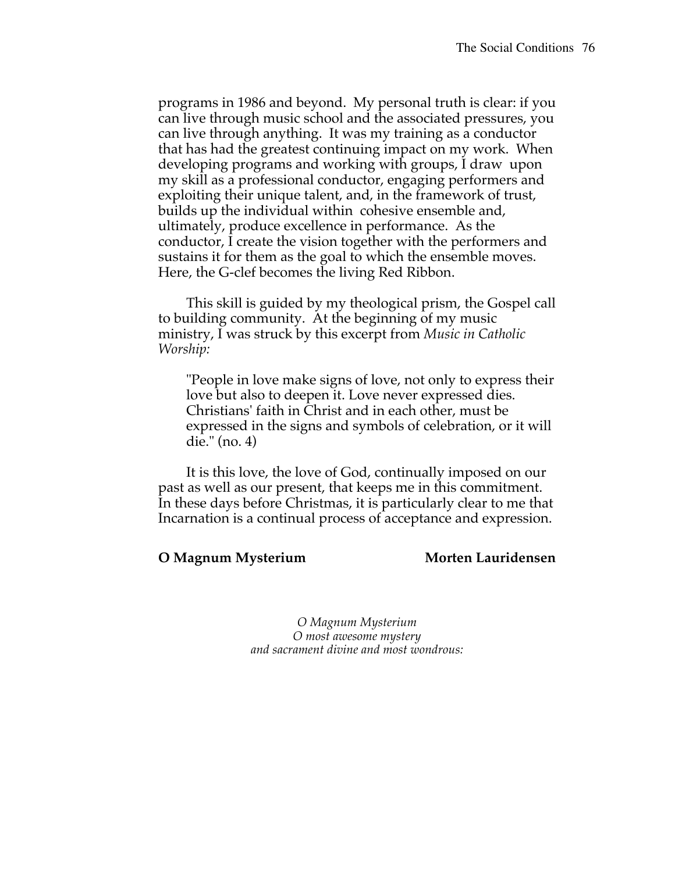programs in 1986 and beyond. My personal truth is clear: if you can live through music school and the associated pressures, you can live through anything. It was my training as a conductor that has had the greatest continuing impact on my work. When developing programs and working with groups, I draw upon my skill as a professional conductor, engaging performers and exploiting their unique talent, and, in the framework of trust, builds up the individual within cohesive ensemble and, ultimately, produce excellence in performance. As the conductor, I create the vision together with the performers and sustains it for them as the goal to which the ensemble moves. Here, the G-clef becomes the living Red Ribbon.

This skill is guided by my theological prism, the Gospel call to building community. At the beginning of my music ministry, I was struck by this excerpt from *Music in Catholic Worship:*

"People in love make signs of love, not only to express their love but also to deepen it. Love never expressed dies. Christians' faith in Christ and in each other, must be expressed in the signs and symbols of celebration, or it will die." (no. 4)

It is this love, the love of God, continually imposed on our past as well as our present, that keeps me in this commitment. In these days before Christmas, it is particularly clear to me that Incarnation is a continual process of acceptance and expression.

## **O Magnum Mysterium Morten Lauridensen**

*O Magnum Mysterium O most awesome mystery and sacrament divine and most wondrous:*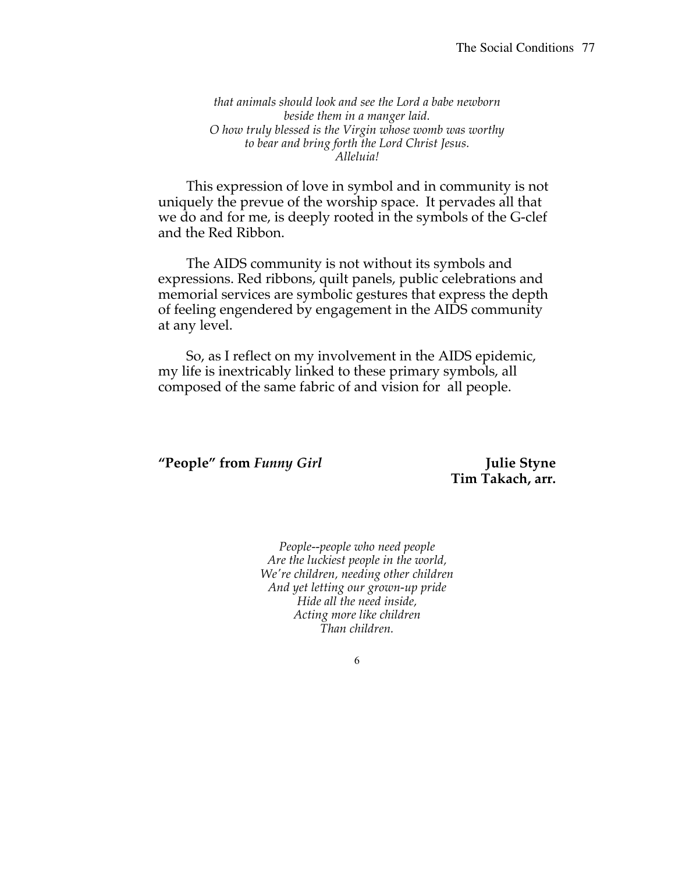*that animals should look and see the Lord a babe newborn beside them in a manger laid. O how truly blessed is the Virgin whose womb was worthy to bear and bring forth the Lord Christ Jesus. Alleluia!*

This expression of love in symbol and in community is not uniquely the prevue of the worship space. It pervades all that we do and for me, is deeply rooted in the symbols of the G-clef and the Red Ribbon.

The AIDS community is not without its symbols and expressions. Red ribbons, quilt panels, public celebrations and memorial services are symbolic gestures that express the depth of feeling engendered by engagement in the AIDS community at any level.

So, as I reflect on my involvement in the AIDS epidemic, my life is inextricably linked to these primary symbols, all composed of the same fabric of and vision for all people.

### **"People" from** *Funny Girl* **Julie Styne**

**Tim Takach, arr.**

*People--people who need people Are the luckiest people in the world, We're children, needing other children And yet letting our grown-up pride Hide all the need inside, Acting more like children Than children.*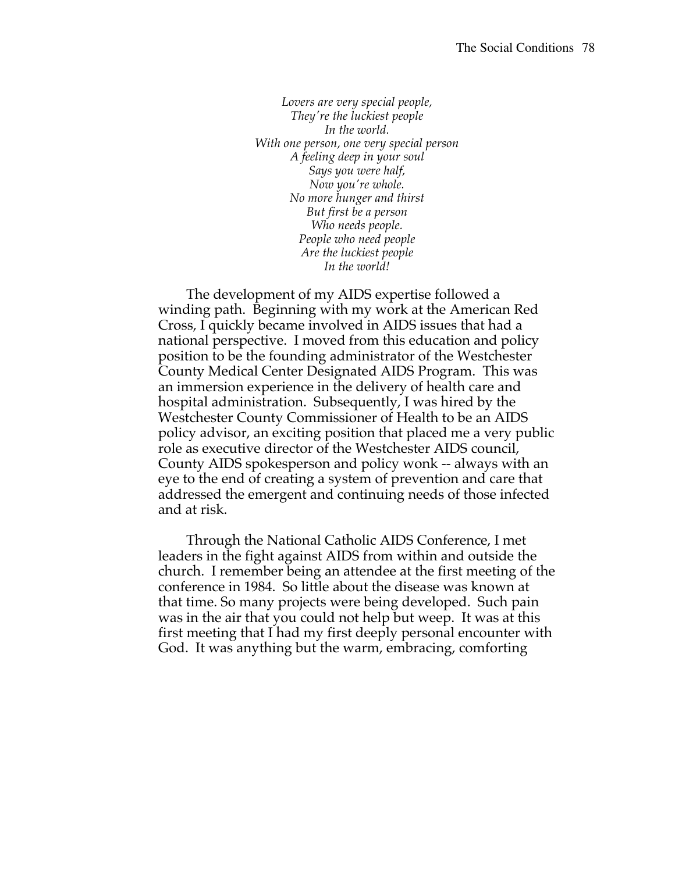*Lovers are very special people, They're the luckiest people In the world. With one person, one very special person A feeling deep in your soul Says you were half, Now you're whole. No more hunger and thirst But first be a person Who needs people. People who need people Are the luckiest people In the world!*

The development of my AIDS expertise followed a winding path. Beginning with my work at the American Red Cross, I quickly became involved in AIDS issues that had a national perspective. I moved from this education and policy position to be the founding administrator of the Westchester County Medical Center Designated AIDS Program. This was an immersion experience in the delivery of health care and hospital administration. Subsequently, I was hired by the Westchester County Commissioner of Health to be an AIDS policy advisor, an exciting position that placed me a very public role as executive director of the Westchester AIDS council, County AIDS spokesperson and policy wonk -- always with an eye to the end of creating a system of prevention and care that addressed the emergent and continuing needs of those infected and at risk.

Through the National Catholic AIDS Conference, I met leaders in the fight against AIDS from within and outside the church. I remember being an attendee at the first meeting of the conference in 1984. So little about the disease was known at that time. So many projects were being developed. Such pain was in the air that you could not help but weep. It was at this first meeting that I had my first deeply personal encounter with God. It was anything but the warm, embracing, comforting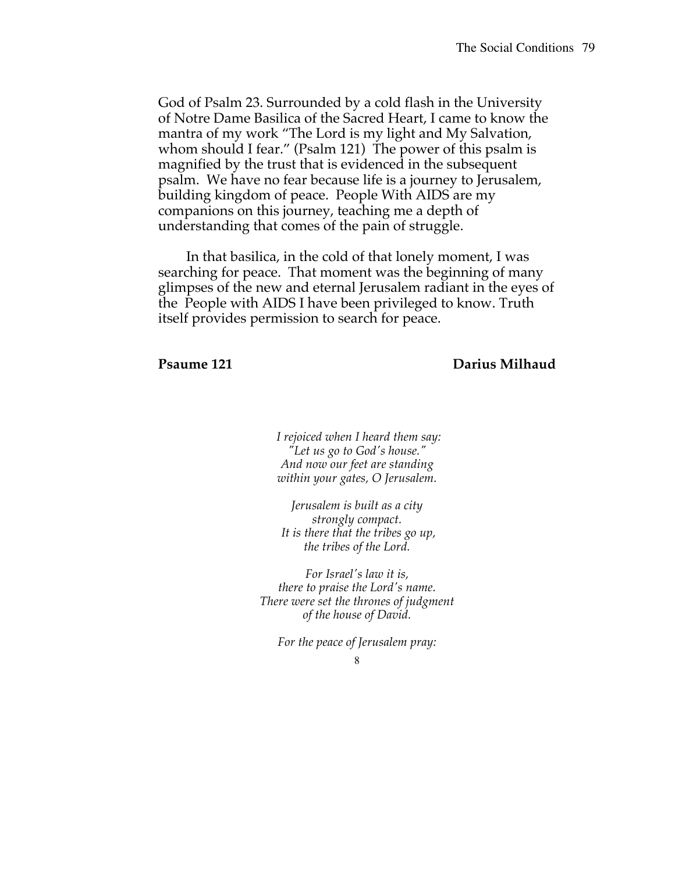God of Psalm 23. Surrounded by a cold flash in the University of Notre Dame Basilica of the Sacred Heart, I came to know the mantra of my work "The Lord is my light and My Salvation, whom should I fear." (Psalm 121) The power of this psalm is magnified by the trust that is evidenced in the subsequent psalm. We have no fear because life is a journey to Jerusalem, building kingdom of peace. People With AIDS are my companions on this journey, teaching me a depth of understanding that comes of the pain of struggle.

In that basilica, in the cold of that lonely moment, I was searching for peace. That moment was the beginning of many glimpses of the new and eternal Jerusalem radiant in the eyes of the People with AIDS I have been privileged to know. Truth itself provides permission to search for peace.

## **Psaume 121 Darius Milhaud**

*I rejoiced when I heard them say: "Let us go to God's house." And now our feet are standing within your gates, O Jerusalem.*

*Jerusalem is built as a city strongly compact. It is there that the tribes go up, the tribes of the Lord.*

*For Israel's law it is, there to praise the Lord's name. There were set the thrones of judgment of the house of David.*

*For the peace of Jerusalem pray:*

<sup>8</sup>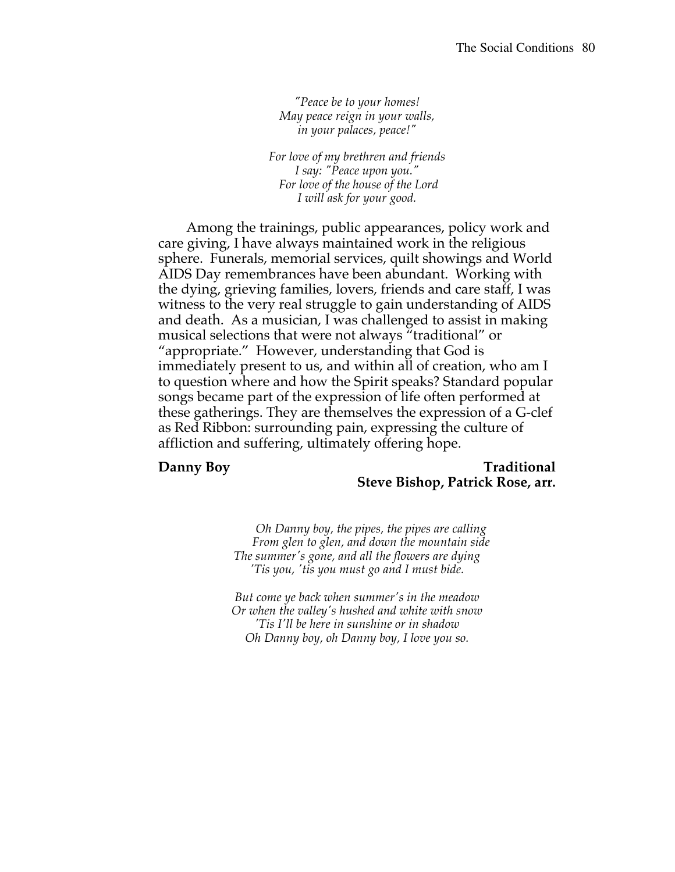*"Peace be to your homes! May peace reign in your walls, in your palaces, peace!"*

*For love of my brethren and friends I say: "Peace upon you." For love of the house of the Lord I will ask for your good.*

Among the trainings, public appearances, policy work and care giving, I have always maintained work in the religious sphere. Funerals, memorial services, quilt showings and World AIDS Day remembrances have been abundant. Working with the dying, grieving families, lovers, friends and care staff, I was witness to the very real struggle to gain understanding of AIDS and death. As a musician, I was challenged to assist in making musical selections that were not always "traditional" or "appropriate." However, understanding that God is immediately present to us, and within all of creation, who am I to question where and how the Spirit speaks? Standard popular songs became part of the expression of life often performed at these gatherings. They are themselves the expression of a G-clef as Red Ribbon: surrounding pain, expressing the culture of affliction and suffering, ultimately offering hope.

## **Danny Boy Traditional Steve Bishop, Patrick Rose, arr.**

*Oh Danny boy, the pipes, the pipes are calling From glen to glen, and down the mountain side The summer's gone, and all the flowers are dying 'Tis you, 'tis you must go and I must bide.*

*But come ye back when summer's in the meadow Or when the valley's hushed and white with snow 'Tis I'll be here in sunshine or in shadow Oh Danny boy, oh Danny boy, I love you so.*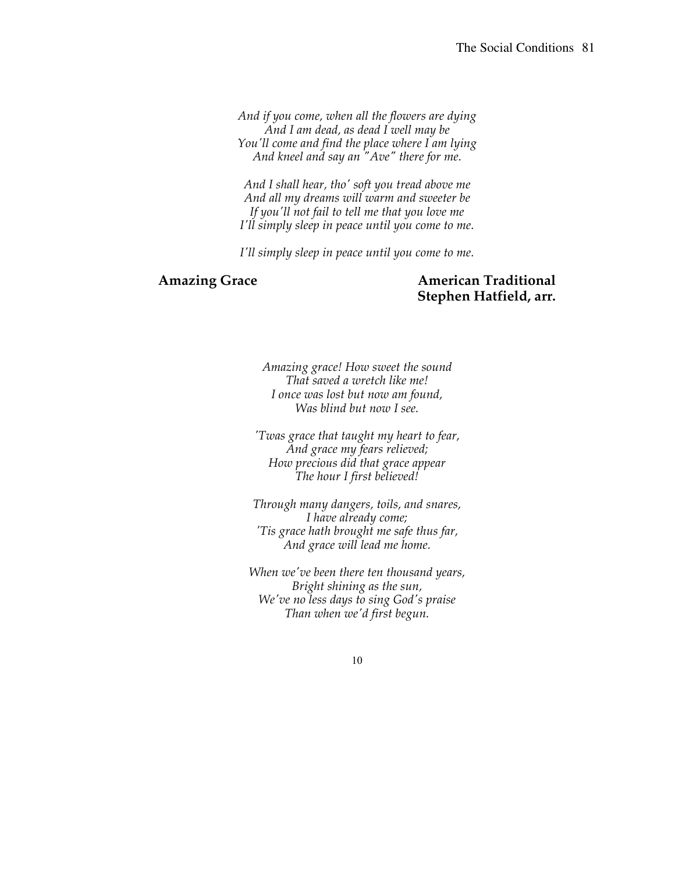*And if you come, when all the flowers are dying And I am dead, as dead I well may be You'll come and find the place where I am lying And kneel and say an "Ave" there for me.*

*And I shall hear, tho' soft you tread above me And all my dreams will warm and sweeter be If you'll not fail to tell me that you love me I'll simply sleep in peace until you come to me.*

*I'll simply sleep in peace until you come to me.*

## **Amazing Grace American Traditional Stephen Hatfield, arr.**

*Amazing grace! How sweet the sound That saved a wretch like me! I once was lost but now am found, Was blind but now I see.*

*'Twas grace that taught my heart to fear, And grace my fears relieved; How precious did that grace appear The hour I first believed!*

*Through many dangers, toils, and snares, I have already come; 'Tis grace hath brought me safe thus far, And grace will lead me home.*

*When we've been there ten thousand years, Bright shining as the sun, We've no less days to sing God's praise Than when we'd first begun.*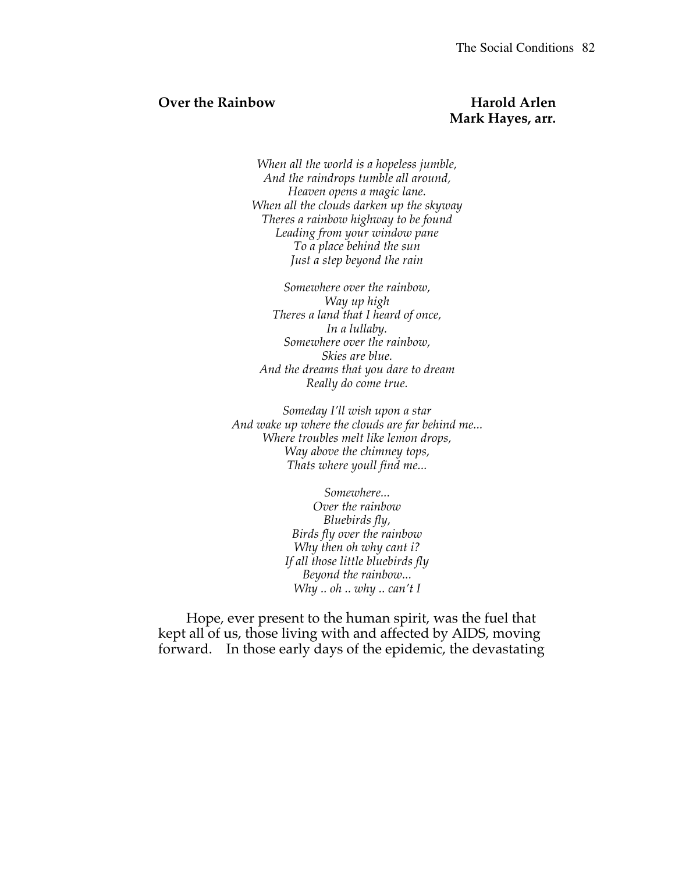## **Over the Rainbow <b>Harold Arlen**

# **Mark Hayes, arr.**

*When all the world is a hopeless jumble, And the raindrops tumble all around, Heaven opens a magic lane. When all the clouds darken up the skyway Theres a rainbow highway to be found Leading from your window pane To a place behind the sun Just a step beyond the rain*

*Somewhere over the rainbow, Way up high Theres a land that I heard of once, In a lullaby. Somewhere over the rainbow, Skies are blue. And the dreams that you dare to dream Really do come true.*

*Someday I'll wish upon a star And wake up where the clouds are far behind me... Where troubles melt like lemon drops, Way above the chimney tops, Thats where youll find me...*

> *Somewhere... Over the rainbow Bluebirds fly, Birds fly over the rainbow Why then oh why cant i? If all those little bluebirds fly Beyond the rainbow... Why .. oh .. why .. can't I*

Hope, ever present to the human spirit, was the fuel that kept all of us, those living with and affected by AIDS, moving forward. In those early days of the epidemic, the devastating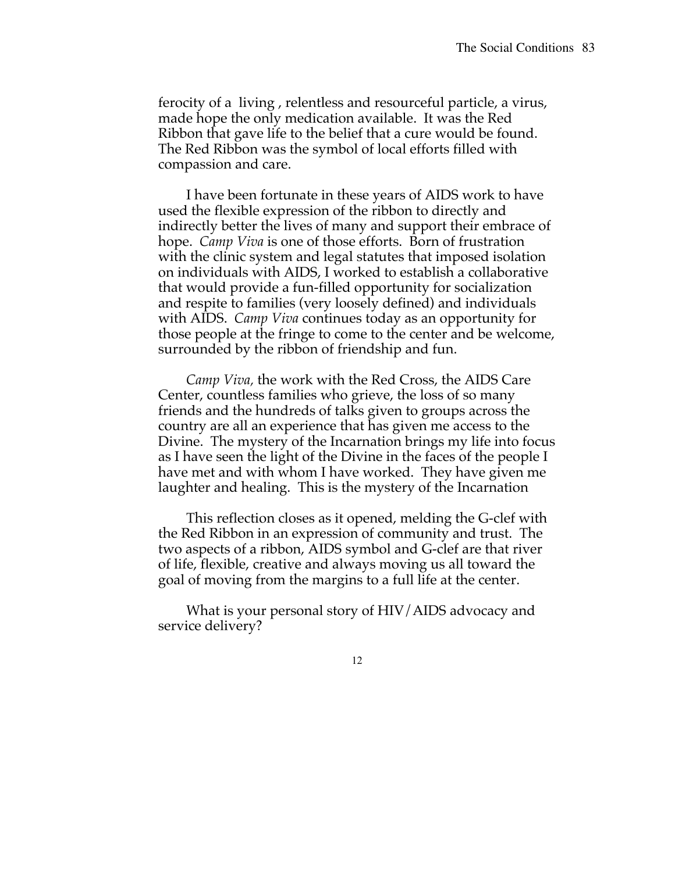ferocity of a living , relentless and resourceful particle, a virus, made hope the only medication available. It was the Red Ribbon that gave life to the belief that a cure would be found. The Red Ribbon was the symbol of local efforts filled with compassion and care.

I have been fortunate in these years of AIDS work to have used the flexible expression of the ribbon to directly and indirectly better the lives of many and support their embrace of hope. *Camp Viva* is one of those efforts. Born of frustration with the clinic system and legal statutes that imposed isolation on individuals with AIDS, I worked to establish a collaborative that would provide a fun-filled opportunity for socialization and respite to families (very loosely defined) and individuals with AIDS. *Camp Viva* continues today as an opportunity for those people at the fringe to come to the center and be welcome, surrounded by the ribbon of friendship and fun.

*Camp Viva,* the work with the Red Cross, the AIDS Care Center, countless families who grieve, the loss of so many friends and the hundreds of talks given to groups across the country are all an experience that has given me access to the Divine. The mystery of the Incarnation brings my life into focus as I have seen the light of the Divine in the faces of the people I have met and with whom I have worked. They have given me laughter and healing. This is the mystery of the Incarnation

This reflection closes as it opened, melding the G-clef with the Red Ribbon in an expression of community and trust. The two aspects of a ribbon, AIDS symbol and G-clef are that river of life, flexible, creative and always moving us all toward the goal of moving from the margins to a full life at the center.

What is your personal story of HIV/AIDS advocacy and service delivery?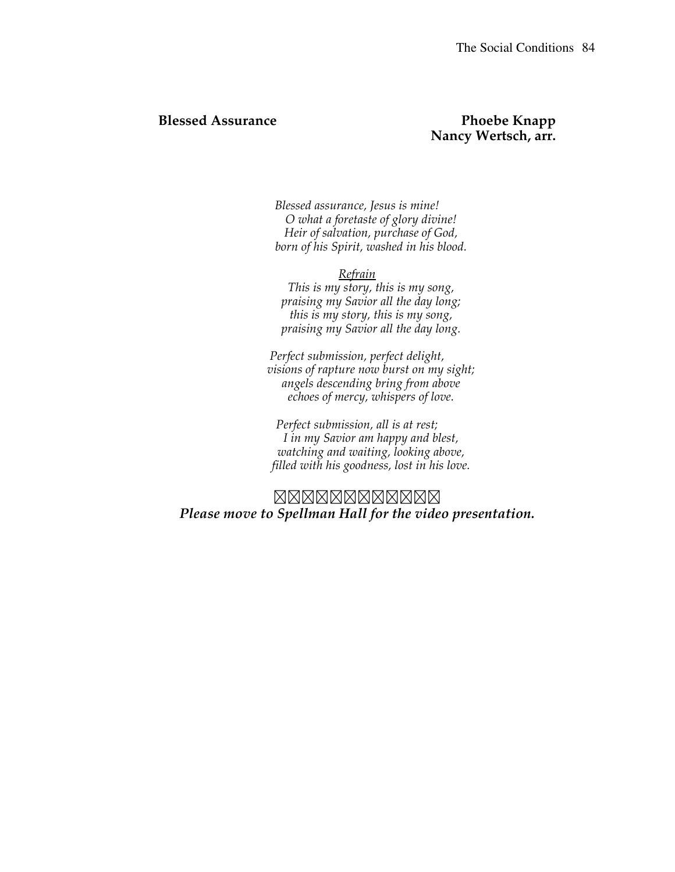## **Blessed Assurance Phoebe Knapp Nancy Wertsch, arr.**

*Blessed assurance, Jesus is mine! O what a foretaste of glory divine! Heir of salvation, purchase of God, born of his Spirit, washed in his blood.*

*Refrain This is my story, this is my song, praising my Savior all the day long; this is my story, this is my song, praising my Savior all the day long.*

*Perfect submission, perfect delight, visions of rapture now burst on my sight; angels descending bring from above echoes of mercy, whispers of love.*

*Perfect submission, all is at rest; I in my Savior am happy and blest, watching and waiting, looking above, filled with his goodness, lost in his love.*

������������ *Please move to Spellman Hall for the video presentation.*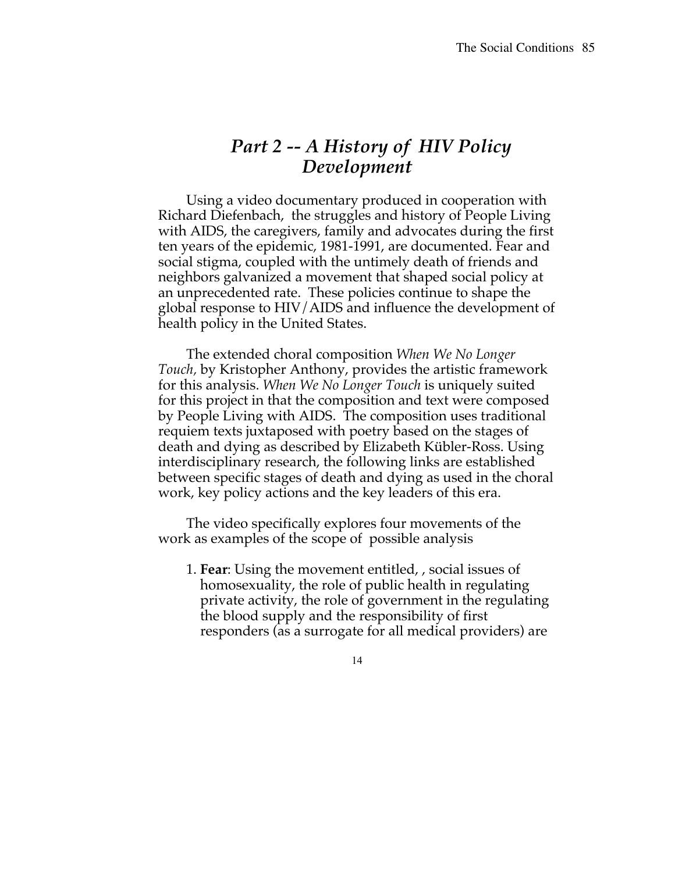## *Part 2 -- A History of HIV Policy Development*

Using a video documentary produced in cooperation with Richard Diefenbach, the struggles and history of People Living with AIDS, the caregivers, family and advocates during the first ten years of the epidemic, 1981-1991, are documented. Fear and social stigma, coupled with the untimely death of friends and neighbors galvanized a movement that shaped social policy at an unprecedented rate. These policies continue to shape the global response to HIV/AIDS and influence the development of health policy in the United States.

The extended choral composition *When We No Longer Touch,* by Kristopher Anthony, provides the artistic framework for this analysis. *When We No Longer Touch* is uniquely suited for this project in that the composition and text were composed by People Living with AIDS. The composition uses traditional requiem texts juxtaposed with poetry based on the stages of death and dying as described by Elizabeth Kübler-Ross. Using interdisciplinary research, the following links are established between specific stages of death and dying as used in the choral work, key policy actions and the key leaders of this era.

The video specifically explores four movements of the work as examples of the scope of possible analysis

1. **Fear**: Using the movement entitled, , social issues of homosexuality, the role of public health in regulating private activity, the role of government in the regulating the blood supply and the responsibility of first responders (as a surrogate for all medical providers) are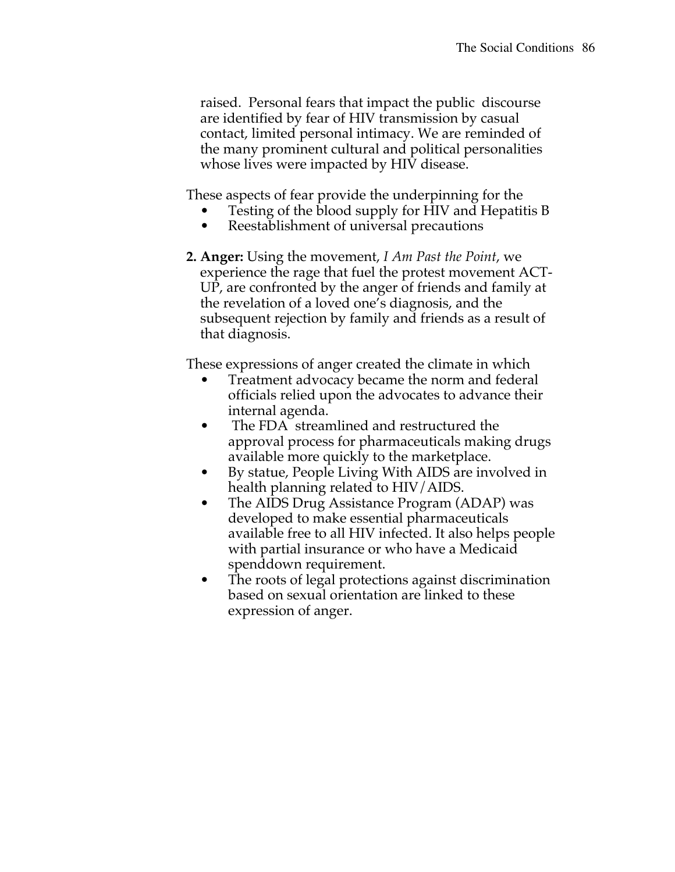raised. Personal fears that impact the public discourse are identified by fear of HIV transmission by casual contact, limited personal intimacy. We are reminded of the many prominent cultural and political personalities whose lives were impacted by HIV disease.

These aspects of fear provide the underpinning for the

- Testing of the blood supply for HIV and Hepatitis B
- Reestablishment of universal precautions
- **2. Anger:** Using the movement, *I Am Past the Point*, we experience the rage that fuel the protest movement ACT-UP, are confronted by the anger of friends and family at the revelation of a loved one's diagnosis, and the subsequent rejection by family and friends as a result of that diagnosis.

These expressions of anger created the climate in which

- Treatment advocacy became the norm and federal officials relied upon the advocates to advance their internal agenda.
- The FDA streamlined and restructured the approval process for pharmaceuticals making drugs available more quickly to the marketplace.
- By statue, People Living With AIDS are involved in health planning related to HIV/AIDS.
- The AIDS Drug Assistance Program (ADAP) was developed to make essential pharmaceuticals available free to all HIV infected. It also helps people with partial insurance or who have a Medicaid spenddown requirement.
- The roots of legal protections against discrimination based on sexual orientation are linked to these expression of anger.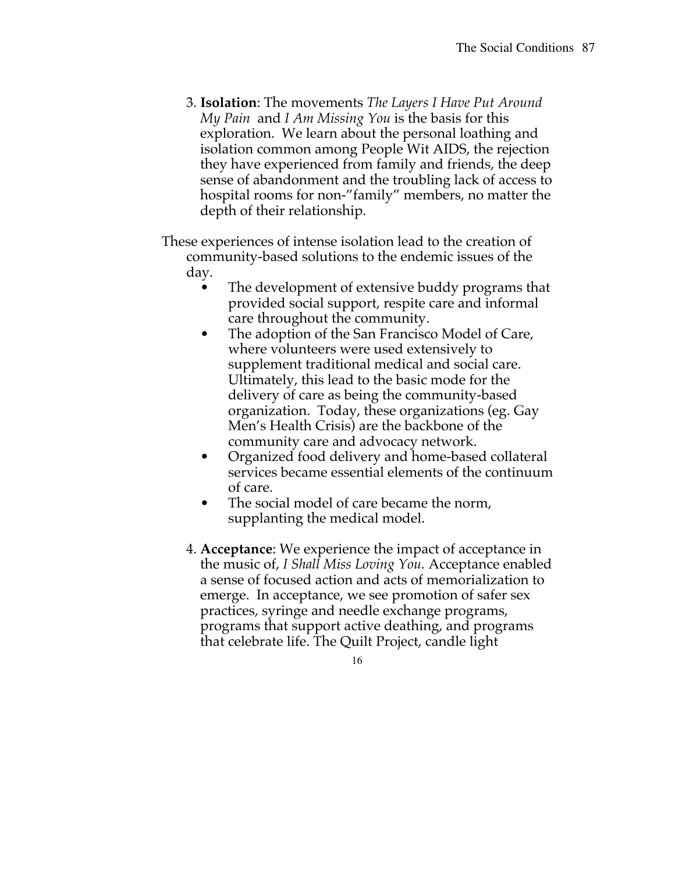3. **Isolation**: The movements *The Layers I Have Put Around My Pain* and *I Am Missing You* is the basis for this exploration. We learn about the personal loathing and isolation common among People Wit AIDS, the rejection they have experienced from family and friends, the deep sense of abandonment and the troubling lack of access to hospital rooms for non-"family" members, no matter the depth of their relationship.

 These experiences of intense isolation lead to the creation of community-based solutions to the endemic issues of the day.

- The development of extensive buddy programs that provided social support, respite care and informal care throughout the community.
- The adoption of the San Francisco Model of Care, where volunteers were used extensively to supplement traditional medical and social care. Ultimately, this lead to the basic mode for the delivery of care as being the community-based organization. Today, these organizations (eg. Gay Men's Health Crisis) are the backbone of the community care and advocacy network.
- Organized food delivery and home-based collateral services became essential elements of the continuum of care.
- The social model of care became the norm, supplanting the medical model.
- 4. **Acceptance**: We experience the impact of acceptance in the music of, *I Shall Miss Loving You.* Acceptance enabled a sense of focused action and acts of memorialization to emerge. In acceptance, we see promotion of safer sex practices, syringe and needle exchange programs, programs that support active deathing, and programs that celebrate life. The Quilt Project, candle light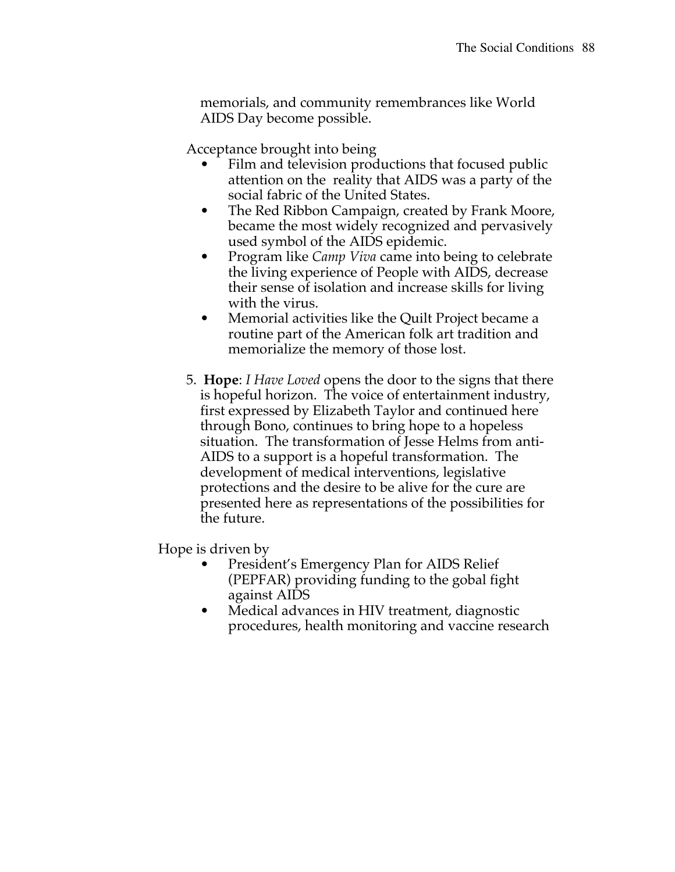memorials, and community remembrances like World AIDS Day become possible.

Acceptance brought into being

- Film and television productions that focused public attention on the reality that AIDS was a party of the social fabric of the United States.
- The Red Ribbon Campaign, created by Frank Moore, became the most widely recognized and pervasively used symbol of the AIDS epidemic.
- Program like *Camp Viva* came into being to celebrate the living experience of People with AIDS, decrease their sense of isolation and increase skills for living with the virus.
- Memorial activities like the Quilt Project became a routine part of the American folk art tradition and memorialize the memory of those lost.
- 5. **Hope**: *I Have Loved* opens the door to the signs that there is hopeful horizon. The voice of entertainment industry, first expressed by Elizabeth Taylor and continued here through Bono, continues to bring hope to a hopeless situation. The transformation of Jesse Helms from anti-AIDS to a support is a hopeful transformation. The development of medical interventions, legislative protections and the desire to be alive for the cure are presented here as representations of the possibilities for the future.

Hope is driven by

- President's Emergency Plan for AIDS Relief (PEPFAR) providing funding to the gobal fight against AIDS
- Medical advances in HIV treatment, diagnostic procedures, health monitoring and vaccine research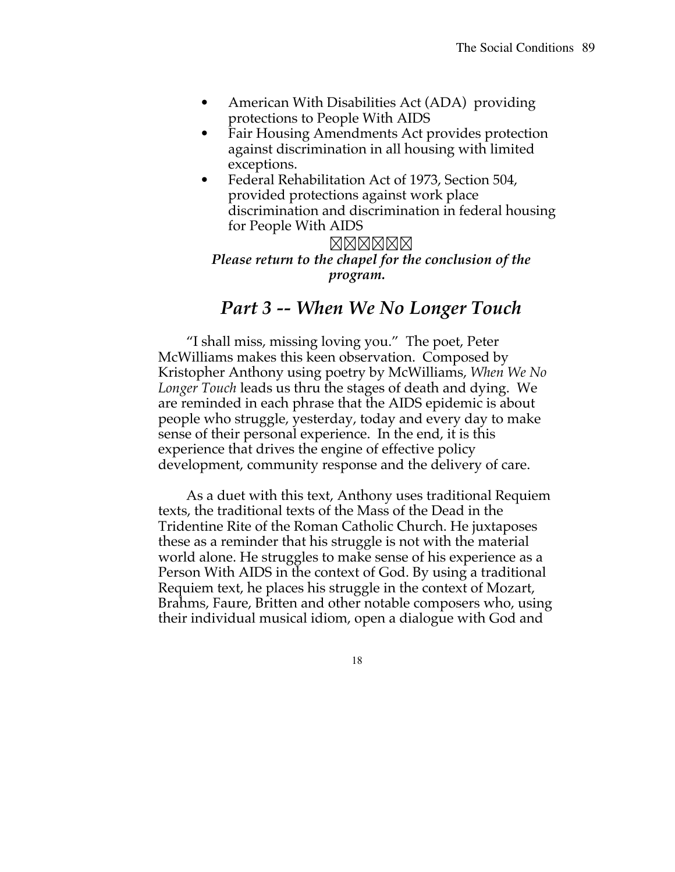- American With Disabilities Act (ADA) providing protections to People With AIDS
- Fair Housing Amendments Act provides protection against discrimination in all housing with limited exceptions.
- Federal Rehabilitation Act of 1973, Section 504, provided protections against work place discrimination and discrimination in federal housing for People With AIDS

������ *Please return to the chapel for the conclusion of the program.*

## *Part 3 -- When We No Longer Touch*

"I shall miss, missing loving you." The poet, Peter McWilliams makes this keen observation. Composed by Kristopher Anthony using poetry by McWilliams, *When We No Longer Touch* leads us thru the stages of death and dying. We are reminded in each phrase that the AIDS epidemic is about people who struggle, yesterday, today and every day to make sense of their personal experience. In the end, it is this experience that drives the engine of effective policy development, community response and the delivery of care.

As a duet with this text, Anthony uses traditional Requiem texts, the traditional texts of the Mass of the Dead in the Tridentine Rite of the Roman Catholic Church. He juxtaposes these as a reminder that his struggle is not with the material world alone. He struggles to make sense of his experience as a Person With AIDS in the context of God. By using a traditional Requiem text, he places his struggle in the context of Mozart, Brahms, Faure, Britten and other notable composers who, using their individual musical idiom, open a dialogue with God and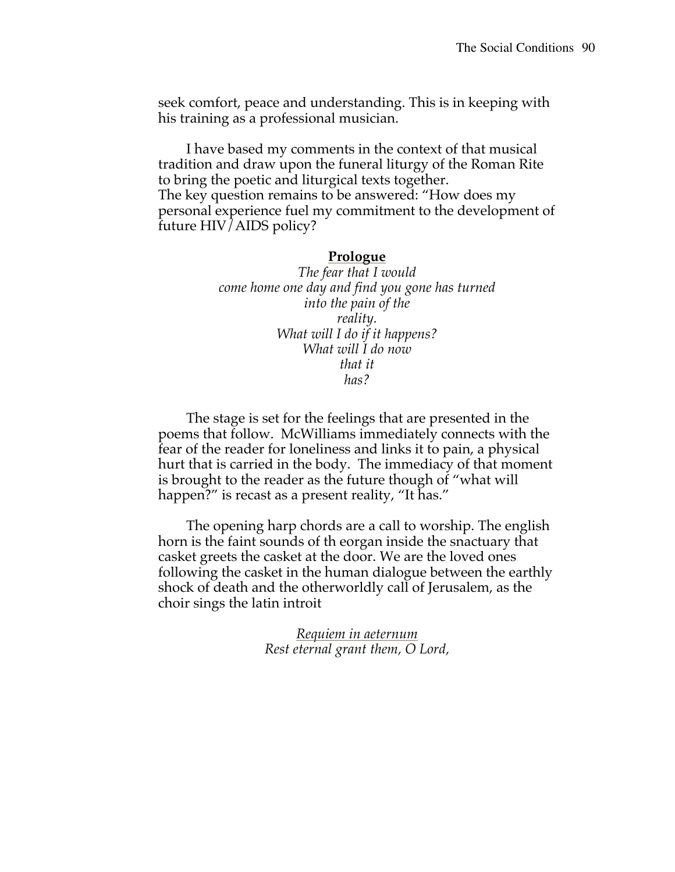seek comfort, peace and understanding. This is in keeping with his training as a professional musician.

I have based my comments in the context of that musical tradition and draw upon the funeral liturgy of the Roman Rite to bring the poetic and liturgical texts together. The key question remains to be answered: "How does my personal experience fuel my commitment to the development of future HIV/AIDS policy?

## **Prologue**

*The fear that I would come home one day and find you gone has turned into the pain of the reality. What will I do if it happens? What will I do now that it has?*

The stage is set for the feelings that are presented in the poems that follow. McWilliams immediately connects with the fear of the reader for loneliness and links it to pain, a physical hurt that is carried in the body. The immediacy of that moment is brought to the reader as the future though of "what will happen?" is recast as a present reality, "It has."

The opening harp chords are a call to worship. The english horn is the faint sounds of th eorgan inside the snactuary that casket greets the casket at the door. We are the loved ones following the casket in the human dialogue between the earthly shock of death and the otherworldly call of Jerusalem, as the choir sings the latin introit

> *Requiem in aeternum Rest eternal grant them, O Lord,*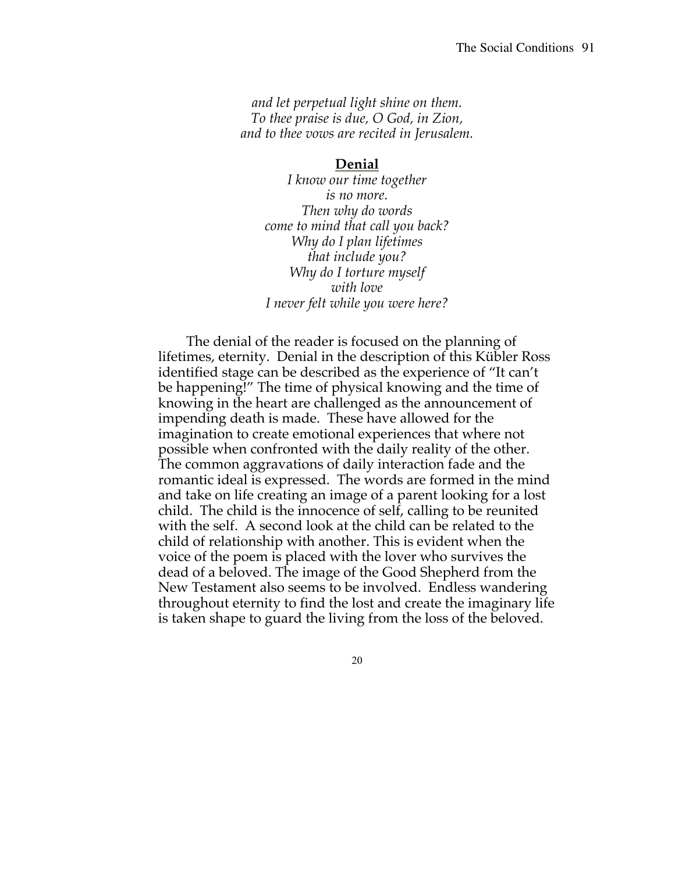*and let perpetual light shine on them. To thee praise is due, O God, in Zion, and to thee vows are recited in Jerusalem.* 

#### **Denial**

*I know our time together is no more. Then why do words come to mind that call you back? Why do I plan lifetimes that include you? Why do I torture myself with love I never felt while you were here?*

The denial of the reader is focused on the planning of lifetimes, eternity. Denial in the description of this Kübler Ross identified stage can be described as the experience of "It can't be happening!" The time of physical knowing and the time of knowing in the heart are challenged as the announcement of impending death is made. These have allowed for the imagination to create emotional experiences that where not possible when confronted with the daily reality of the other. The common aggravations of daily interaction fade and the romantic ideal is expressed. The words are formed in the mind and take on life creating an image of a parent looking for a lost child. The child is the innocence of self, calling to be reunited with the self. A second look at the child can be related to the child of relationship with another. This is evident when the voice of the poem is placed with the lover who survives the dead of a beloved. The image of the Good Shepherd from the New Testament also seems to be involved. Endless wandering throughout eternity to find the lost and create the imaginary life is taken shape to guard the living from the loss of the beloved.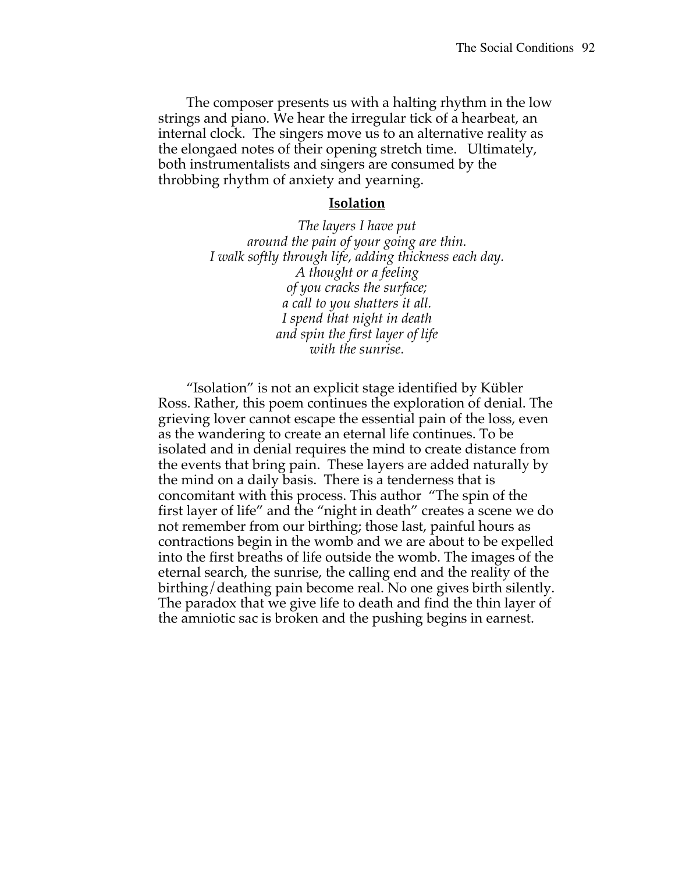The composer presents us with a halting rhythm in the low strings and piano. We hear the irregular tick of a hearbeat, an internal clock. The singers move us to an alternative reality as the elongaed notes of their opening stretch time. Ultimately, both instrumentalists and singers are consumed by the throbbing rhythm of anxiety and yearning.

#### **Isolation**

*The layers I have put around the pain of your going are thin. I walk softly through life, adding thickness each day. A thought or a feeling of you cracks the surface; a call to you shatters it all. I spend that night in death and spin the first layer of life with the sunrise.*

"Isolation" is not an explicit stage identified by Kübler Ross. Rather, this poem continues the exploration of denial. The grieving lover cannot escape the essential pain of the loss, even as the wandering to create an eternal life continues. To be isolated and in denial requires the mind to create distance from the events that bring pain. These layers are added naturally by the mind on a daily basis. There is a tenderness that is concomitant with this process. This author "The spin of the first layer of life" and the "night in death" creates a scene we do not remember from our birthing; those last, painful hours as contractions begin in the womb and we are about to be expelled into the first breaths of life outside the womb. The images of the eternal search, the sunrise, the calling end and the reality of the birthing/deathing pain become real. No one gives birth silently. The paradox that we give life to death and find the thin layer of the amniotic sac is broken and the pushing begins in earnest.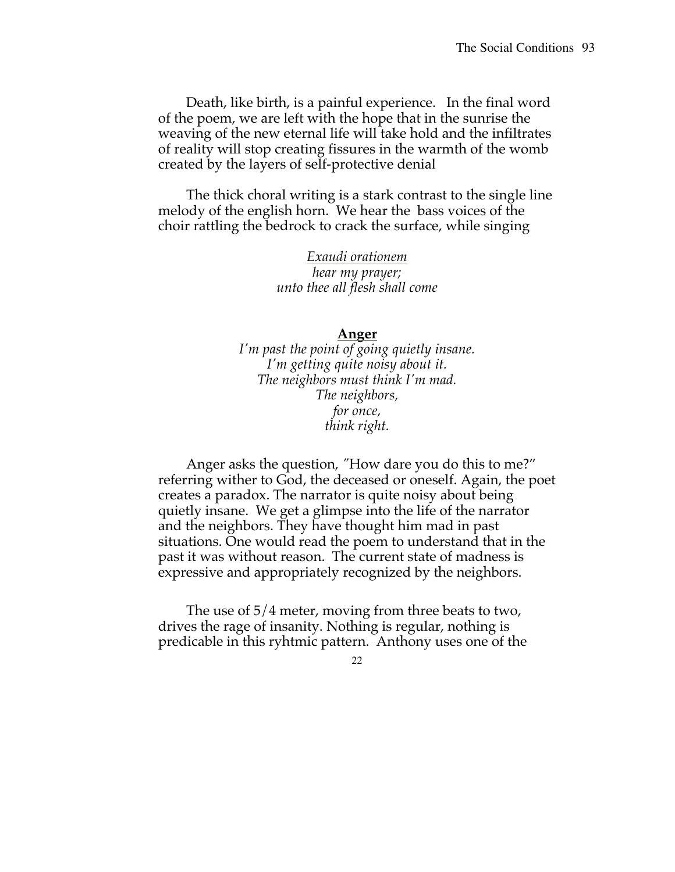Death, like birth, is a painful experience. In the final word of the poem, we are left with the hope that in the sunrise the weaving of the new eternal life will take hold and the infiltrates of reality will stop creating fissures in the warmth of the womb created by the layers of self-protective denial

The thick choral writing is a stark contrast to the single line melody of the english horn. We hear the bass voices of the choir rattling the bedrock to crack the surface, while singing

> *Exaudi orationem hear my prayer; unto thee all flesh shall come*

> > **Anger**

*I'm past the point of going quietly insane. I'm getting quite noisy about it. The neighbors must think I'm mad. The neighbors, for once, think right.*

Anger asks the question, *"*How dare you do this to me?" referring wither to God, the deceased or oneself. Again, the poet creates a paradox. The narrator is quite noisy about being quietly insane. We get a glimpse into the life of the narrator and the neighbors. They have thought him mad in past situations. One would read the poem to understand that in the past it was without reason. The current state of madness is expressive and appropriately recognized by the neighbors.

The use of 5/4 meter, moving from three beats to two, drives the rage of insanity. Nothing is regular, nothing is predicable in this ryhtmic pattern. Anthony uses one of the

<sup>22</sup>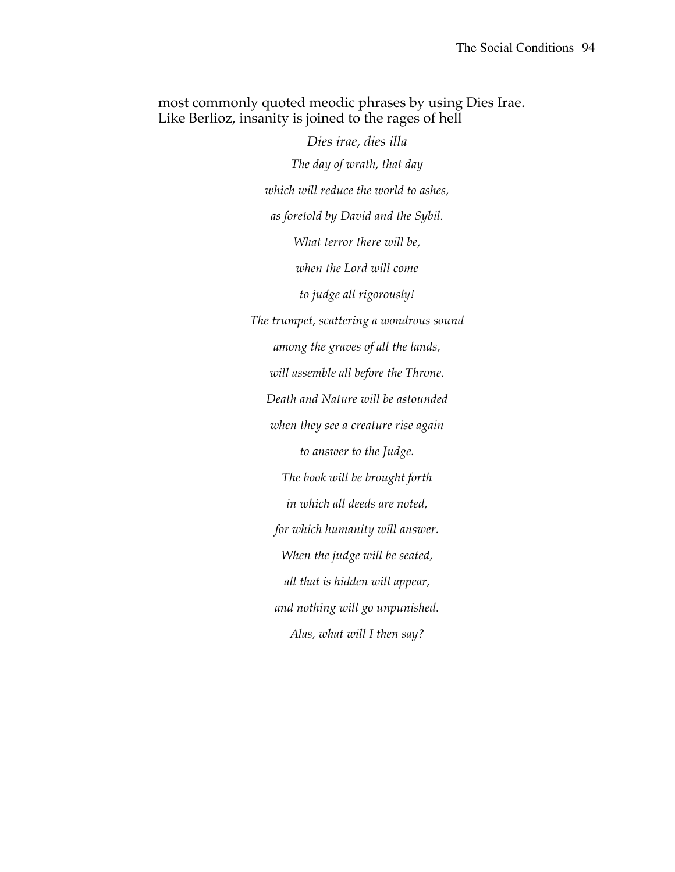## most commonly quoted meodic phrases by using Dies Irae. Like Berlioz, insanity is joined to the rages of hell

*Dies irae, dies illa The day of wrath, that day which will reduce the world to ashes, as foretold by David and the Sybil. What terror there will be, when the Lord will come to judge all rigorously! The trumpet, scattering a wondrous sound among the graves of all the lands, will assemble all before the Throne. Death and Nature will be astounded when they see a creature rise again to answer to the Judge. The book will be brought forth in which all deeds are noted, for which humanity will answer. When the judge will be seated, all that is hidden will appear, and nothing will go unpunished. Alas, what will I then say?*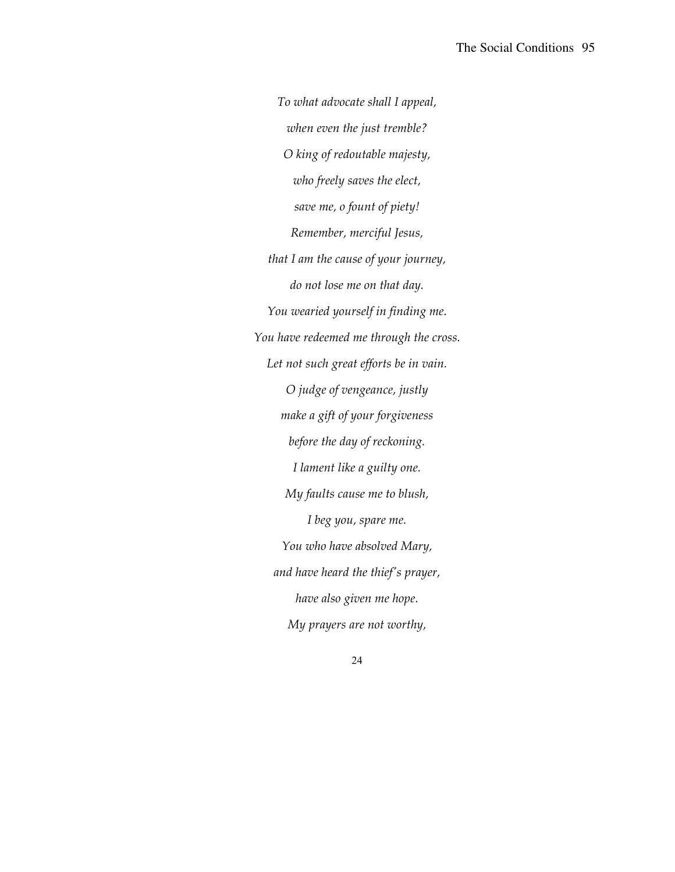*To what advocate shall I appeal, when even the just tremble? O king of redoutable majesty, who freely saves the elect, save me, o fount of piety! Remember, merciful Jesus, that I am the cause of your journey, do not lose me on that day. You wearied yourself in finding me. You have redeemed me through the cross. Let not such great efforts be in vain. O judge of vengeance, justly make a gift of your forgiveness before the day of reckoning. I lament like a guilty one. My faults cause me to blush, I beg you, spare me. You who have absolved Mary, and have heard the thief's prayer, have also given me hope. My prayers are not worthy,*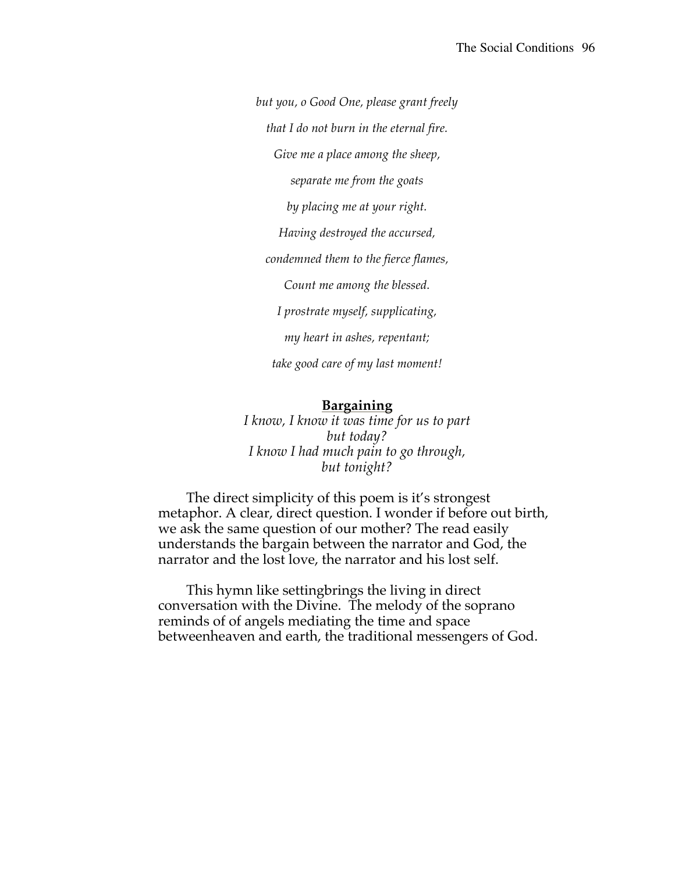*but you, o Good One, please grant freely*

*that I do not burn in the eternal fire.*

*Give me a place among the sheep,*

*separate me from the goats*

*by placing me at your right.*

*Having destroyed the accursed,*

*condemned them to the fierce flames,*

*Count me among the blessed.*

*I prostrate myself, supplicating,*

*my heart in ashes, repentant;*

*take good care of my last moment!*

## **Bargaining**

*I know, I know it was time for us to part but today? I know I had much pain to go through, but tonight?*

The direct simplicity of this poem is it's strongest metaphor. A clear, direct question. I wonder if before out birth, we ask the same question of our mother? The read easily understands the bargain between the narrator and God, the narrator and the lost love, the narrator and his lost self.

This hymn like settingbrings the living in direct conversation with the Divine. The melody of the soprano reminds of of angels mediating the time and space betweenheaven and earth, the traditional messengers of God.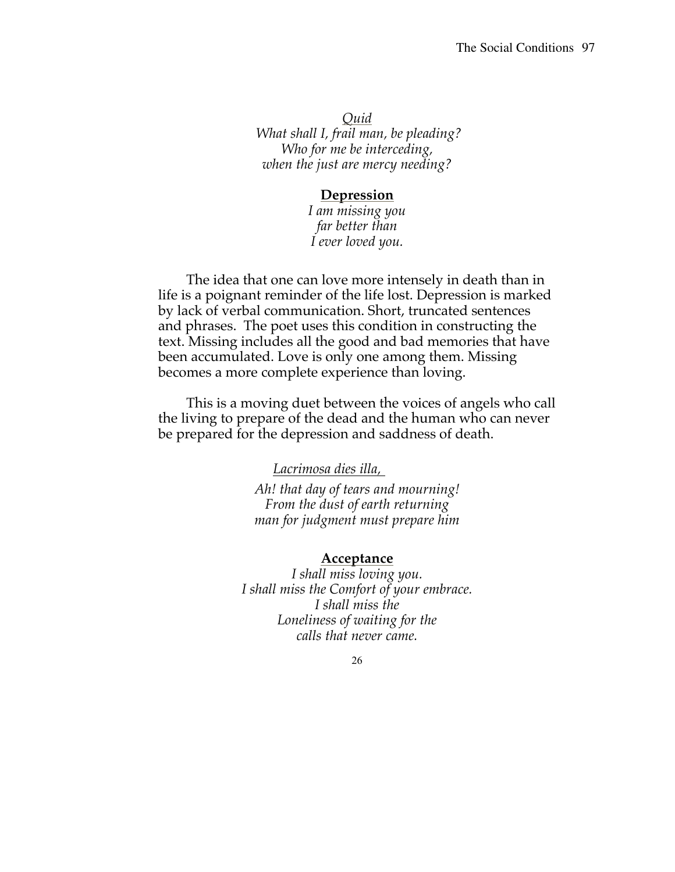*Quid What shall I, frail man, be pleading? Who for me be interceding, when the just are mercy needing?*

### **Depression**

*I am missing you far better than I ever loved you.*

The idea that one can love more intensely in death than in life is a poignant reminder of the life lost. Depression is marked by lack of verbal communication. Short, truncated sentences and phrases. The poet uses this condition in constructing the text. Missing includes all the good and bad memories that have been accumulated. Love is only one among them. Missing becomes a more complete experience than loving.

This is a moving duet between the voices of angels who call the living to prepare of the dead and the human who can never be prepared for the depression and saddness of death.

*Lacrimosa dies illa,*

*Ah! that day of tears and mourning! From the dust of earth returning man for judgment must prepare him*

### **Acceptance**

*I shall miss loving you. I shall miss the Comfort of your embrace. I shall miss the Loneliness of waiting for the calls that never came.*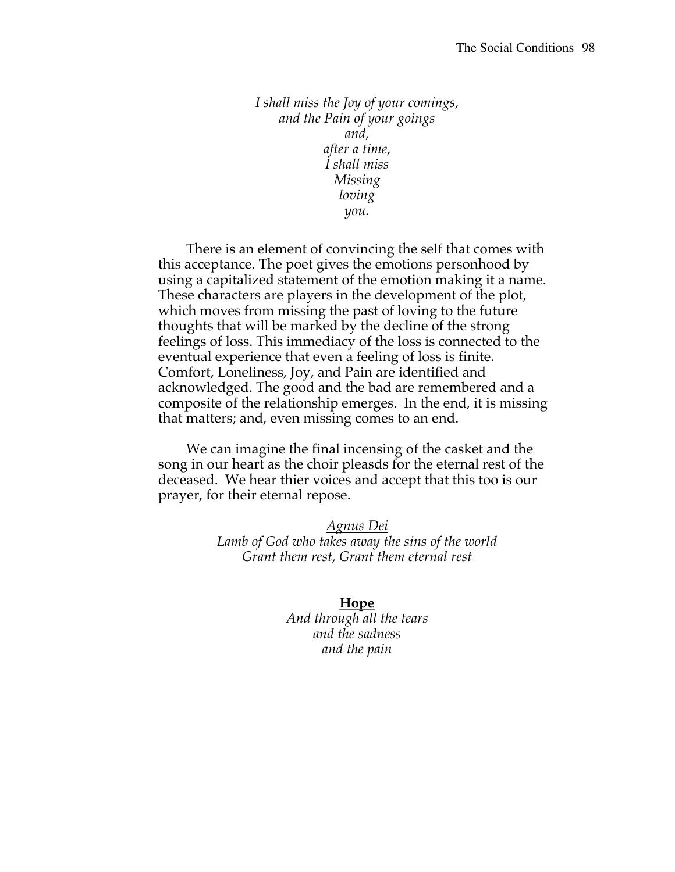*I shall miss the Joy of your comings, and the Pain of your goings and, after a time, I shall miss Missing loving you.*

There is an element of convincing the self that comes with this acceptance. The poet gives the emotions personhood by using a capitalized statement of the emotion making it a name. These characters are players in the development of the plot, which moves from missing the past of loving to the future thoughts that will be marked by the decline of the strong feelings of loss. This immediacy of the loss is connected to the eventual experience that even a feeling of loss is finite. Comfort, Loneliness, Joy, and Pain are identified and acknowledged. The good and the bad are remembered and a composite of the relationship emerges. In the end, it is missing that matters; and, even missing comes to an end.

We can imagine the final incensing of the casket and the song in our heart as the choir pleasds for the eternal rest of the deceased. We hear thier voices and accept that this too is our prayer, for their eternal repose.

> *Agnus Dei Lamb of God who takes away the sins of the world Grant them rest, Grant them eternal rest*

> > **Hope** *And through all the tears and the sadness and the pain*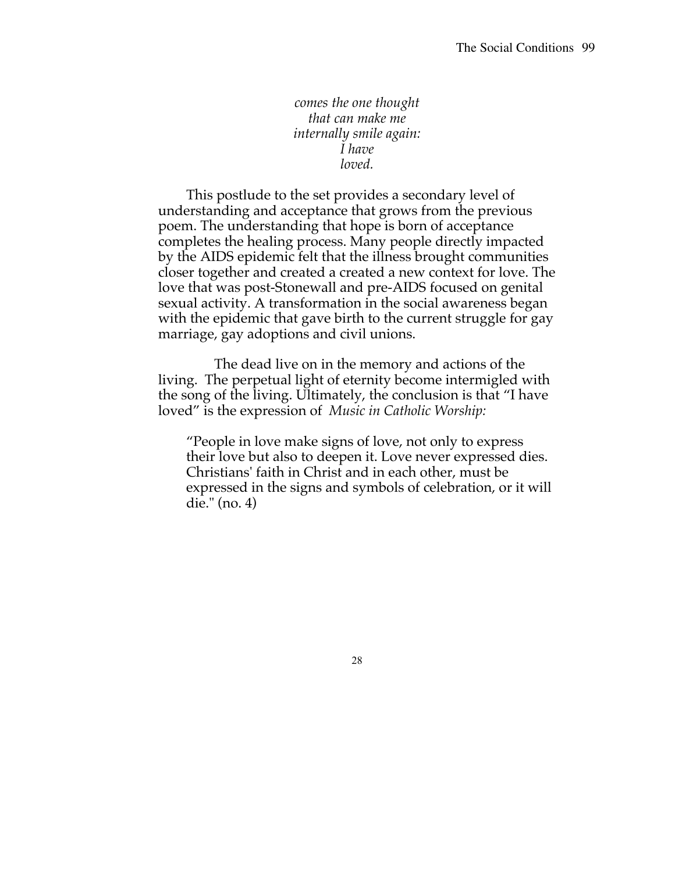*comes the one thought that can make me internally smile again: I have loved.*

This postlude to the set provides a secondary level of understanding and acceptance that grows from the previous poem. The understanding that hope is born of acceptance completes the healing process. Many people directly impacted by the AIDS epidemic felt that the illness brought communities closer together and created a created a new context for love. The love that was post-Stonewall and pre-AIDS focused on genital sexual activity. A transformation in the social awareness began with the epidemic that gave birth to the current struggle for gay marriage, gay adoptions and civil unions.

The dead live on in the memory and actions of the living. The perpetual light of eternity become intermigled with the song of the living. Ultimately, the conclusion is that "I have loved" is the expression of *Music in Catholic Worship:*

"People in love make signs of love, not only to express their love but also to deepen it. Love never expressed dies. Christians' faith in Christ and in each other, must be expressed in the signs and symbols of celebration, or it will die." (no. 4)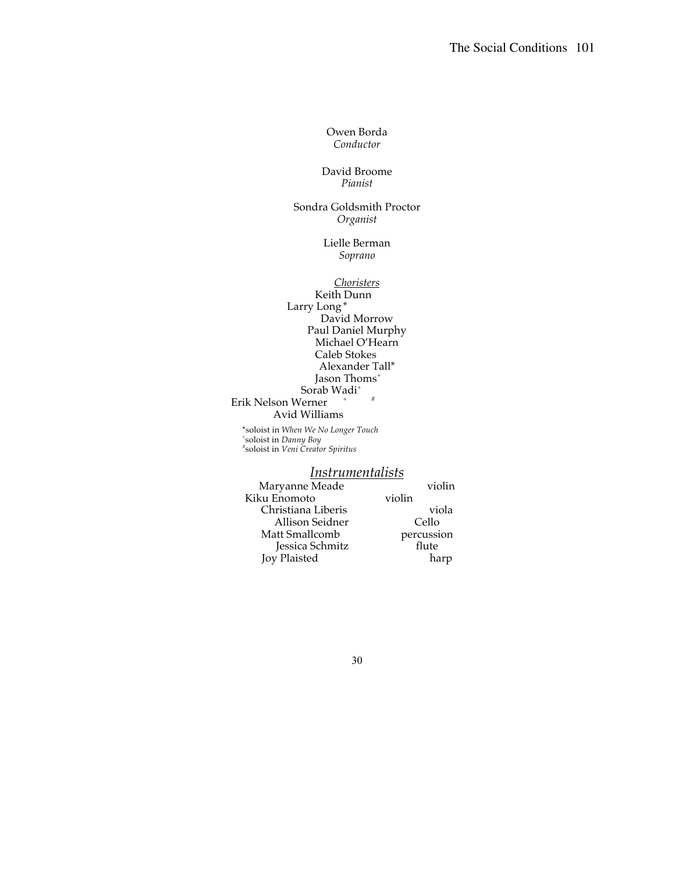Owen Borda *Conductor*

David Broome *Pianist*

Sondra Goldsmith Proctor *Organist*

> Lielle Berman *Soprano*

#### *Choristers* Keith Dunn Larry Long \* David Morrow Paul Daniel Murphy Michael O'Hearn Caleb Stokes Alexander Tall\* Jason Thoms<sup>+</sup> Sorab Wadi<sup>+</sup> Erik Nelson Werner  $+$   $+$   $+$ Avid Williams

\*soloist in *When We No Longer Touch* + soloist in *Danny Boy* # soloist in *Veni Creator Spiritus*

## *Instrumentalists*

| 111011 anichiators  |            |  |
|---------------------|------------|--|
| Maryanne Meade      | violin     |  |
| Kiku Enomoto        | violin     |  |
| Christiana Liberis  | viola      |  |
| Allison Seidner     | Cello      |  |
| Matt Smallcomb      | percussion |  |
| Jessica Schmitz     | flute      |  |
| <b>Joy Plaisted</b> | harp       |  |
|                     |            |  |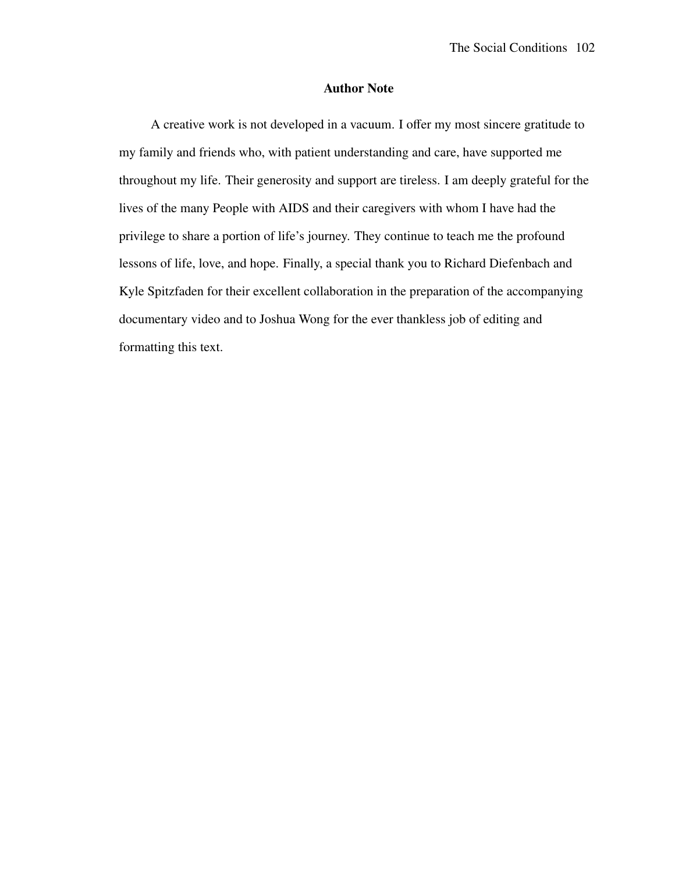## Author Note

A creative work is not developed in a vacuum. I offer my most sincere gratitude to my family and friends who, with patient understanding and care, have supported me throughout my life. Their generosity and support are tireless. I am deeply grateful for the lives of the many People with AIDS and their caregivers with whom I have had the privilege to share a portion of life's journey. They continue to teach me the profound lessons of life, love, and hope. Finally, a special thank you to Richard Diefenbach and Kyle Spitzfaden for their excellent collaboration in the preparation of the accompanying documentary video and to Joshua Wong for the ever thankless job of editing and formatting this text.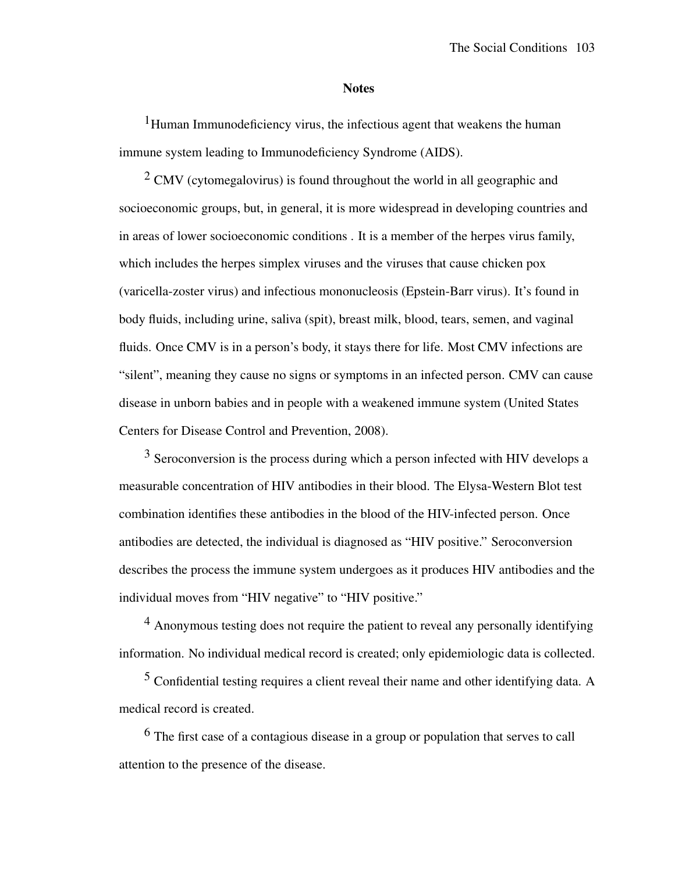#### **Notes**

<sup>1</sup>Human Immunodeficiency virus, the infectious agent that weakens the human immune system leading to Immunodeficiency Syndrome (AIDS).

<sup>2</sup> CMV (cytomegalovirus) is found throughout the world in all geographic and socioeconomic groups, but, in general, it is more widespread in developing countries and in areas of lower socioeconomic conditions . It is a member of the herpes virus family, which includes the herpes simplex viruses and the viruses that cause chicken pox (varicella-zoster virus) and infectious mononucleosis (Epstein-Barr virus). It's found in body fluids, including urine, saliva (spit), breast milk, blood, tears, semen, and vaginal fluids. Once CMV is in a person's body, it stays there for life. Most CMV infections are "silent", meaning they cause no signs or symptoms in an infected person. CMV can cause disease in unborn babies and in people with a weakened immune system (United States Centers for Disease Control and Prevention, 2008).

<sup>3</sup> Seroconversion is the process during which a person infected with HIV develops a measurable concentration of HIV antibodies in their blood. The Elysa-Western Blot test combination identifies these antibodies in the blood of the HIV-infected person. Once antibodies are detected, the individual is diagnosed as "HIV positive." Seroconversion describes the process the immune system undergoes as it produces HIV antibodies and the individual moves from "HIV negative" to "HIV positive."

<sup>4</sup> Anonymous testing does not require the patient to reveal any personally identifying information. No individual medical record is created; only epidemiologic data is collected.

5 Confidential testing requires a client reveal their name and other identifying data. A medical record is created.

<sup>6</sup> The first case of a contagious disease in a group or population that serves to call attention to the presence of the disease.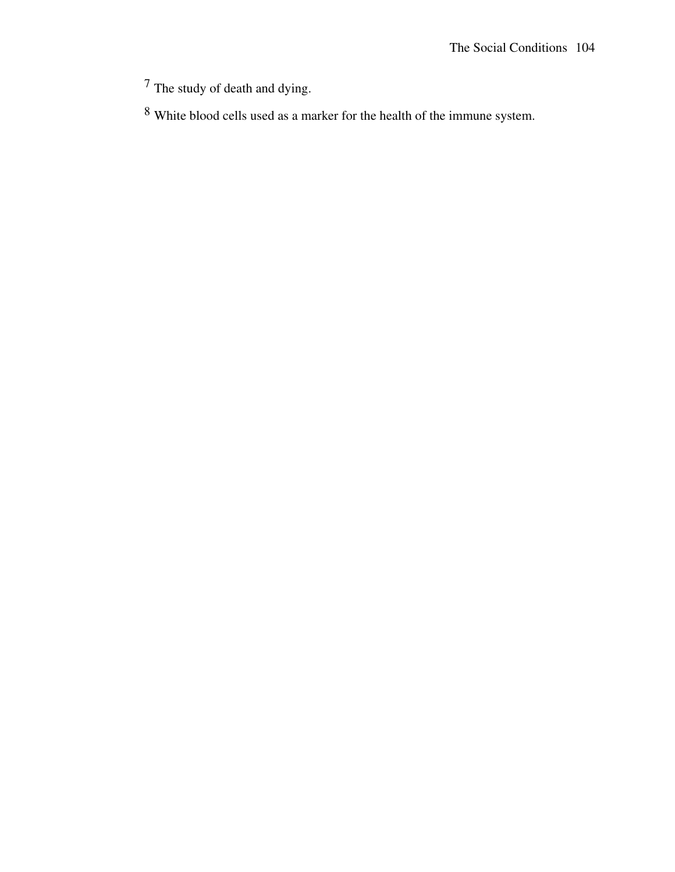The study of death and dying.

White blood cells used as a marker for the health of the immune system.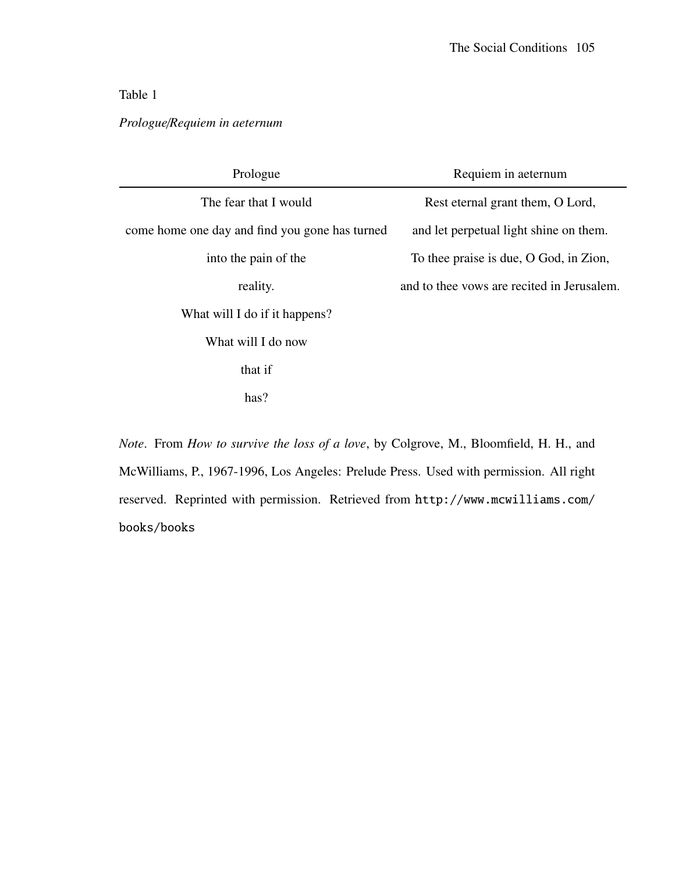## *Prologue*/*Requiem in aeternum*

| Prologue                                       | Requiem in aeternum                        |
|------------------------------------------------|--------------------------------------------|
| The fear that I would                          | Rest eternal grant them, O Lord,           |
| come home one day and find you gone has turned | and let perpetual light shine on them.     |
| into the pain of the                           | To thee praise is due, O God, in Zion,     |
| reality.                                       | and to thee vows are recited in Jerusalem. |
| What will I do if it happens?                  |                                            |
| What will I do now                             |                                            |
| that if                                        |                                            |
| has?                                           |                                            |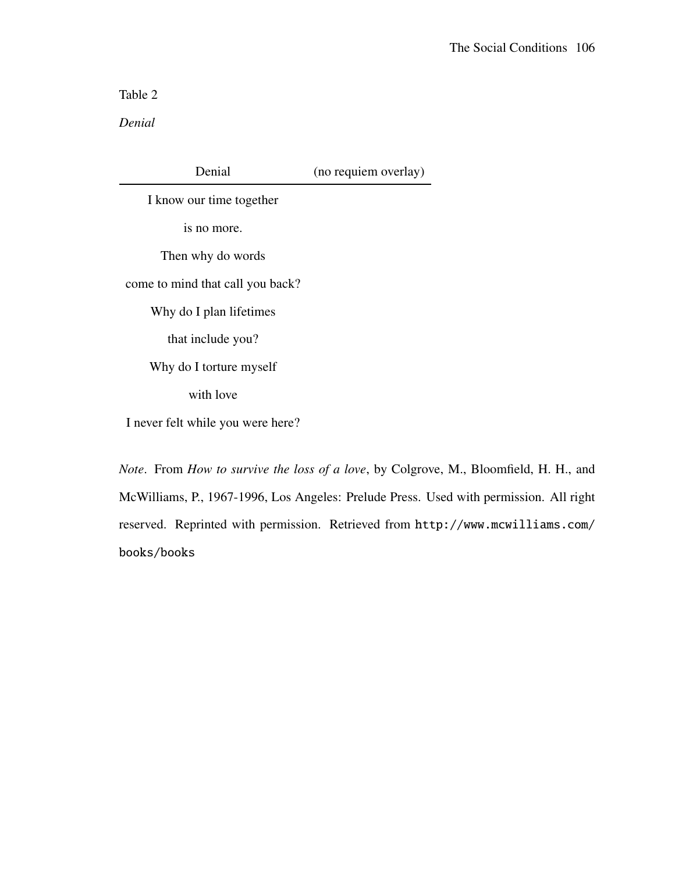*Denial*

Denial (no requiem overlay) I know our time together is no more. Then why do words come to mind that call you back? Why do I plan lifetimes that include you? Why do I torture myself with love I never felt while you were here?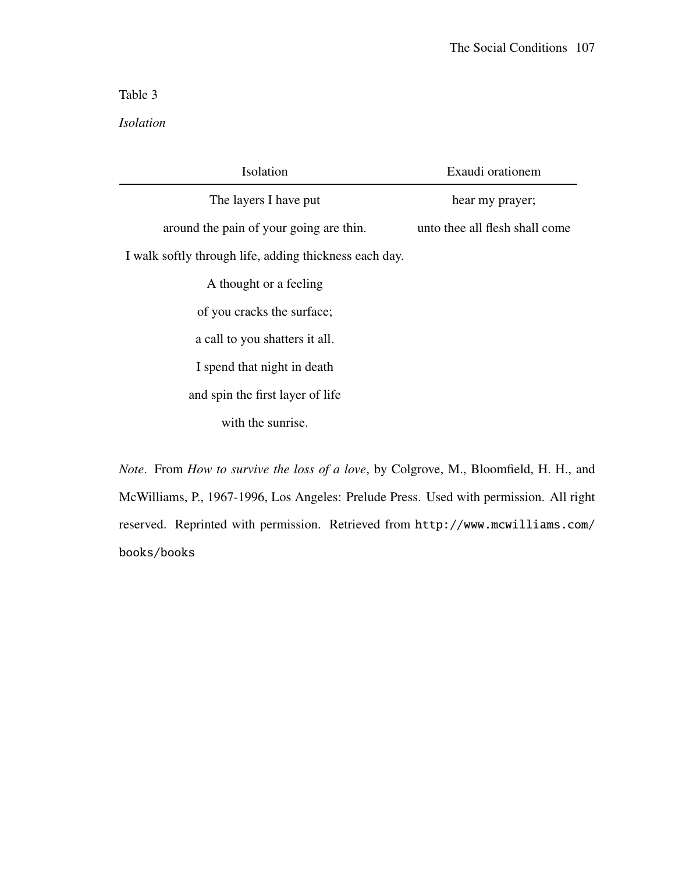## *Isolation*

| Isolation                                              | Exaudi orationem               |
|--------------------------------------------------------|--------------------------------|
| The layers I have put                                  | hear my prayer;                |
| around the pain of your going are thin.                | unto thee all flesh shall come |
| I walk softly through life, adding thickness each day. |                                |
| A thought or a feeling                                 |                                |
| of you cracks the surface;                             |                                |
| a call to you shatters it all.                         |                                |
| I spend that night in death                            |                                |
| and spin the first layer of life                       |                                |
| with the sunrise.                                      |                                |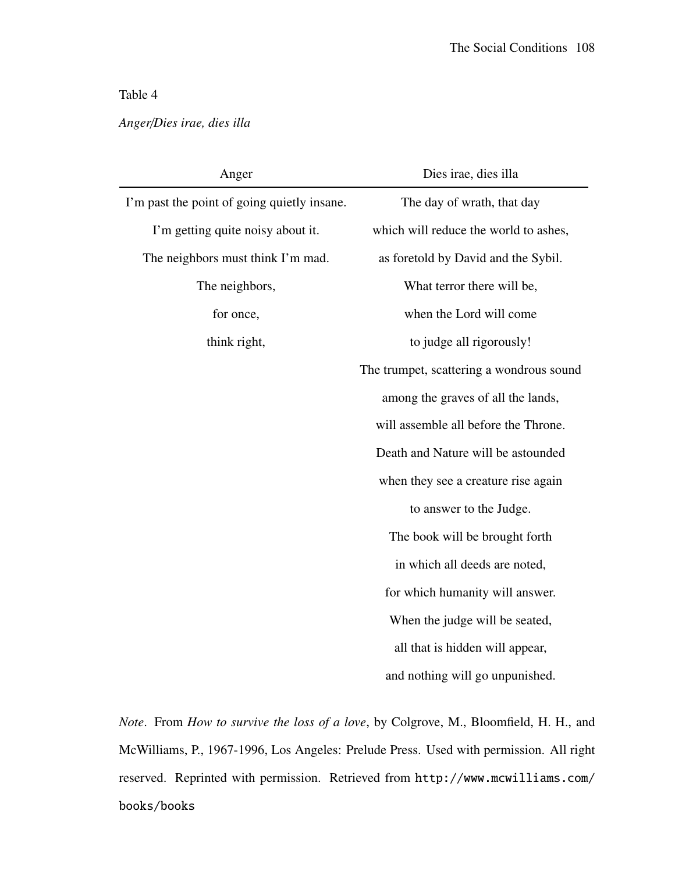*Anger*/*Dies irae, dies illa*

| Anger                                       | Dies irae, dies illa                     |
|---------------------------------------------|------------------------------------------|
| I'm past the point of going quietly insane. | The day of wrath, that day               |
| I'm getting quite noisy about it.           | which will reduce the world to ashes,    |
| The neighbors must think I'm mad.           | as foretold by David and the Sybil.      |
| The neighbors,                              | What terror there will be,               |
| for once,                                   | when the Lord will come                  |
| think right,                                | to judge all rigorously!                 |
|                                             | The trumpet, scattering a wondrous sound |
|                                             | among the graves of all the lands,       |
|                                             | will assemble all before the Throne.     |
|                                             | Death and Nature will be astounded       |
|                                             | when they see a creature rise again      |
|                                             | to answer to the Judge.                  |
|                                             | The book will be brought forth           |
|                                             | in which all deeds are noted,            |
|                                             | for which humanity will answer.          |
|                                             | When the judge will be seated,           |
|                                             | all that is hidden will appear,          |
|                                             | and nothing will go unpunished.          |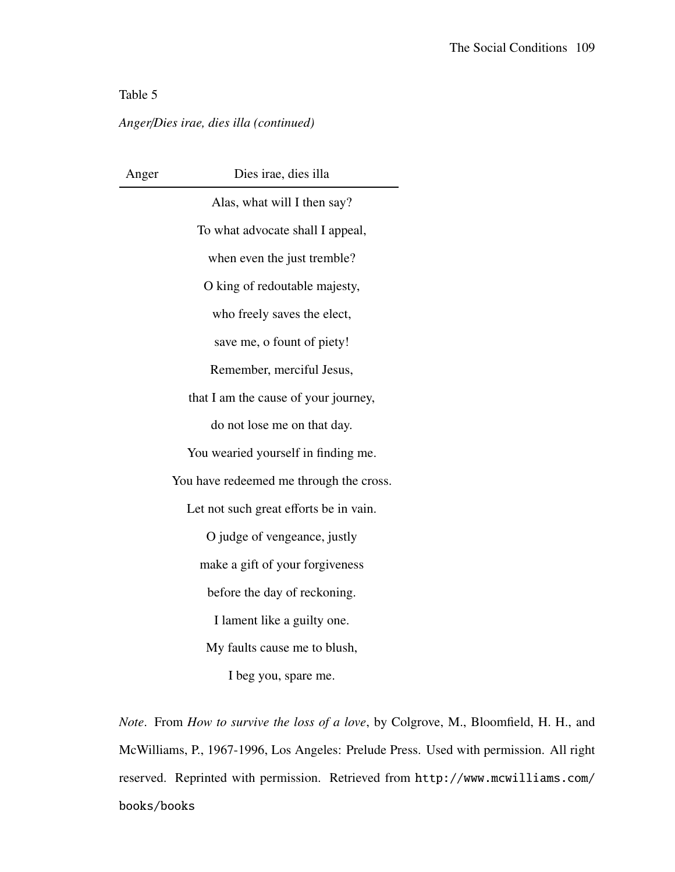### *Anger*/*Dies irae, dies illa (continued)*

| Anger | Dies irae, dies illa                    |
|-------|-----------------------------------------|
|       | Alas, what will I then say?             |
|       | To what advocate shall I appeal,        |
|       | when even the just tremble?             |
|       | O king of redoutable majesty,           |
|       | who freely saves the elect,             |
|       | save me, o fount of piety!              |
|       | Remember, merciful Jesus,               |
|       | that I am the cause of your journey,    |
|       | do not lose me on that day.             |
|       | You wearied yourself in finding me.     |
|       | You have redeemed me through the cross. |
|       | Let not such great efforts be in vain.  |
|       | O judge of vengeance, justly            |
|       | make a gift of your forgiveness         |
|       | before the day of reckoning.            |
|       | I lament like a guilty one.             |
|       | My faults cause me to blush,            |
|       | I beg you, spare me.                    |
|       |                                         |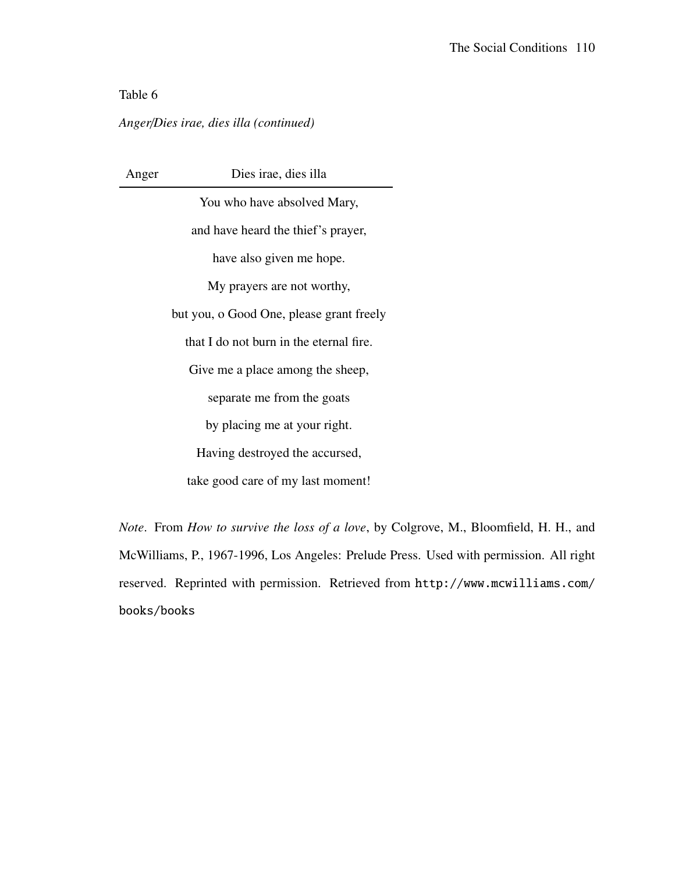#### *Anger*/*Dies irae, dies illa (continued)*

Anger Dies irae, dies illa You who have absolved Mary, and have heard the thief's prayer, have also given me hope. My prayers are not worthy, but you, o Good One, please grant freely that I do not burn in the eternal fire. Give me a place among the sheep, separate me from the goats by placing me at your right. Having destroyed the accursed, take good care of my last moment!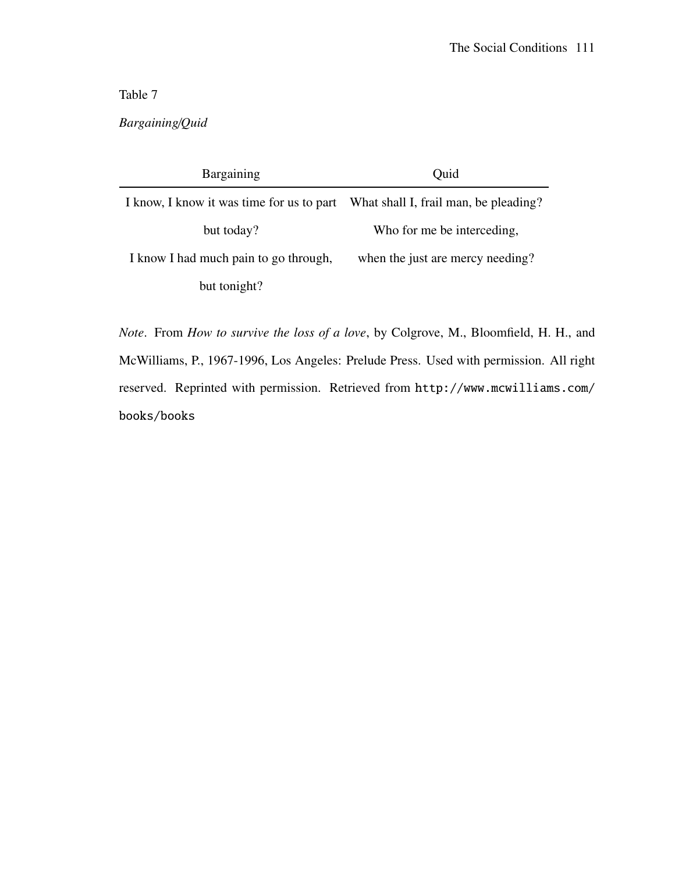### *Bargaining*/*Quid*

| Bargaining                                | Quid                                  |
|-------------------------------------------|---------------------------------------|
| I know, I know it was time for us to part | What shall I, frail man, be pleading? |
| but today?                                | Who for me be interceding,            |
| I know I had much pain to go through,     | when the just are mercy needing?      |
| but tonight?                              |                                       |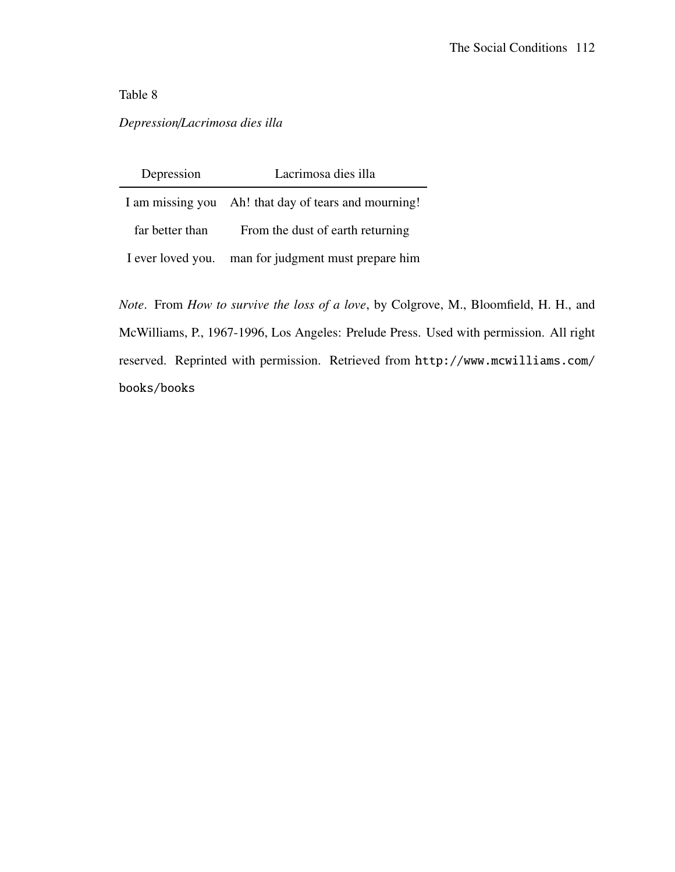*Depression*/*Lacrimosa dies illa*

| Depression      | Lacrimosa dies illa                                  |
|-----------------|------------------------------------------------------|
|                 | I am missing you Ah! that day of tears and mourning! |
| far better than | From the dust of earth returning                     |
|                 | I ever loved you. man for judgment must prepare him  |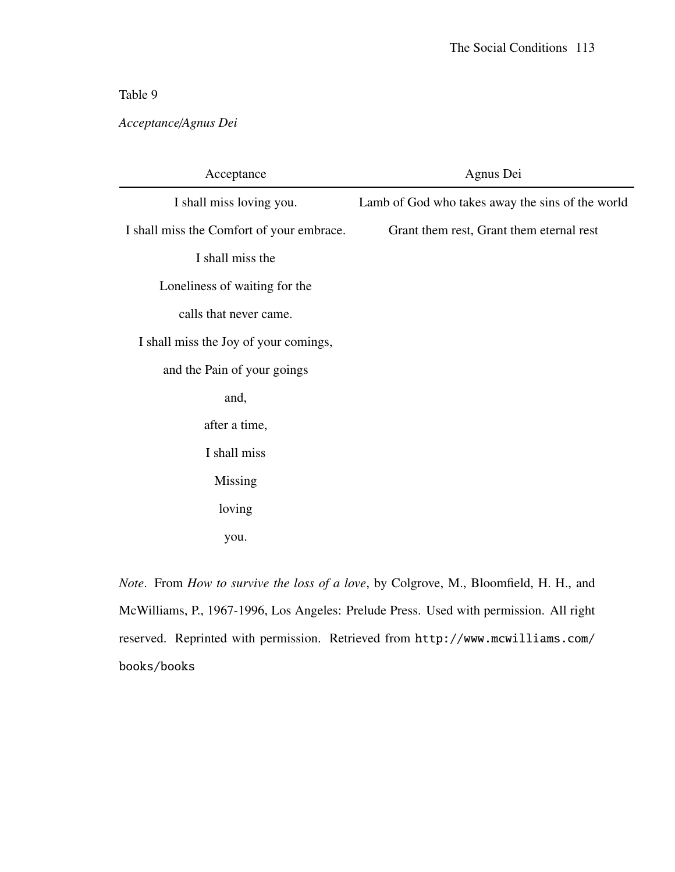*Acceptance*/*Agnus Dei*

| Acceptance                                | Agnus Dei                                        |
|-------------------------------------------|--------------------------------------------------|
| I shall miss loving you.                  | Lamb of God who takes away the sins of the world |
| I shall miss the Comfort of your embrace. | Grant them rest, Grant them eternal rest         |
| I shall miss the                          |                                                  |
| Loneliness of waiting for the             |                                                  |
| calls that never came.                    |                                                  |
| I shall miss the Joy of your comings,     |                                                  |
| and the Pain of your goings               |                                                  |
| and,                                      |                                                  |
| after a time,                             |                                                  |
| I shall miss                              |                                                  |
| Missing                                   |                                                  |
| loving                                    |                                                  |
| you.                                      |                                                  |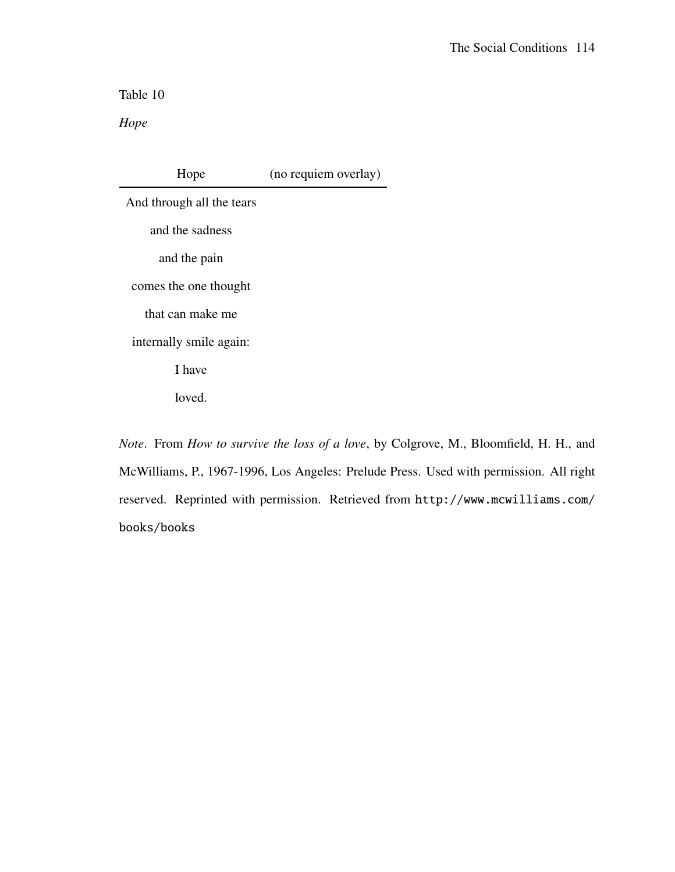*Hope*

Hope (no requiem overlay) And through all the tears and the sadness and the pain comes the one thought that can make me internally smile again: I have loved.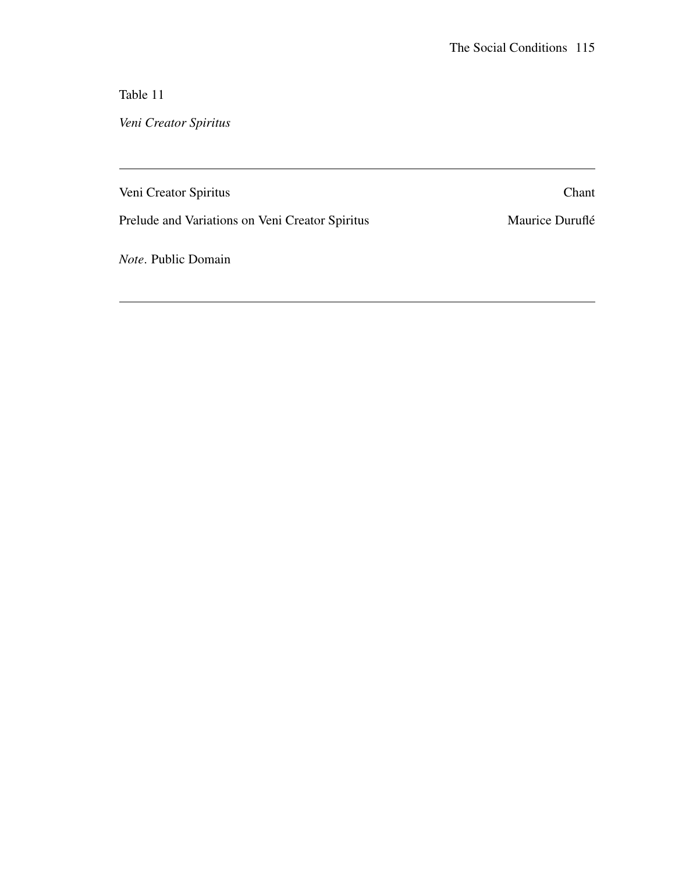*Veni Creator Spiritus*

Veni Creator Spiritus Chant

Prelude and Variations on Veni Creator Spiritus Maurice Duruflé

*Note*. Public Domain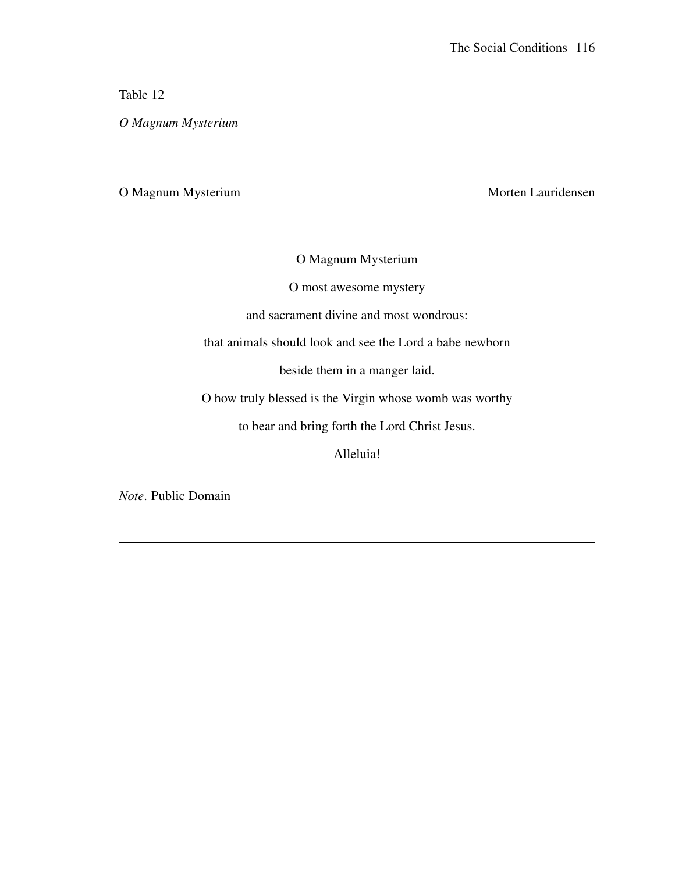*O Magnum Mysterium*

O Magnum Mysterium Morten Lauridensen

O Magnum Mysterium

O most awesome mystery

and sacrament divine and most wondrous:

that animals should look and see the Lord a babe newborn

beside them in a manger laid.

O how truly blessed is the Virgin whose womb was worthy

to bear and bring forth the Lord Christ Jesus.

Alleluia!

*Note*. Public Domain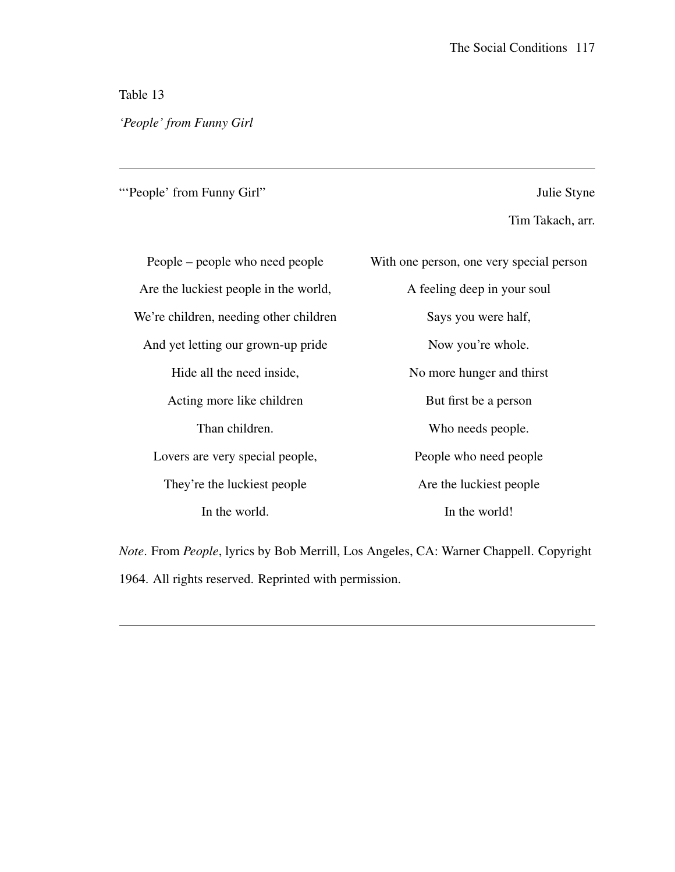*'People' from Funny Girl*

"'People' from Funny Girl" Julie Styne

Tim Takach, arr.

People – people who need people Are the luckiest people in the world, We're children, needing other children And yet letting our grown-up pride Hide all the need inside, Acting more like children Than children. Lovers are very special people, They're the luckiest people In the world.

With one person, one very special person A feeling deep in your soul Says you were half, Now you're whole. No more hunger and thirst But first be a person Who needs people. People who need people Are the luckiest people In the world!

*Note*. From *People*, lyrics by Bob Merrill, Los Angeles, CA: Warner Chappell. Copyright 1964. All rights reserved. Reprinted with permission.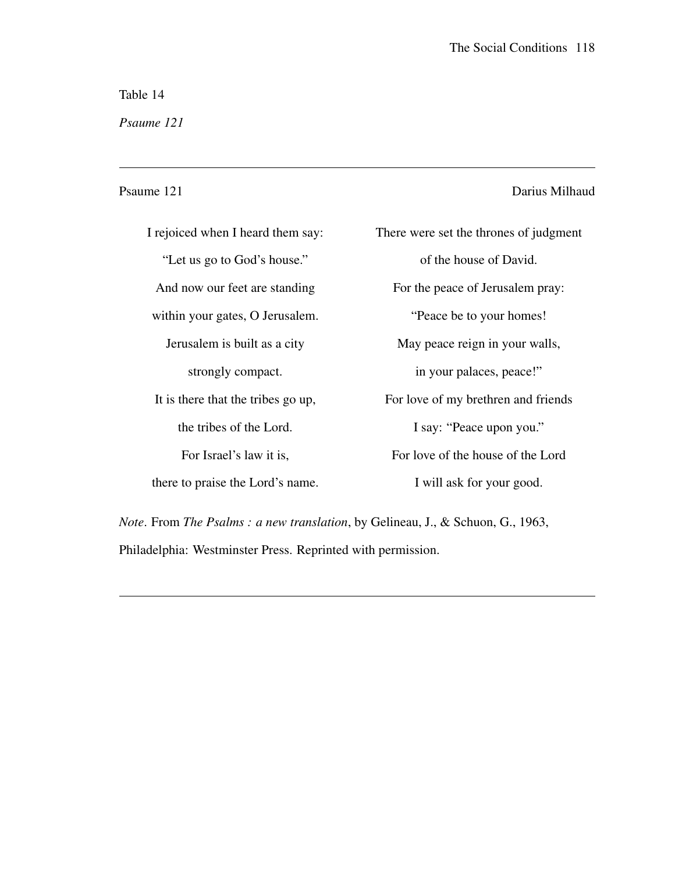*Psaume 121*

#### Psaume 121 Darius Milhaud

I rejoiced when I heard them say: "Let us go to God's house." And now our feet are standing within your gates, O Jerusalem. Jerusalem is built as a city strongly compact. It is there that the tribes go up, the tribes of the Lord. For Israel's law it is, there to praise the Lord's name.

There were set the thrones of judgment of the house of David. For the peace of Jerusalem pray: "Peace be to your homes! May peace reign in your walls, in your palaces, peace!" For love of my brethren and friends I say: "Peace upon you." For love of the house of the Lord I will ask for your good.

*Note*. From *The Psalms : a new translation*, by Gelineau, J., & Schuon, G., 1963, Philadelphia: Westminster Press. Reprinted with permission.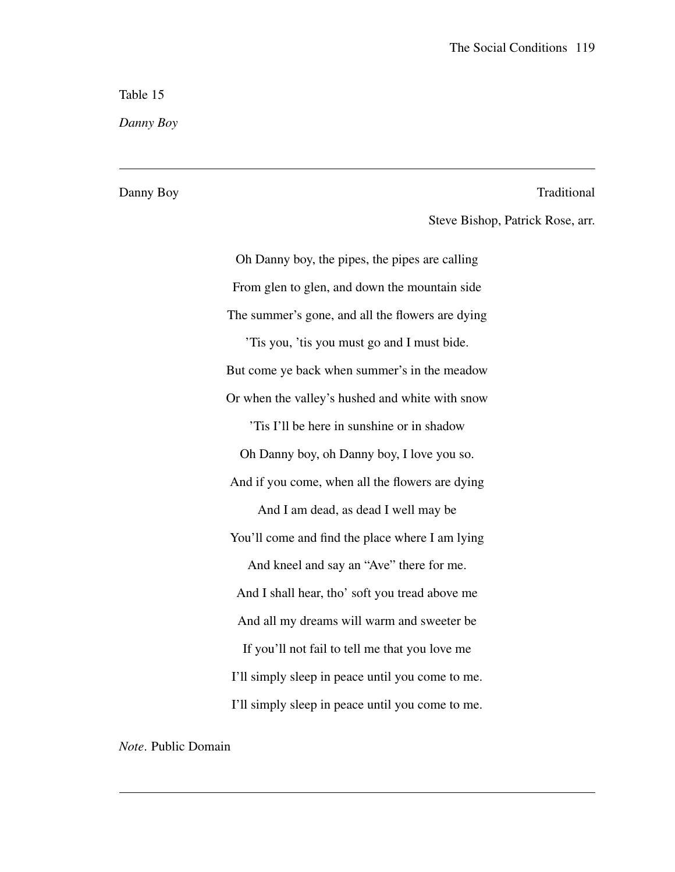*Danny Boy*

#### Danny Boy Traditional

Steve Bishop, Patrick Rose, arr.

Oh Danny boy, the pipes, the pipes are calling From glen to glen, and down the mountain side The summer's gone, and all the flowers are dying 'Tis you, 'tis you must go and I must bide. But come ye back when summer's in the meadow Or when the valley's hushed and white with snow 'Tis I'll be here in sunshine or in shadow Oh Danny boy, oh Danny boy, I love you so. And if you come, when all the flowers are dying And I am dead, as dead I well may be You'll come and find the place where I am lying And kneel and say an "Ave" there for me. And I shall hear, tho' soft you tread above me And all my dreams will warm and sweeter be If you'll not fail to tell me that you love me I'll simply sleep in peace until you come to me. I'll simply sleep in peace until you come to me.

*Note*. Public Domain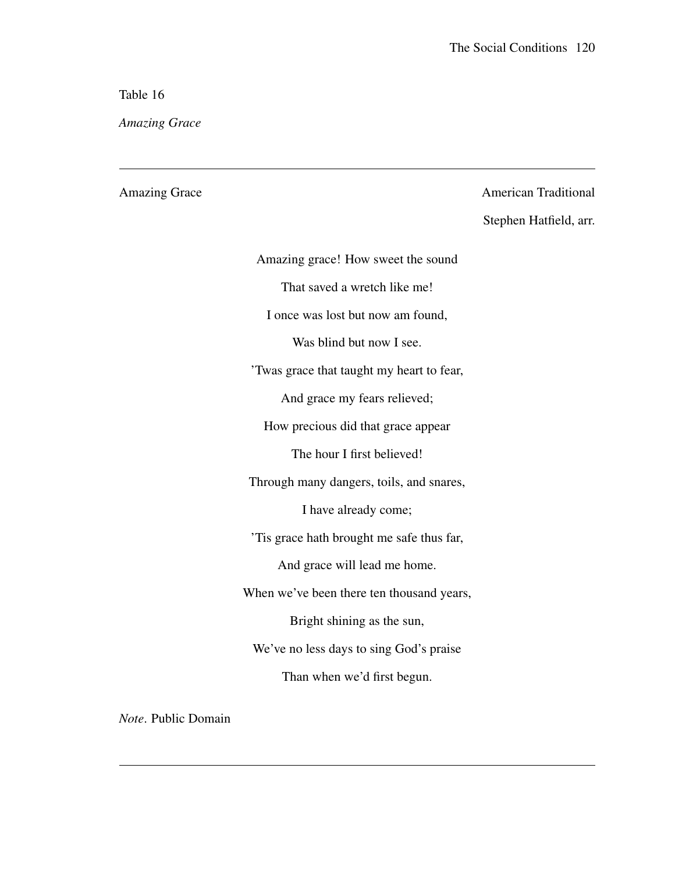*Amazing Grace*

Amazing Grace **American Traditional** Stephen Hatfield, arr. Amazing grace! How sweet the sound That saved a wretch like me! I once was lost but now am found, Was blind but now I see. 'Twas grace that taught my heart to fear, And grace my fears relieved; How precious did that grace appear The hour I first believed! Through many dangers, toils, and snares, I have already come; 'Tis grace hath brought me safe thus far, And grace will lead me home. When we've been there ten thousand years, Bright shining as the sun, We've no less days to sing God's praise Than when we'd first begun.

*Note*. Public Domain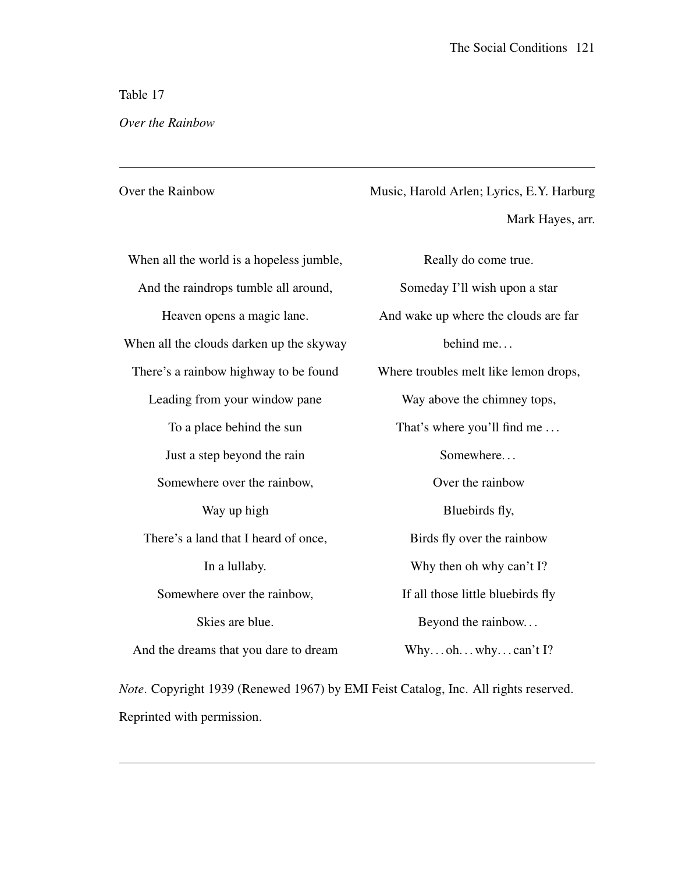*Over the Rainbow*

Over the Rainbow Music, Harold Arlen; Lyrics, E.Y. Harburg

#### Mark Hayes, arr.

When all the world is a hopeless jumble, And the raindrops tumble all around, Heaven opens a magic lane. When all the clouds darken up the skyway There's a rainbow highway to be found Leading from your window pane To a place behind the sun Just a step beyond the rain Somewhere over the rainbow, Way up high There's a land that I heard of once, In a lullaby. Somewhere over the rainbow, Skies are blue. And the dreams that you dare to dream Really do come true.

Someday I'll wish upon a star And wake up where the clouds are far behind me. . . Where troubles melt like lemon drops, Way above the chimney tops, That's where you'll find me... Somewhere. . . Over the rainbow Bluebirds fly, Birds fly over the rainbow Why then oh why can't I? If all those little bluebirds fly Beyond the rainbow. . . Why... $oh. \ldots$  why... $can't I?$ 

*Note*. Copyright 1939 (Renewed 1967) by EMI Feist Catalog, Inc. All rights reserved. Reprinted with permission.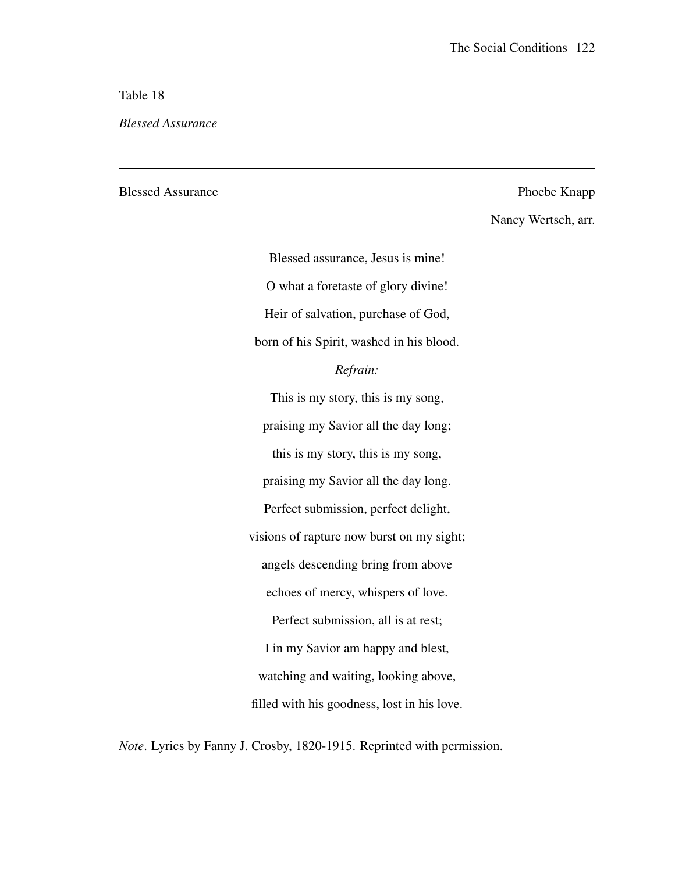*Blessed Assurance*

Blessed Assurance Phoebe Knapp

Nancy Wertsch, arr.

Blessed assurance, Jesus is mine! O what a foretaste of glory divine! Heir of salvation, purchase of God, born of his Spirit, washed in his blood. *Refrain:* This is my story, this is my song,

praising my Savior all the day long; this is my story, this is my song, praising my Savior all the day long. Perfect submission, perfect delight, visions of rapture now burst on my sight; angels descending bring from above echoes of mercy, whispers of love. Perfect submission, all is at rest; I in my Savior am happy and blest, watching and waiting, looking above, filled with his goodness, lost in his love.

*Note*. Lyrics by Fanny J. Crosby, 1820-1915. Reprinted with permission.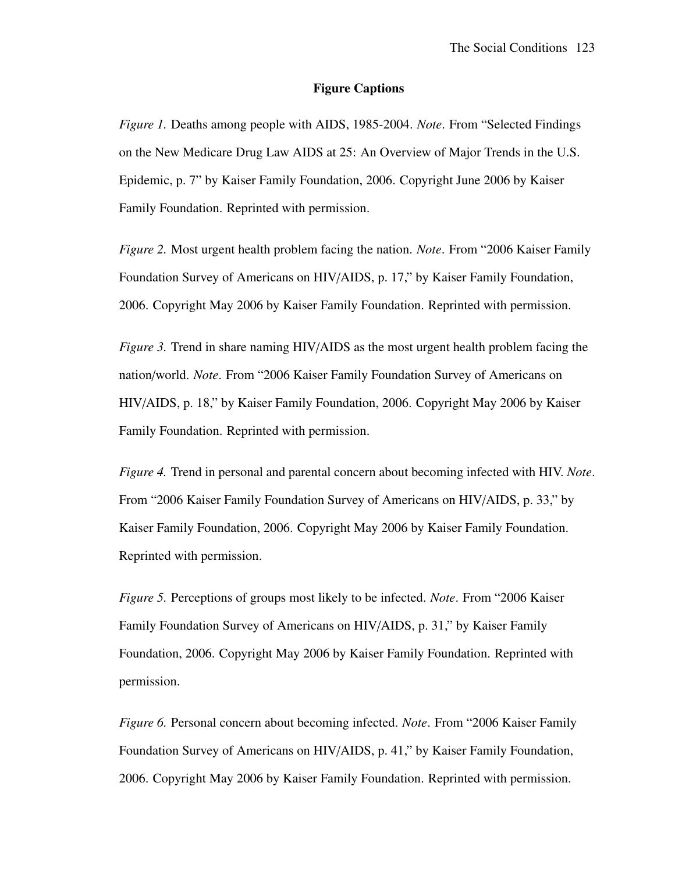#### Figure Captions

*Figure 1.* Deaths among people with AIDS, 1985-2004. *Note*. From "Selected Findings on the New Medicare Drug Law AIDS at 25: An Overview of Major Trends in the U.S. Epidemic, p. 7" by Kaiser Family Foundation, 2006. Copyright June 2006 by Kaiser Family Foundation. Reprinted with permission.

*Figure 2.* Most urgent health problem facing the nation. *Note*. From "2006 Kaiser Family Foundation Survey of Americans on HIV/AIDS, p. 17," by Kaiser Family Foundation, 2006. Copyright May 2006 by Kaiser Family Foundation. Reprinted with permission.

*Figure 3.* Trend in share naming HIV/AIDS as the most urgent health problem facing the nation/world. *Note*. From "2006 Kaiser Family Foundation Survey of Americans on HIV/AIDS, p. 18," by Kaiser Family Foundation, 2006. Copyright May 2006 by Kaiser Family Foundation. Reprinted with permission.

*Figure 4.* Trend in personal and parental concern about becoming infected with HIV. *Note*. From "2006 Kaiser Family Foundation Survey of Americans on HIV/AIDS, p. 33," by Kaiser Family Foundation, 2006. Copyright May 2006 by Kaiser Family Foundation. Reprinted with permission.

*Figure 5.* Perceptions of groups most likely to be infected. *Note*. From "2006 Kaiser Family Foundation Survey of Americans on HIV/AIDS, p. 31," by Kaiser Family Foundation, 2006. Copyright May 2006 by Kaiser Family Foundation. Reprinted with permission.

*Figure 6.* Personal concern about becoming infected. *Note*. From "2006 Kaiser Family Foundation Survey of Americans on HIV/AIDS, p. 41," by Kaiser Family Foundation, 2006. Copyright May 2006 by Kaiser Family Foundation. Reprinted with permission.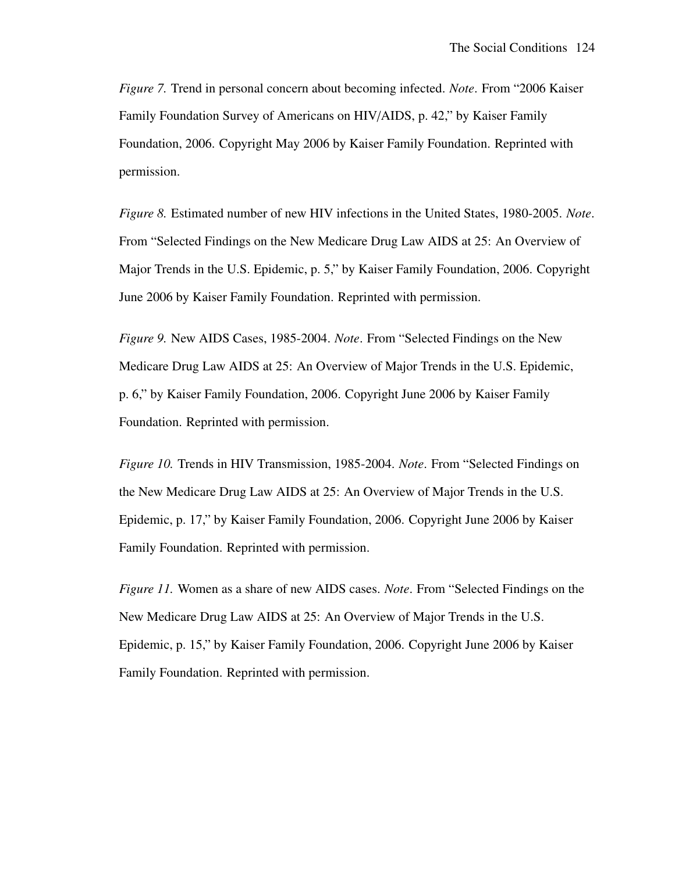*Figure 7.* Trend in personal concern about becoming infected. *Note*. From "2006 Kaiser Family Foundation Survey of Americans on HIV/AIDS, p. 42," by Kaiser Family Foundation, 2006. Copyright May 2006 by Kaiser Family Foundation. Reprinted with permission.

*Figure 8.* Estimated number of new HIV infections in the United States, 1980-2005. *Note*. From "Selected Findings on the New Medicare Drug Law AIDS at 25: An Overview of Major Trends in the U.S. Epidemic, p. 5," by Kaiser Family Foundation, 2006. Copyright June 2006 by Kaiser Family Foundation. Reprinted with permission.

*Figure 9.* New AIDS Cases, 1985-2004. *Note*. From "Selected Findings on the New Medicare Drug Law AIDS at 25: An Overview of Major Trends in the U.S. Epidemic, p. 6," by Kaiser Family Foundation, 2006. Copyright June 2006 by Kaiser Family Foundation. Reprinted with permission.

*Figure 10.* Trends in HIV Transmission, 1985-2004. *Note*. From "Selected Findings on the New Medicare Drug Law AIDS at 25: An Overview of Major Trends in the U.S. Epidemic, p. 17," by Kaiser Family Foundation, 2006. Copyright June 2006 by Kaiser Family Foundation. Reprinted with permission.

*Figure 11.* Women as a share of new AIDS cases. *Note*. From "Selected Findings on the New Medicare Drug Law AIDS at 25: An Overview of Major Trends in the U.S. Epidemic, p. 15," by Kaiser Family Foundation, 2006. Copyright June 2006 by Kaiser Family Foundation. Reprinted with permission.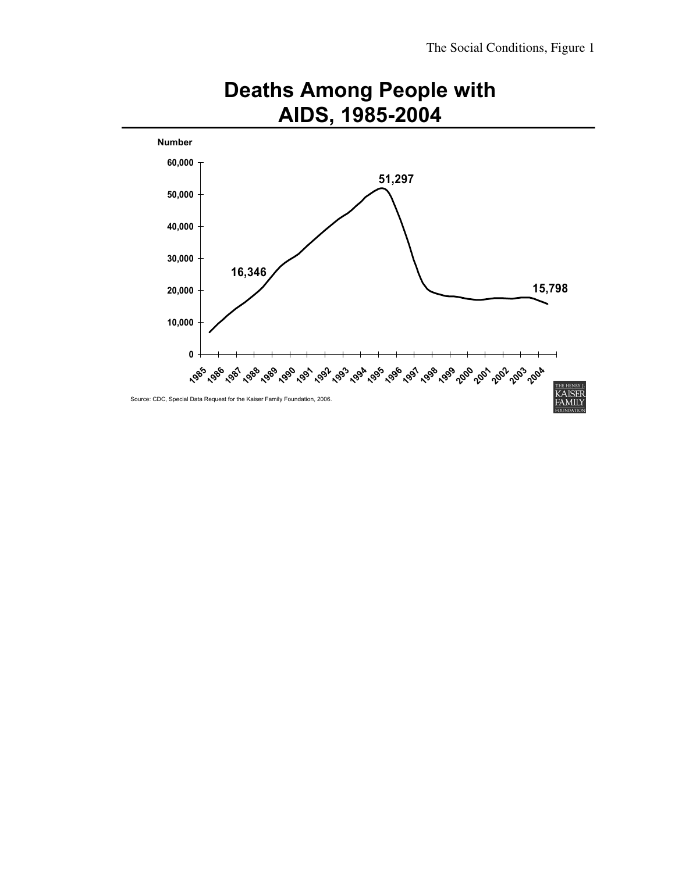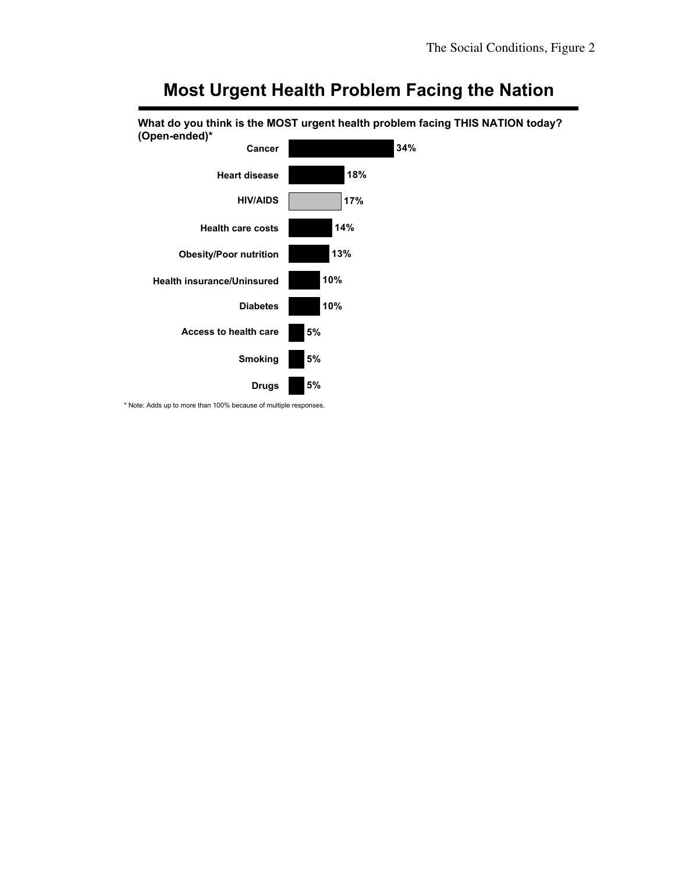



**What do you think is the MOST urgent health problem facing THIS NATION today?** 

\* N ote: A d ds up to m ore than 10 0 % b e c ause of multiple resp onses.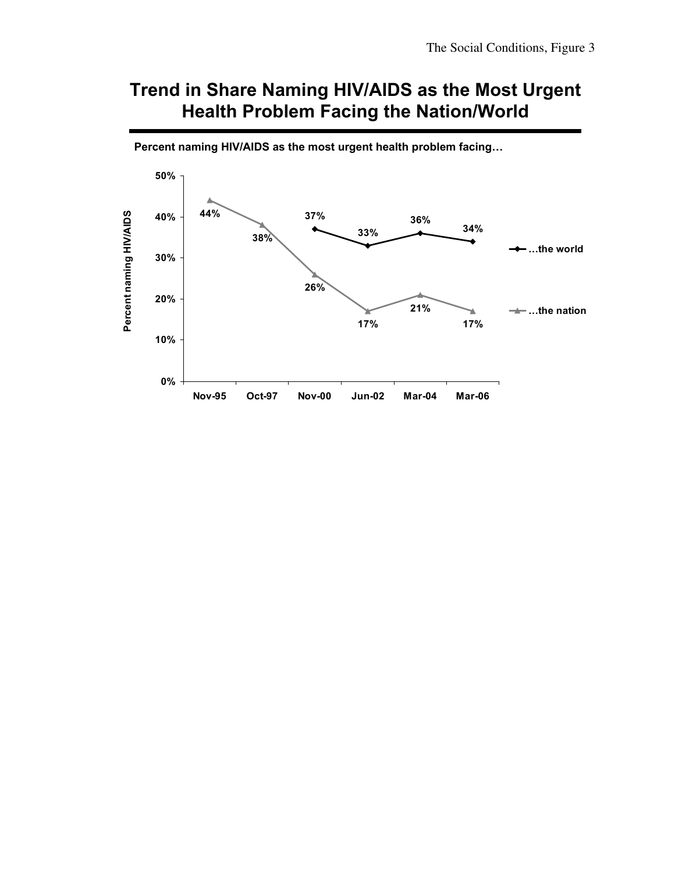# Trend in Share Naming HIV/AIDS as the Most Urgent **Health Problem Facing the Nation/World**



Percent naming HIV/AIDS as the most urgent health problem facing...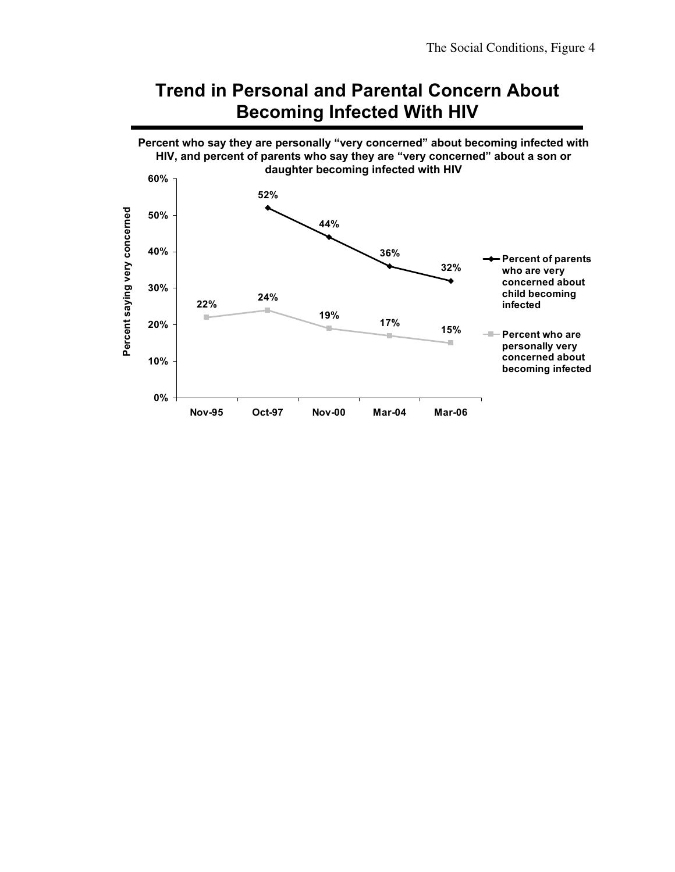## **Trend in Personal and Parental Concern About Becoming Infected With HIV**

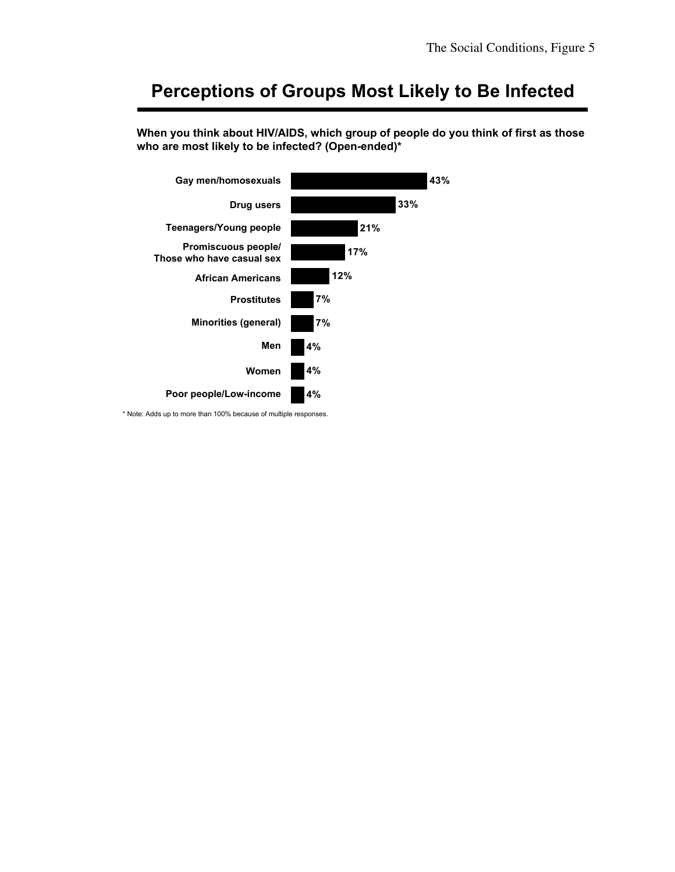# **Perceptions of Groups Most Likely to Be Infected**

**When you think about HIV/AIDS, which group of people do you think of first as those**  who are most likely to be infected? (Open-ended)\*



\* N ote: A d ds up to m ore than 10 0 % b e c ause of multiple resp onses.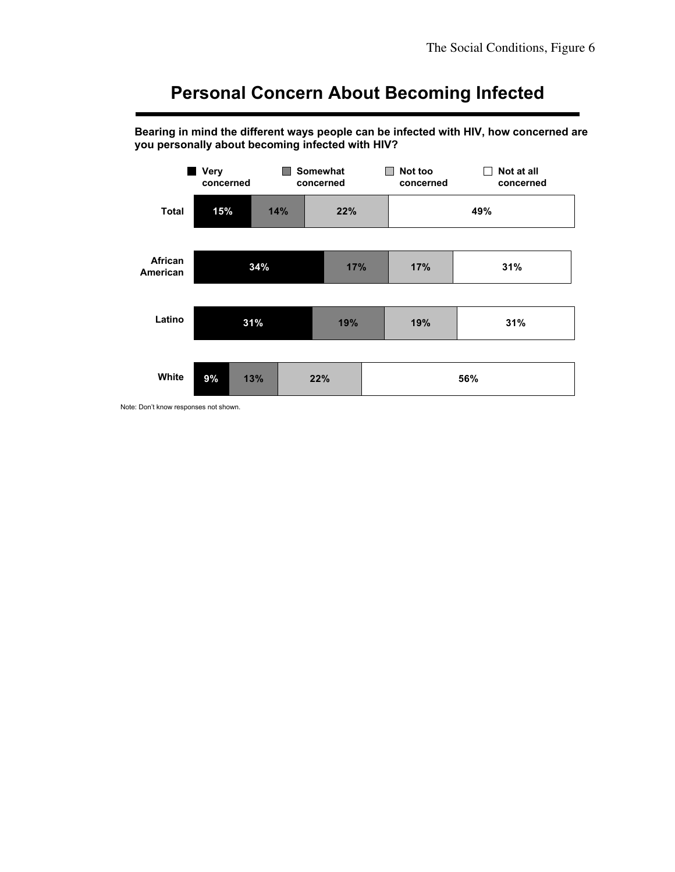## **Personal Concern About Becoming Infected**

Bearing in mind the different ways people can be infected with HIV, how concerned are you personally about becoming infected with HIV?



N ote: D on't kno w resp onses not sho wn.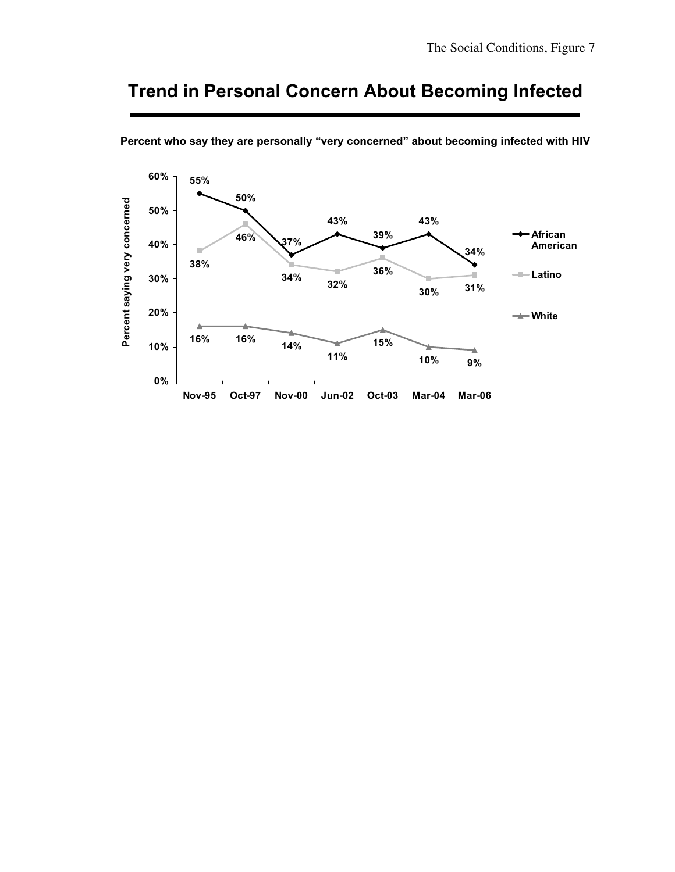## **Trend in Personal Concern About Becoming Infected**



Percent who say they are personally "very concerned" about becoming infected with HIV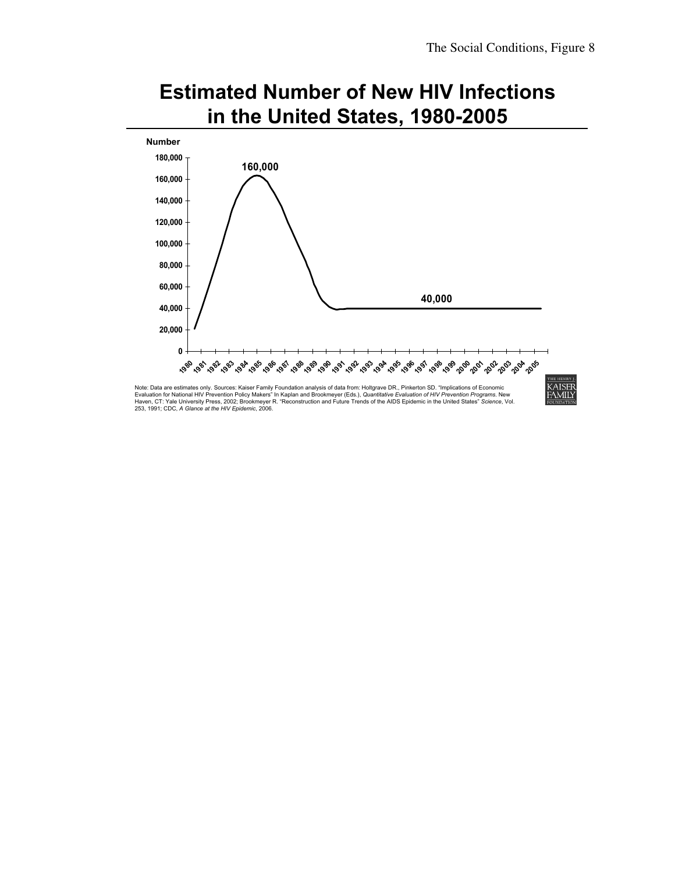



Note: Data are estimates only. Sources: Kaiser Family Foundation analysis of data from: Holtgrave DR., Pinkerton SD. "Implications of Economic<br>Evaluation for National HIV Prevention Policy Makers" In Kaplan and Brookmeyer

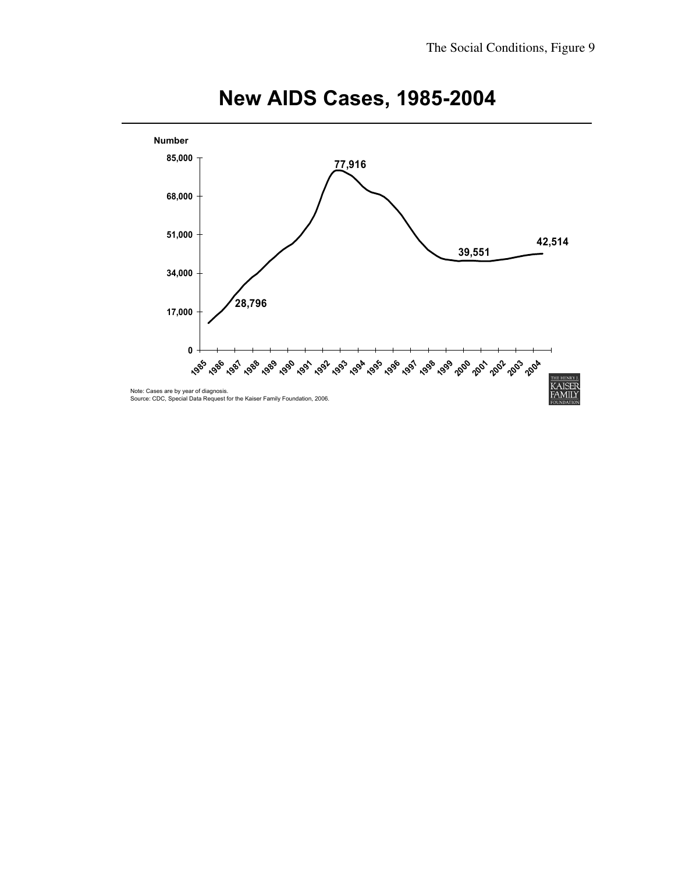

**New AIDS Cases, 1985-2004**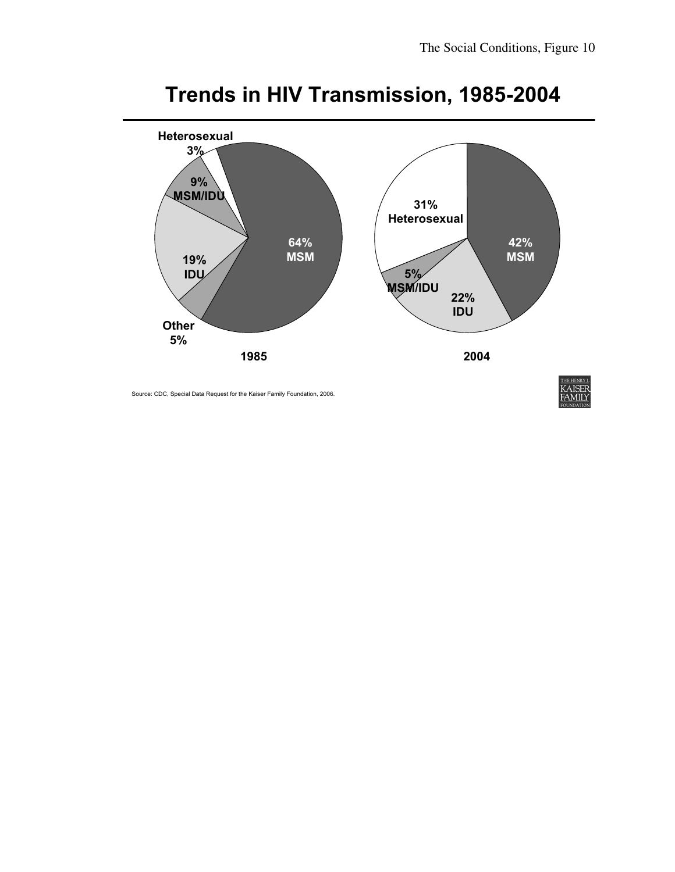

# **Trends in HIV Transmission, 1985-2004**

Source: C D C, Special Data Request for the Kaiser Family Foundation, 2006.